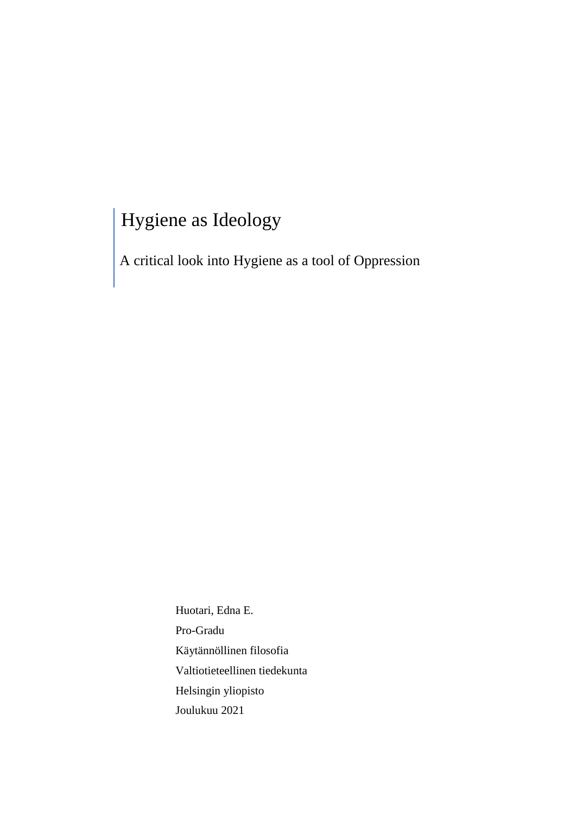# Hygiene as Ideology

A critical look into Hygiene as a tool of Oppression

Huotari, Edna E. Pro-Gradu Käytännöllinen filosofia Valtiotieteellinen tiedekunta Helsingin yliopisto Joulukuu 2021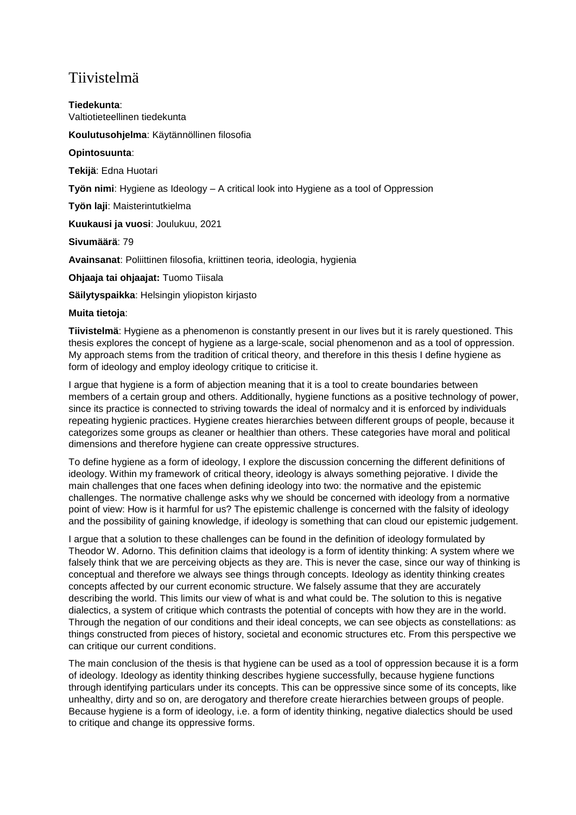## Tiivistelmä

**Tiedekunta**: Valtiotieteellinen tiedekunta

**Koulutusohjelma**: Käytännöllinen filosofia

#### **Opintosuunta**:

**Tekijä**: Edna Huotari

**Työn nimi**: Hygiene as Ideology – A critical look into Hygiene as a tool of Oppression

**Työn laji**: Maisterintutkielma

**Kuukausi ja vuosi**: Joulukuu, 2021

**Sivumäärä**: 79

**Avainsanat**: Poliittinen filosofia, kriittinen teoria, ideologia, hygienia

**Ohjaaja tai ohjaajat:** Tuomo Tiisala

**Säilytyspaikka**: Helsingin yliopiston kirjasto

#### **Muita tietoja**:

**Tiivistelmä**: Hygiene as a phenomenon is constantly present in our lives but it is rarely questioned. This thesis explores the concept of hygiene as a large-scale, social phenomenon and as a tool of oppression. My approach stems from the tradition of critical theory, and therefore in this thesis I define hygiene as form of ideology and employ ideology critique to criticise it.

I argue that hygiene is a form of abjection meaning that it is a tool to create boundaries between members of a certain group and others. Additionally, hygiene functions as a positive technology of power, since its practice is connected to striving towards the ideal of normalcy and it is enforced by individuals repeating hygienic practices. Hygiene creates hierarchies between different groups of people, because it categorizes some groups as cleaner or healthier than others. These categories have moral and political dimensions and therefore hygiene can create oppressive structures.

To define hygiene as a form of ideology, I explore the discussion concerning the different definitions of ideology. Within my framework of critical theory, ideology is always something pejorative. I divide the main challenges that one faces when defining ideology into two: the normative and the epistemic challenges. The normative challenge asks why we should be concerned with ideology from a normative point of view: How is it harmful for us? The epistemic challenge is concerned with the falsity of ideology and the possibility of gaining knowledge, if ideology is something that can cloud our epistemic judgement.

I argue that a solution to these challenges can be found in the definition of ideology formulated by Theodor W. Adorno. This definition claims that ideology is a form of identity thinking: A system where we falsely think that we are perceiving objects as they are. This is never the case, since our way of thinking is conceptual and therefore we always see things through concepts. Ideology as identity thinking creates concepts affected by our current economic structure. We falsely assume that they are accurately describing the world. This limits our view of what is and what could be. The solution to this is negative dialectics, a system of critique which contrasts the potential of concepts with how they are in the world. Through the negation of our conditions and their ideal concepts, we can see objects as constellations: as things constructed from pieces of history, societal and economic structures etc. From this perspective we can critique our current conditions.

The main conclusion of the thesis is that hygiene can be used as a tool of oppression because it is a form of ideology. Ideology as identity thinking describes hygiene successfully, because hygiene functions through identifying particulars under its concepts. This can be oppressive since some of its concepts, like unhealthy, dirty and so on, are derogatory and therefore create hierarchies between groups of people. Because hygiene is a form of ideology, i.e. a form of identity thinking, negative dialectics should be used to critique and change its oppressive forms.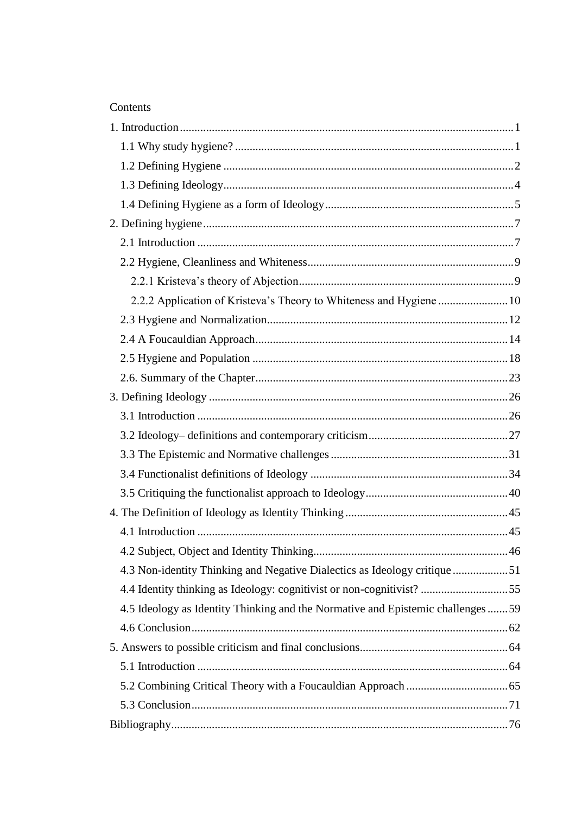#### Contents

| 2.2.2 Application of Kristeva's Theory to Whiteness and Hygiene  10             |  |
|---------------------------------------------------------------------------------|--|
|                                                                                 |  |
|                                                                                 |  |
|                                                                                 |  |
|                                                                                 |  |
|                                                                                 |  |
|                                                                                 |  |
|                                                                                 |  |
|                                                                                 |  |
|                                                                                 |  |
|                                                                                 |  |
|                                                                                 |  |
|                                                                                 |  |
|                                                                                 |  |
|                                                                                 |  |
| 4.4 Identity thinking as Ideology: cognitivist or non-cognitivist? 55           |  |
| 4.5 Ideology as Identity Thinking and the Normative and Epistemic challenges 59 |  |
|                                                                                 |  |
|                                                                                 |  |
|                                                                                 |  |
|                                                                                 |  |
|                                                                                 |  |
|                                                                                 |  |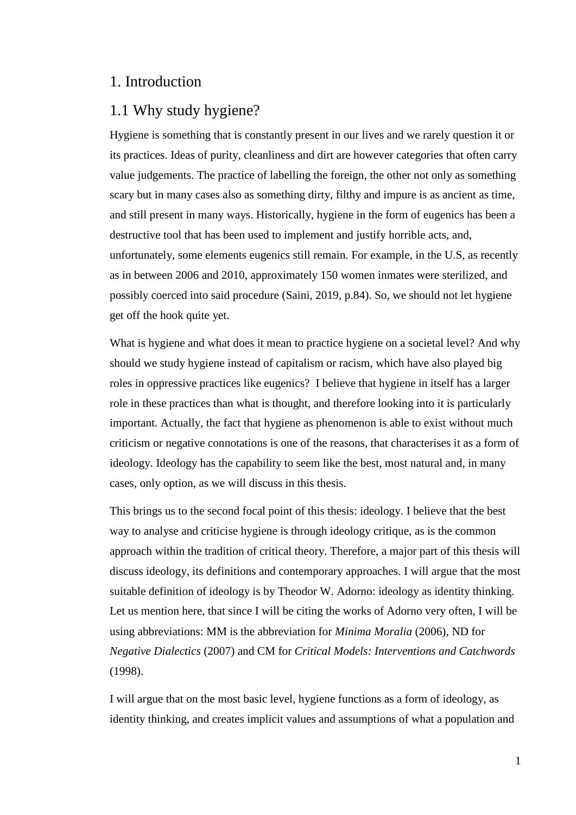#### <span id="page-3-0"></span>1. Introduction

#### <span id="page-3-1"></span>1.1 Why study hygiene?

Hygiene is something that is constantly present in our lives and we rarely question it or its practices. Ideas of purity, cleanliness and dirt are however categories that often carry value judgements. The practice of labelling the foreign, the other not only as something scary but in many cases also as something dirty, filthy and impure is as ancient as time, and still present in many ways. Historically, hygiene in the form of eugenics has been a destructive tool that has been used to implement and justify horrible acts, and, unfortunately, some elements eugenics still remain. For example, in the U.S, as recently as in between 2006 and 2010, approximately 150 women inmates were sterilized, and possibly coerced into said procedure (Saini, 2019, p.84). So, we should not let hygiene get off the hook quite yet.

What is hygiene and what does it mean to practice hygiene on a societal level? And why should we study hygiene instead of capitalism or racism, which have also played big roles in oppressive practices like eugenics? I believe that hygiene in itself has a larger role in these practices than what is thought, and therefore looking into it is particularly important. Actually, the fact that hygiene as phenomenon is able to exist without much criticism or negative connotations is one of the reasons, that characterises it as a form of ideology. Ideology has the capability to seem like the best, most natural and, in many cases, only option, as we will discuss in this thesis.

This brings us to the second focal point of this thesis: ideology. I believe that the best way to analyse and criticise hygiene is through ideology critique, as is the common approach within the tradition of critical theory. Therefore, a major part of this thesis will discuss ideology, its definitions and contemporary approaches. I will argue that the most suitable definition of ideology is by Theodor W. Adorno: ideology as identity thinking. Let us mention here, that since I will be citing the works of Adorno very often, I will be using abbreviations: MM is the abbreviation for *Minima Moralia* (2006), ND for *Negative Dialectics* (2007) and CM for *Critical Models: Interventions and Catchwords* (1998).

I will argue that on the most basic level, hygiene functions as a form of ideology, as identity thinking, and creates implicit values and assumptions of what a population and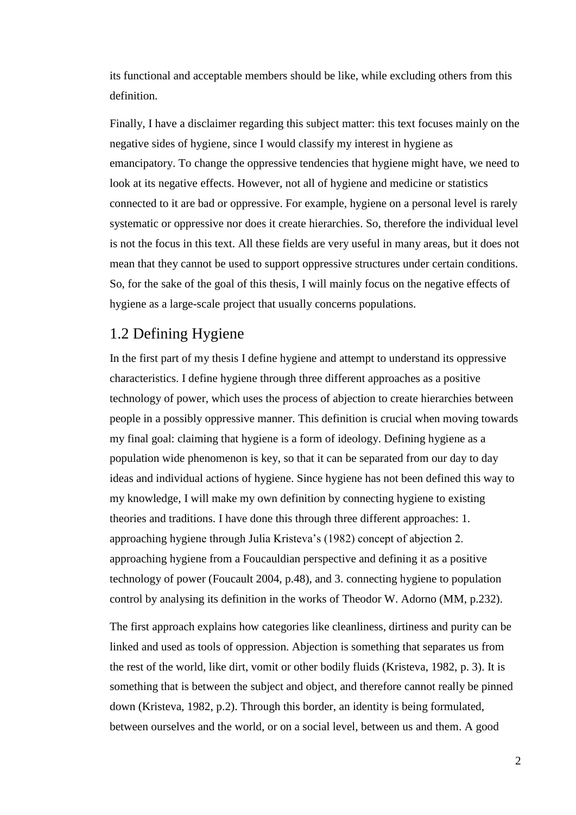its functional and acceptable members should be like, while excluding others from this definition.

Finally, I have a disclaimer regarding this subject matter: this text focuses mainly on the negative sides of hygiene, since I would classify my interest in hygiene as emancipatory. To change the oppressive tendencies that hygiene might have, we need to look at its negative effects. However, not all of hygiene and medicine or statistics connected to it are bad or oppressive. For example, hygiene on a personal level is rarely systematic or oppressive nor does it create hierarchies. So, therefore the individual level is not the focus in this text. All these fields are very useful in many areas, but it does not mean that they cannot be used to support oppressive structures under certain conditions. So, for the sake of the goal of this thesis, I will mainly focus on the negative effects of hygiene as a large-scale project that usually concerns populations.

### <span id="page-4-0"></span>1.2 Defining Hygiene

In the first part of my thesis I define hygiene and attempt to understand its oppressive characteristics. I define hygiene through three different approaches as a positive technology of power, which uses the process of abjection to create hierarchies between people in a possibly oppressive manner. This definition is crucial when moving towards my final goal: claiming that hygiene is a form of ideology. Defining hygiene as a population wide phenomenon is key, so that it can be separated from our day to day ideas and individual actions of hygiene. Since hygiene has not been defined this way to my knowledge, I will make my own definition by connecting hygiene to existing theories and traditions. I have done this through three different approaches: 1. approaching hygiene through Julia Kristeva's (1982) concept of abjection 2. approaching hygiene from a Foucauldian perspective and defining it as a positive technology of power (Foucault 2004, p.48), and 3. connecting hygiene to population control by analysing its definition in the works of Theodor W. Adorno (MM, p.232).

The first approach explains how categories like cleanliness, dirtiness and purity can be linked and used as tools of oppression. Abjection is something that separates us from the rest of the world, like dirt, vomit or other bodily fluids (Kristeva, 1982, p. 3). It is something that is between the subject and object, and therefore cannot really be pinned down (Kristeva, 1982, p.2). Through this border, an identity is being formulated, between ourselves and the world, or on a social level, between us and them. A good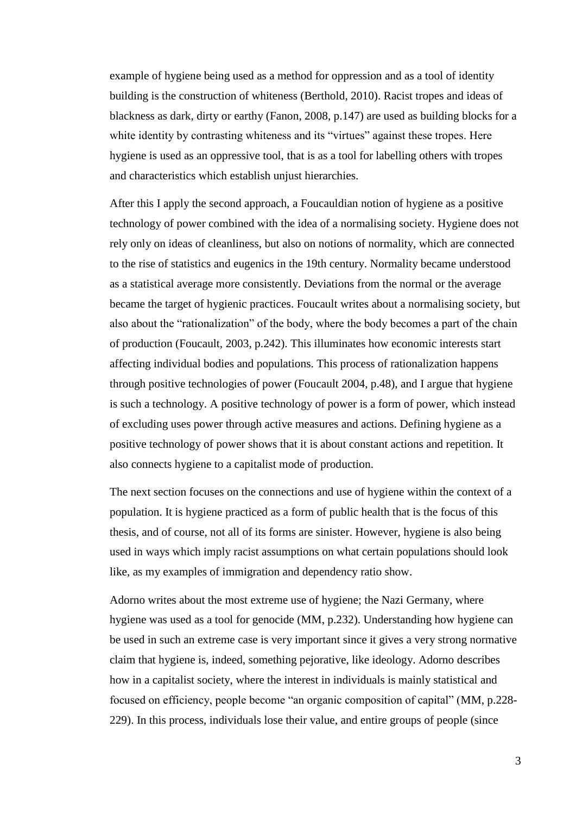example of hygiene being used as a method for oppression and as a tool of identity building is the construction of whiteness (Berthold, 2010). Racist tropes and ideas of blackness as dark, dirty or earthy (Fanon, 2008, p.147) are used as building blocks for a white identity by contrasting whiteness and its "virtues" against these tropes. Here hygiene is used as an oppressive tool, that is as a tool for labelling others with tropes and characteristics which establish unjust hierarchies.

After this I apply the second approach, a Foucauldian notion of hygiene as a positive technology of power combined with the idea of a normalising society. Hygiene does not rely only on ideas of cleanliness, but also on notions of normality, which are connected to the rise of statistics and eugenics in the 19th century. Normality became understood as a statistical average more consistently. Deviations from the normal or the average became the target of hygienic practices. Foucault writes about a normalising society, but also about the "rationalization" of the body, where the body becomes a part of the chain of production (Foucault, 2003, p.242). This illuminates how economic interests start affecting individual bodies and populations. This process of rationalization happens through positive technologies of power (Foucault 2004, p.48), and I argue that hygiene is such a technology. A positive technology of power is a form of power, which instead of excluding uses power through active measures and actions. Defining hygiene as a positive technology of power shows that it is about constant actions and repetition. It also connects hygiene to a capitalist mode of production.

The next section focuses on the connections and use of hygiene within the context of a population. It is hygiene practiced as a form of public health that is the focus of this thesis, and of course, not all of its forms are sinister. However, hygiene is also being used in ways which imply racist assumptions on what certain populations should look like, as my examples of immigration and dependency ratio show.

Adorno writes about the most extreme use of hygiene; the Nazi Germany, where hygiene was used as a tool for genocide (MM, p.232). Understanding how hygiene can be used in such an extreme case is very important since it gives a very strong normative claim that hygiene is, indeed, something pejorative, like ideology. Adorno describes how in a capitalist society, where the interest in individuals is mainly statistical and focused on efficiency, people become "an organic composition of capital" (MM, p.228- 229). In this process, individuals lose their value, and entire groups of people (since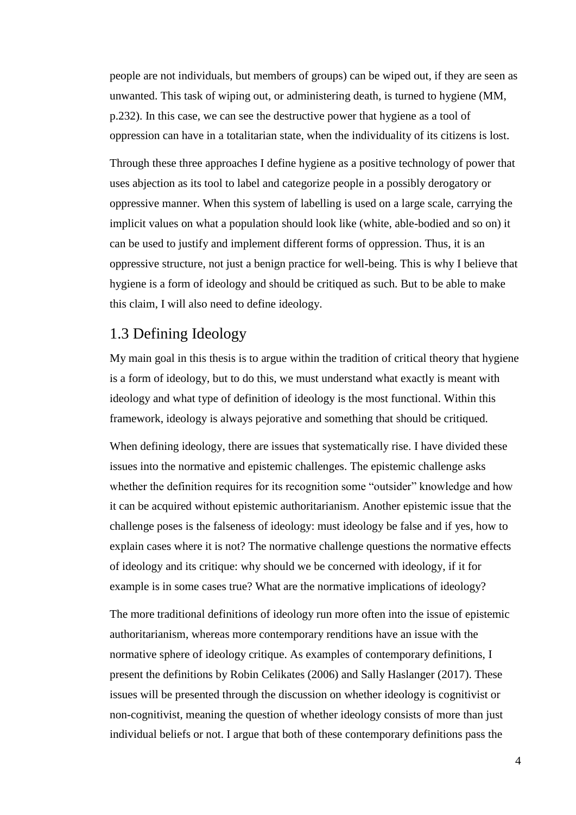people are not individuals, but members of groups) can be wiped out, if they are seen as unwanted. This task of wiping out, or administering death, is turned to hygiene (MM, p.232). In this case, we can see the destructive power that hygiene as a tool of oppression can have in a totalitarian state, when the individuality of its citizens is lost.

Through these three approaches I define hygiene as a positive technology of power that uses abjection as its tool to label and categorize people in a possibly derogatory or oppressive manner. When this system of labelling is used on a large scale, carrying the implicit values on what a population should look like (white, able-bodied and so on) it can be used to justify and implement different forms of oppression. Thus, it is an oppressive structure, not just a benign practice for well-being. This is why I believe that hygiene is a form of ideology and should be critiqued as such. But to be able to make this claim, I will also need to define ideology.

#### <span id="page-6-0"></span>1.3 Defining Ideology

My main goal in this thesis is to argue within the tradition of critical theory that hygiene is a form of ideology, but to do this, we must understand what exactly is meant with ideology and what type of definition of ideology is the most functional. Within this framework, ideology is always pejorative and something that should be critiqued.

When defining ideology, there are issues that systematically rise. I have divided these issues into the normative and epistemic challenges. The epistemic challenge asks whether the definition requires for its recognition some "outsider" knowledge and how it can be acquired without epistemic authoritarianism. Another epistemic issue that the challenge poses is the falseness of ideology: must ideology be false and if yes, how to explain cases where it is not? The normative challenge questions the normative effects of ideology and its critique: why should we be concerned with ideology, if it for example is in some cases true? What are the normative implications of ideology?

The more traditional definitions of ideology run more often into the issue of epistemic authoritarianism, whereas more contemporary renditions have an issue with the normative sphere of ideology critique. As examples of contemporary definitions, I present the definitions by Robin Celikates (2006) and Sally Haslanger (2017). These issues will be presented through the discussion on whether ideology is cognitivist or non-cognitivist, meaning the question of whether ideology consists of more than just individual beliefs or not. I argue that both of these contemporary definitions pass the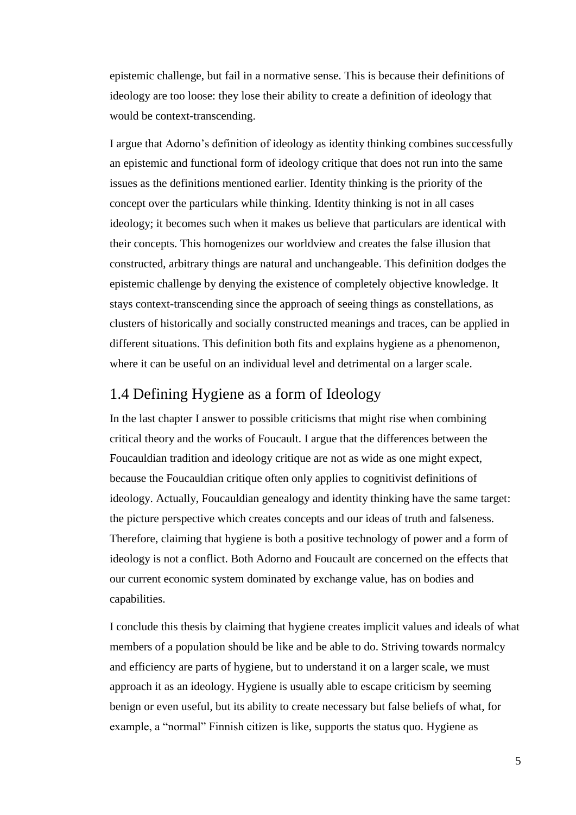epistemic challenge, but fail in a normative sense. This is because their definitions of ideology are too loose: they lose their ability to create a definition of ideology that would be context-transcending.

I argue that Adorno's definition of ideology as identity thinking combines successfully an epistemic and functional form of ideology critique that does not run into the same issues as the definitions mentioned earlier. Identity thinking is the priority of the concept over the particulars while thinking. Identity thinking is not in all cases ideology; it becomes such when it makes us believe that particulars are identical with their concepts. This homogenizes our worldview and creates the false illusion that constructed, arbitrary things are natural and unchangeable. This definition dodges the epistemic challenge by denying the existence of completely objective knowledge. It stays context-transcending since the approach of seeing things as constellations, as clusters of historically and socially constructed meanings and traces, can be applied in different situations. This definition both fits and explains hygiene as a phenomenon, where it can be useful on an individual level and detrimental on a larger scale.

#### <span id="page-7-0"></span>1.4 Defining Hygiene as a form of Ideology

In the last chapter I answer to possible criticisms that might rise when combining critical theory and the works of Foucault. I argue that the differences between the Foucauldian tradition and ideology critique are not as wide as one might expect, because the Foucauldian critique often only applies to cognitivist definitions of ideology. Actually, Foucauldian genealogy and identity thinking have the same target: the picture perspective which creates concepts and our ideas of truth and falseness. Therefore, claiming that hygiene is both a positive technology of power and a form of ideology is not a conflict. Both Adorno and Foucault are concerned on the effects that our current economic system dominated by exchange value, has on bodies and capabilities.

I conclude this thesis by claiming that hygiene creates implicit values and ideals of what members of a population should be like and be able to do. Striving towards normalcy and efficiency are parts of hygiene, but to understand it on a larger scale, we must approach it as an ideology. Hygiene is usually able to escape criticism by seeming benign or even useful, but its ability to create necessary but false beliefs of what, for example, a "normal" Finnish citizen is like, supports the status quo. Hygiene as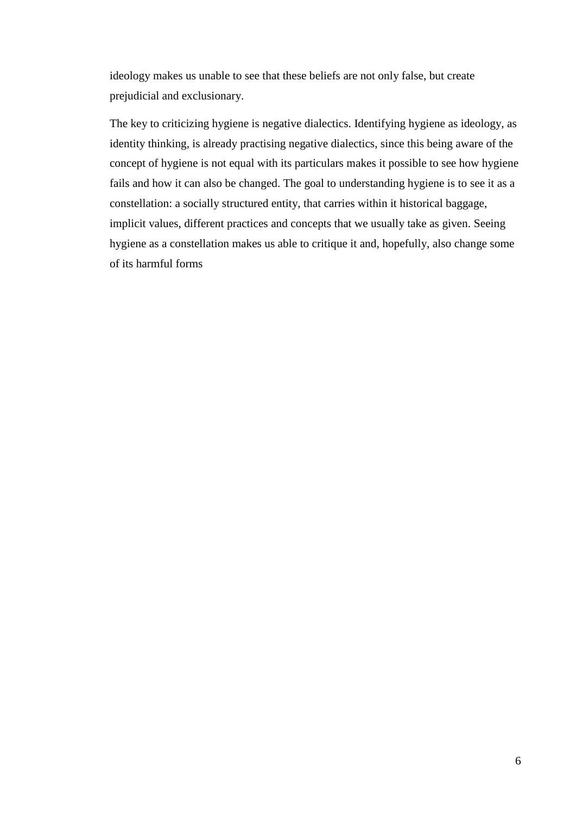ideology makes us unable to see that these beliefs are not only false, but create prejudicial and exclusionary.

The key to criticizing hygiene is negative dialectics. Identifying hygiene as ideology, as identity thinking, is already practising negative dialectics, since this being aware of the concept of hygiene is not equal with its particulars makes it possible to see how hygiene fails and how it can also be changed. The goal to understanding hygiene is to see it as a constellation: a socially structured entity, that carries within it historical baggage, implicit values, different practices and concepts that we usually take as given. Seeing hygiene as a constellation makes us able to critique it and, hopefully, also change some of its harmful forms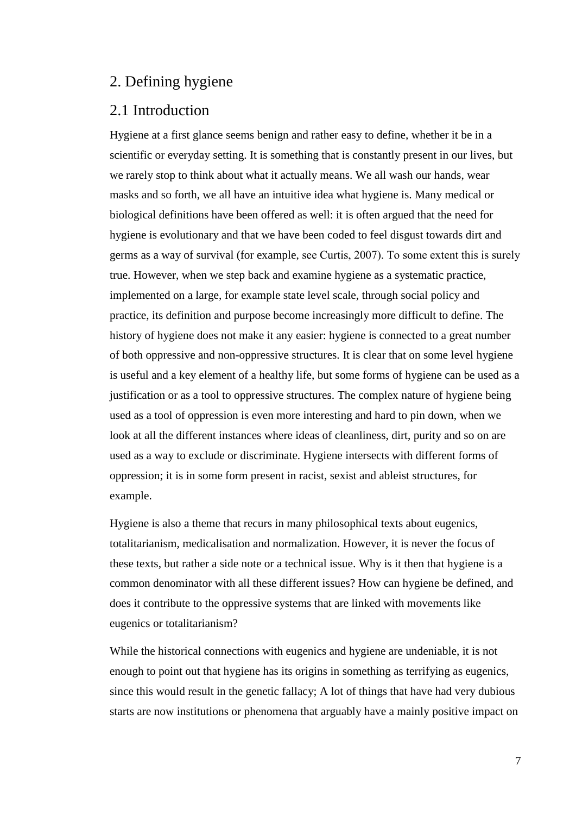# <span id="page-9-0"></span>2. Defining hygiene

#### <span id="page-9-1"></span>2.1 Introduction

Hygiene at a first glance seems benign and rather easy to define, whether it be in a scientific or everyday setting. It is something that is constantly present in our lives, but we rarely stop to think about what it actually means. We all wash our hands, wear masks and so forth, we all have an intuitive idea what hygiene is. Many medical or biological definitions have been offered as well: it is often argued that the need for hygiene is evolutionary and that we have been coded to feel disgust towards dirt and germs as a way of survival (for example, see Curtis, 2007). To some extent this is surely true. However, when we step back and examine hygiene as a systematic practice, implemented on a large, for example state level scale, through social policy and practice, its definition and purpose become increasingly more difficult to define. The history of hygiene does not make it any easier: hygiene is connected to a great number of both oppressive and non-oppressive structures. It is clear that on some level hygiene is useful and a key element of a healthy life, but some forms of hygiene can be used as a justification or as a tool to oppressive structures. The complex nature of hygiene being used as a tool of oppression is even more interesting and hard to pin down, when we look at all the different instances where ideas of cleanliness, dirt, purity and so on are used as a way to exclude or discriminate. Hygiene intersects with different forms of oppression; it is in some form present in racist, sexist and ableist structures, for example.

Hygiene is also a theme that recurs in many philosophical texts about eugenics, totalitarianism, medicalisation and normalization. However, it is never the focus of these texts, but rather a side note or a technical issue. Why is it then that hygiene is a common denominator with all these different issues? How can hygiene be defined, and does it contribute to the oppressive systems that are linked with movements like eugenics or totalitarianism?

While the historical connections with eugenics and hygiene are undeniable, it is not enough to point out that hygiene has its origins in something as terrifying as eugenics, since this would result in the genetic fallacy; A lot of things that have had very dubious starts are now institutions or phenomena that arguably have a mainly positive impact on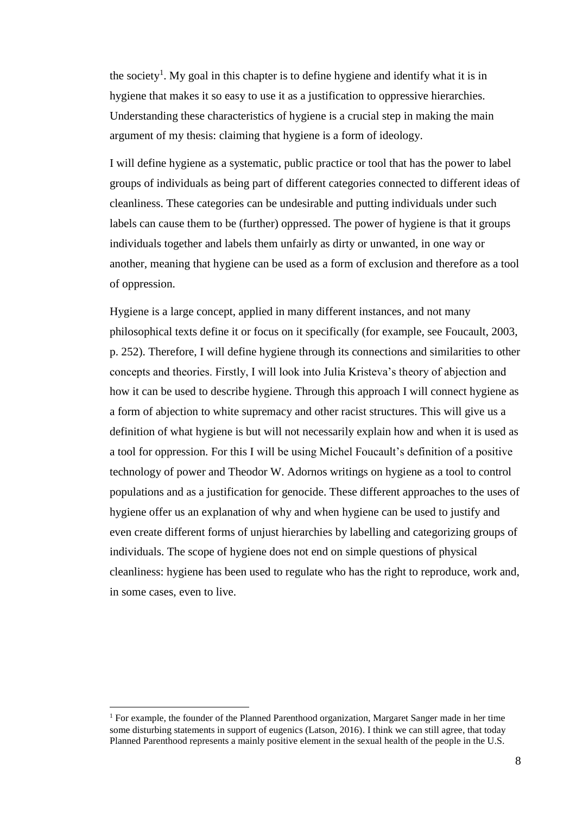the society<sup>1</sup>. My goal in this chapter is to define hygiene and identify what it is in hygiene that makes it so easy to use it as a justification to oppressive hierarchies. Understanding these characteristics of hygiene is a crucial step in making the main argument of my thesis: claiming that hygiene is a form of ideology.

I will define hygiene as a systematic, public practice or tool that has the power to label groups of individuals as being part of different categories connected to different ideas of cleanliness. These categories can be undesirable and putting individuals under such labels can cause them to be (further) oppressed. The power of hygiene is that it groups individuals together and labels them unfairly as dirty or unwanted, in one way or another, meaning that hygiene can be used as a form of exclusion and therefore as a tool of oppression.

Hygiene is a large concept, applied in many different instances, and not many philosophical texts define it or focus on it specifically (for example, see Foucault, 2003, p. 252). Therefore, I will define hygiene through its connections and similarities to other concepts and theories. Firstly, I will look into Julia Kristeva's theory of abjection and how it can be used to describe hygiene. Through this approach I will connect hygiene as a form of abjection to white supremacy and other racist structures. This will give us a definition of what hygiene is but will not necessarily explain how and when it is used as a tool for oppression. For this I will be using Michel Foucault's definition of a positive technology of power and Theodor W. Adornos writings on hygiene as a tool to control populations and as a justification for genocide. These different approaches to the uses of hygiene offer us an explanation of why and when hygiene can be used to justify and even create different forms of unjust hierarchies by labelling and categorizing groups of individuals. The scope of hygiene does not end on simple questions of physical cleanliness: hygiene has been used to regulate who has the right to reproduce, work and, in some cases, even to live.

 $\overline{a}$ 

<sup>&</sup>lt;sup>1</sup> For example, the founder of the Planned Parenthood organization, Margaret Sanger made in her time some disturbing statements in support of eugenics (Latson, 2016). I think we can still agree, that today Planned Parenthood represents a mainly positive element in the sexual health of the people in the U.S.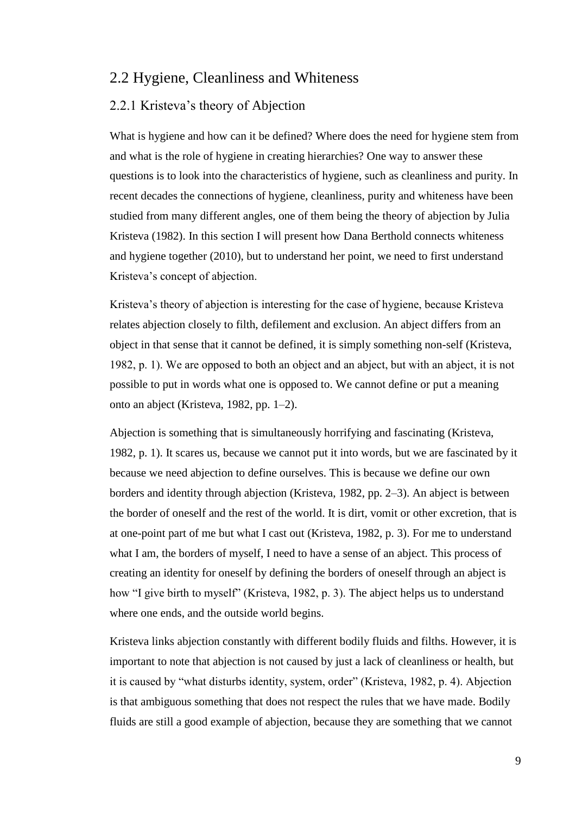#### <span id="page-11-0"></span>2.2 Hygiene, Cleanliness and Whiteness

#### <span id="page-11-1"></span>2.2.1 Kristeva's theory of Abjection

What is hygiene and how can it be defined? Where does the need for hygiene stem from and what is the role of hygiene in creating hierarchies? One way to answer these questions is to look into the characteristics of hygiene, such as cleanliness and purity. In recent decades the connections of hygiene, cleanliness, purity and whiteness have been studied from many different angles, one of them being the theory of abjection by Julia Kristeva (1982). In this section I will present how Dana Berthold connects whiteness and hygiene together (2010), but to understand her point, we need to first understand Kristeva's concept of abjection.

Kristeva's theory of abjection is interesting for the case of hygiene, because Kristeva relates abjection closely to filth, defilement and exclusion. An abject differs from an object in that sense that it cannot be defined, it is simply something non-self (Kristeva, 1982, p. 1). We are opposed to both an object and an abject, but with an abject, it is not possible to put in words what one is opposed to. We cannot define or put a meaning onto an abject (Kristeva, 1982, pp. 1–2).

Abjection is something that is simultaneously horrifying and fascinating (Kristeva, 1982, p. 1). It scares us, because we cannot put it into words, but we are fascinated by it because we need abjection to define ourselves. This is because we define our own borders and identity through abjection (Kristeva, 1982, pp. 2–3). An abject is between the border of oneself and the rest of the world. It is dirt, vomit or other excretion, that is at one-point part of me but what I cast out (Kristeva, 1982, p. 3). For me to understand what I am, the borders of myself, I need to have a sense of an abject. This process of creating an identity for oneself by defining the borders of oneself through an abject is how "I give birth to myself" (Kristeva, 1982, p. 3). The abject helps us to understand where one ends, and the outside world begins.

Kristeva links abjection constantly with different bodily fluids and filths. However, it is important to note that abjection is not caused by just a lack of cleanliness or health, but it is caused by "what disturbs identity, system, order" (Kristeva, 1982, p. 4). Abjection is that ambiguous something that does not respect the rules that we have made. Bodily fluids are still a good example of abjection, because they are something that we cannot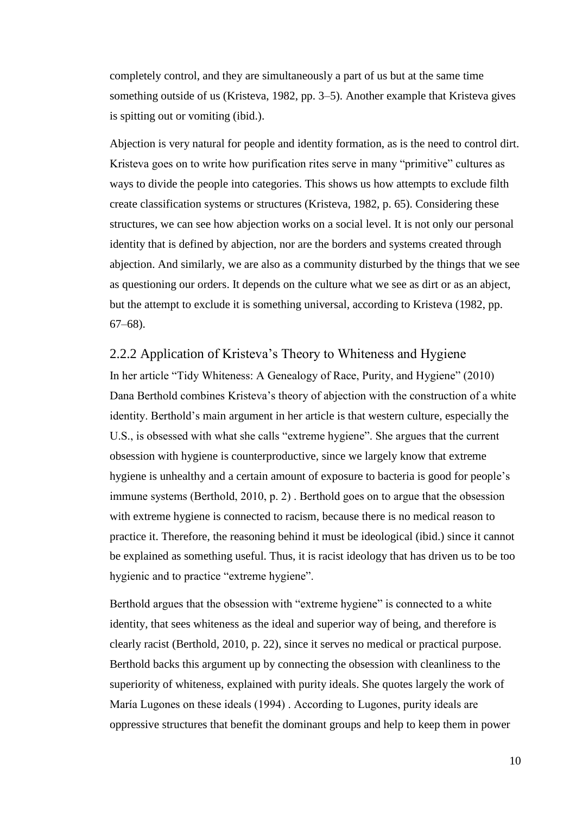completely control, and they are simultaneously a part of us but at the same time something outside of us (Kristeva, 1982, pp. 3–5). Another example that Kristeva gives is spitting out or vomiting (ibid.).

Abjection is very natural for people and identity formation, as is the need to control dirt. Kristeva goes on to write how purification rites serve in many "primitive" cultures as ways to divide the people into categories. This shows us how attempts to exclude filth create classification systems or structures (Kristeva, 1982, p. 65). Considering these structures, we can see how abjection works on a social level. It is not only our personal identity that is defined by abjection, nor are the borders and systems created through abjection. And similarly, we are also as a community disturbed by the things that we see as questioning our orders. It depends on the culture what we see as dirt or as an abject, but the attempt to exclude it is something universal, according to Kristeva (1982, pp. 67–68).

<span id="page-12-0"></span>2.2.2 Application of Kristeva's Theory to Whiteness and Hygiene In her article "Tidy Whiteness: A Genealogy of Race, Purity, and Hygiene" (2010) Dana Berthold combines Kristeva's theory of abjection with the construction of a white identity. Berthold's main argument in her article is that western culture, especially the U.S., is obsessed with what she calls "extreme hygiene". She argues that the current obsession with hygiene is counterproductive, since we largely know that extreme hygiene is unhealthy and a certain amount of exposure to bacteria is good for people's immune systems (Berthold, 2010, p. 2) . Berthold goes on to argue that the obsession with extreme hygiene is connected to racism, because there is no medical reason to practice it. Therefore, the reasoning behind it must be ideological (ibid.) since it cannot be explained as something useful. Thus, it is racist ideology that has driven us to be too hygienic and to practice "extreme hygiene".

Berthold argues that the obsession with "extreme hygiene" is connected to a white identity, that sees whiteness as the ideal and superior way of being, and therefore is clearly racist (Berthold, 2010, p. 22), since it serves no medical or practical purpose. Berthold backs this argument up by connecting the obsession with cleanliness to the superiority of whiteness, explained with purity ideals. She quotes largely the work of María Lugones on these ideals (1994) . According to Lugones, purity ideals are oppressive structures that benefit the dominant groups and help to keep them in power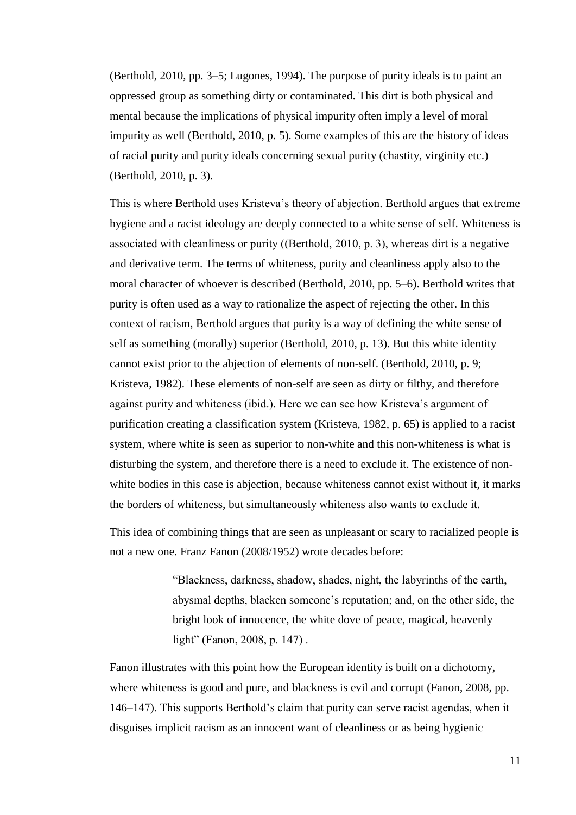(Berthold, 2010, pp. 3–5; Lugones, 1994). The purpose of purity ideals is to paint an oppressed group as something dirty or contaminated. This dirt is both physical and mental because the implications of physical impurity often imply a level of moral impurity as well (Berthold, 2010, p. 5). Some examples of this are the history of ideas of racial purity and purity ideals concerning sexual purity (chastity, virginity etc.) (Berthold, 2010, p. 3).

This is where Berthold uses Kristeva's theory of abjection. Berthold argues that extreme hygiene and a racist ideology are deeply connected to a white sense of self. Whiteness is associated with cleanliness or purity ((Berthold, 2010, p. 3), whereas dirt is a negative and derivative term. The terms of whiteness, purity and cleanliness apply also to the moral character of whoever is described (Berthold, 2010, pp. 5–6). Berthold writes that purity is often used as a way to rationalize the aspect of rejecting the other. In this context of racism, Berthold argues that purity is a way of defining the white sense of self as something (morally) superior (Berthold, 2010, p. 13). But this white identity cannot exist prior to the abjection of elements of non-self. (Berthold, 2010, p. 9; Kristeva, 1982). These elements of non-self are seen as dirty or filthy, and therefore against purity and whiteness (ibid.). Here we can see how Kristeva's argument of purification creating a classification system (Kristeva, 1982, p. 65) is applied to a racist system, where white is seen as superior to non-white and this non-whiteness is what is disturbing the system, and therefore there is a need to exclude it. The existence of nonwhite bodies in this case is abjection, because whiteness cannot exist without it, it marks the borders of whiteness, but simultaneously whiteness also wants to exclude it.

This idea of combining things that are seen as unpleasant or scary to racialized people is not a new one. Franz Fanon (2008/1952) wrote decades before:

> "Blackness, darkness, shadow, shades, night, the labyrinths of the earth, abysmal depths, blacken someone's reputation; and, on the other side, the bright look of innocence, the white dove of peace, magical, heavenly light" (Fanon, 2008, p. 147).

Fanon illustrates with this point how the European identity is built on a dichotomy, where whiteness is good and pure, and blackness is evil and corrupt (Fanon, 2008, pp. 146–147). This supports Berthold's claim that purity can serve racist agendas, when it disguises implicit racism as an innocent want of cleanliness or as being hygienic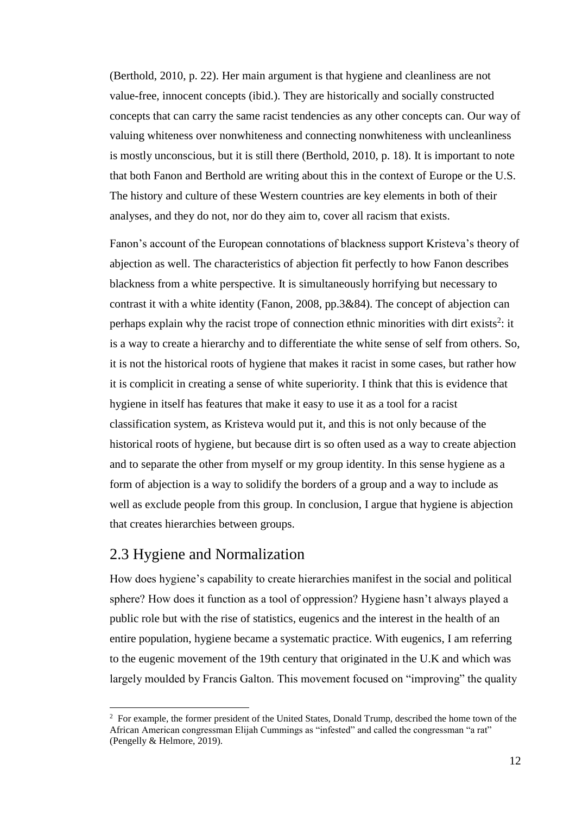(Berthold, 2010, p. 22). Her main argument is that hygiene and cleanliness are not value-free, innocent concepts (ibid.). They are historically and socially constructed concepts that can carry the same racist tendencies as any other concepts can. Our way of valuing whiteness over nonwhiteness and connecting nonwhiteness with uncleanliness is mostly unconscious, but it is still there (Berthold, 2010, p. 18). It is important to note that both Fanon and Berthold are writing about this in the context of Europe or the U.S. The history and culture of these Western countries are key elements in both of their analyses, and they do not, nor do they aim to, cover all racism that exists.

Fanon's account of the European connotations of blackness support Kristeva's theory of abjection as well. The characteristics of abjection fit perfectly to how Fanon describes blackness from a white perspective. It is simultaneously horrifying but necessary to contrast it with a white identity (Fanon, 2008, pp.3&84). The concept of abjection can perhaps explain why the racist trope of connection ethnic minorities with dirt exists<sup>2</sup>: it is a way to create a hierarchy and to differentiate the white sense of self from others. So, it is not the historical roots of hygiene that makes it racist in some cases, but rather how it is complicit in creating a sense of white superiority. I think that this is evidence that hygiene in itself has features that make it easy to use it as a tool for a racist classification system, as Kristeva would put it, and this is not only because of the historical roots of hygiene, but because dirt is so often used as a way to create abjection and to separate the other from myself or my group identity. In this sense hygiene as a form of abjection is a way to solidify the borders of a group and a way to include as well as exclude people from this group. In conclusion, I argue that hygiene is abjection that creates hierarchies between groups.

#### <span id="page-14-0"></span>2.3 Hygiene and Normalization

 $\overline{a}$ 

How does hygiene's capability to create hierarchies manifest in the social and political sphere? How does it function as a tool of oppression? Hygiene hasn't always played a public role but with the rise of statistics, eugenics and the interest in the health of an entire population, hygiene became a systematic practice. With eugenics, I am referring to the eugenic movement of the 19th century that originated in the U.K and which was largely moulded by Francis Galton. This movement focused on "improving" the quality

<sup>&</sup>lt;sup>2</sup> For example, the former president of the United States, Donald Trump, described the home town of the African American congressman Elijah Cummings as "infested" and called the congressman "a rat" (Pengelly & Helmore, 2019).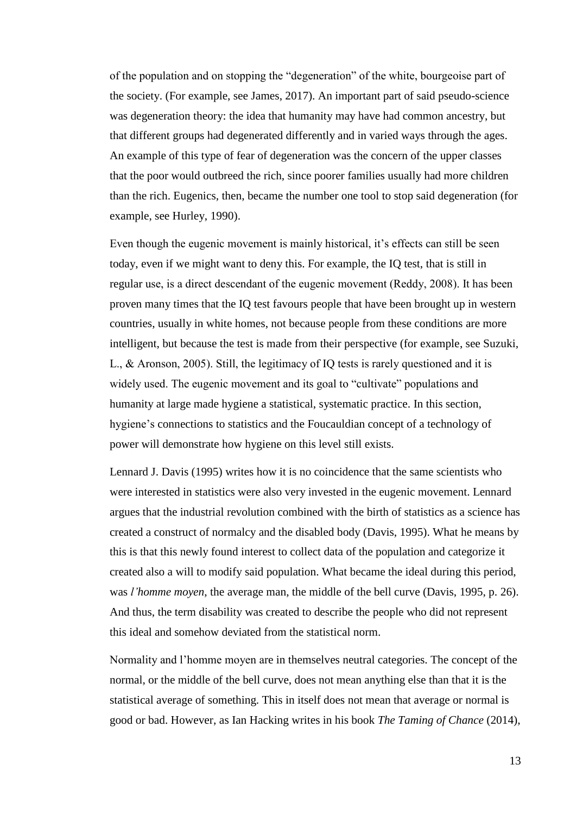of the population and on stopping the "degeneration" of the white, bourgeoise part of the society. (For example, see James, 2017). An important part of said pseudo-science was degeneration theory: the idea that humanity may have had common ancestry, but that different groups had degenerated differently and in varied ways through the ages. An example of this type of fear of degeneration was the concern of the upper classes that the poor would outbreed the rich, since poorer families usually had more children than the rich. Eugenics, then, became the number one tool to stop said degeneration (for example, see Hurley, 1990).

Even though the eugenic movement is mainly historical, it's effects can still be seen today, even if we might want to deny this. For example, the IQ test, that is still in regular use, is a direct descendant of the eugenic movement (Reddy, 2008). It has been proven many times that the IQ test favours people that have been brought up in western countries, usually in white homes, not because people from these conditions are more intelligent, but because the test is made from their perspective (for example, see Suzuki, L., & Aronson, 2005). Still, the legitimacy of IQ tests is rarely questioned and it is widely used. The eugenic movement and its goal to "cultivate" populations and humanity at large made hygiene a statistical, systematic practice. In this section, hygiene's connections to statistics and the Foucauldian concept of a technology of power will demonstrate how hygiene on this level still exists.

Lennard J. Davis (1995) writes how it is no coincidence that the same scientists who were interested in statistics were also very invested in the eugenic movement. Lennard argues that the industrial revolution combined with the birth of statistics as a science has created a construct of normalcy and the disabled body (Davis, 1995). What he means by this is that this newly found interest to collect data of the population and categorize it created also a will to modify said population. What became the ideal during this period, was *l'homme moyen*, the average man, the middle of the bell curve (Davis, 1995, p. 26). And thus, the term disability was created to describe the people who did not represent this ideal and somehow deviated from the statistical norm.

Normality and l'homme moyen are in themselves neutral categories. The concept of the normal, or the middle of the bell curve, does not mean anything else than that it is the statistical average of something. This in itself does not mean that average or normal is good or bad. However, as Ian Hacking writes in his book *The Taming of Chance* (2014),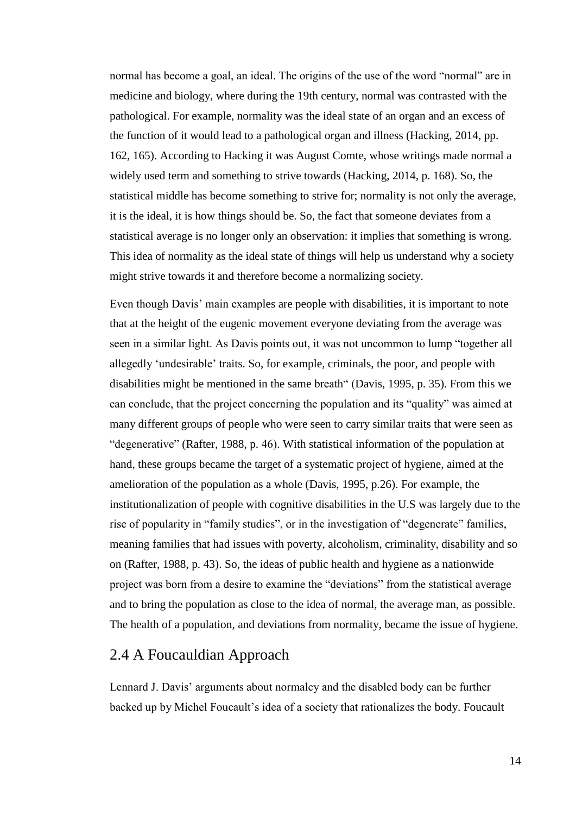normal has become a goal, an ideal. The origins of the use of the word "normal" are in medicine and biology, where during the 19th century, normal was contrasted with the pathological. For example, normality was the ideal state of an organ and an excess of the function of it would lead to a pathological organ and illness (Hacking, 2014, pp. 162, 165). According to Hacking it was August Comte, whose writings made normal a widely used term and something to strive towards (Hacking, 2014, p. 168). So, the statistical middle has become something to strive for; normality is not only the average, it is the ideal, it is how things should be. So, the fact that someone deviates from a statistical average is no longer only an observation: it implies that something is wrong. This idea of normality as the ideal state of things will help us understand why a society might strive towards it and therefore become a normalizing society.

Even though Davis' main examples are people with disabilities, it is important to note that at the height of the eugenic movement everyone deviating from the average was seen in a similar light. As Davis points out, it was not uncommon to lump "together all allegedly 'undesirable' traits. So, for example, criminals, the poor, and people with disabilities might be mentioned in the same breath" (Davis, 1995, p. 35). From this we can conclude, that the project concerning the population and its "quality" was aimed at many different groups of people who were seen to carry similar traits that were seen as "degenerative" (Rafter, 1988, p. 46). With statistical information of the population at hand, these groups became the target of a systematic project of hygiene, aimed at the amelioration of the population as a whole (Davis, 1995, p.26). For example, the institutionalization of people with cognitive disabilities in the U.S was largely due to the rise of popularity in "family studies", or in the investigation of "degenerate" families, meaning families that had issues with poverty, alcoholism, criminality, disability and so on (Rafter, 1988, p. 43). So, the ideas of public health and hygiene as a nationwide project was born from a desire to examine the "deviations" from the statistical average and to bring the population as close to the idea of normal, the average man, as possible. The health of a population, and deviations from normality, became the issue of hygiene.

### <span id="page-16-0"></span>2.4 A Foucauldian Approach

Lennard J. Davis' arguments about normalcy and the disabled body can be further backed up by Michel Foucault's idea of a society that rationalizes the body. Foucault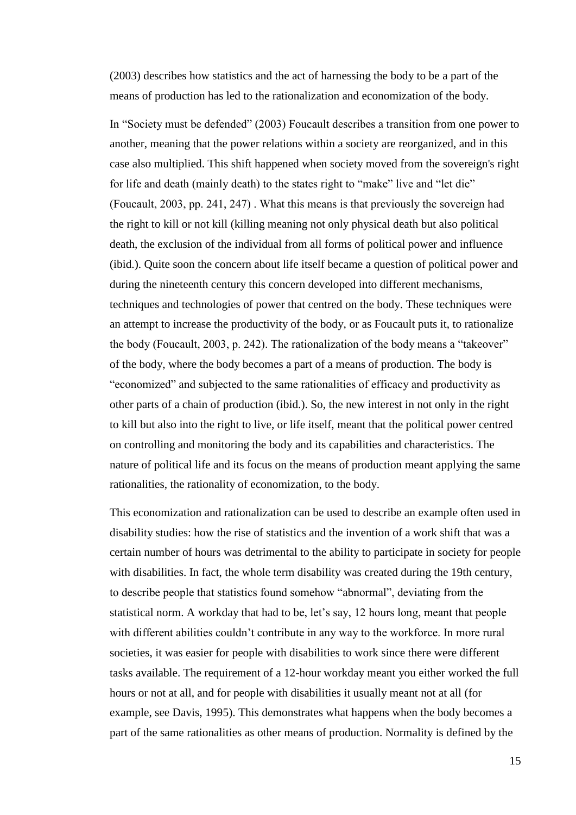(2003) describes how statistics and the act of harnessing the body to be a part of the means of production has led to the rationalization and economization of the body.

In "Society must be defended" (2003) Foucault describes a transition from one power to another, meaning that the power relations within a society are reorganized, and in this case also multiplied. This shift happened when society moved from the sovereign's right for life and death (mainly death) to the states right to "make" live and "let die" (Foucault, 2003, pp. 241, 247) . What this means is that previously the sovereign had the right to kill or not kill (killing meaning not only physical death but also political death, the exclusion of the individual from all forms of political power and influence (ibid.). Quite soon the concern about life itself became a question of political power and during the nineteenth century this concern developed into different mechanisms, techniques and technologies of power that centred on the body. These techniques were an attempt to increase the productivity of the body, or as Foucault puts it, to rationalize the body (Foucault, 2003, p. 242). The rationalization of the body means a "takeover" of the body, where the body becomes a part of a means of production. The body is "economized" and subjected to the same rationalities of efficacy and productivity as other parts of a chain of production (ibid.). So, the new interest in not only in the right to kill but also into the right to live, or life itself, meant that the political power centred on controlling and monitoring the body and its capabilities and characteristics. The nature of political life and its focus on the means of production meant applying the same rationalities, the rationality of economization, to the body.

This economization and rationalization can be used to describe an example often used in disability studies: how the rise of statistics and the invention of a work shift that was a certain number of hours was detrimental to the ability to participate in society for people with disabilities. In fact, the whole term disability was created during the 19th century, to describe people that statistics found somehow "abnormal", deviating from the statistical norm. A workday that had to be, let's say, 12 hours long, meant that people with different abilities couldn't contribute in any way to the workforce. In more rural societies, it was easier for people with disabilities to work since there were different tasks available. The requirement of a 12-hour workday meant you either worked the full hours or not at all, and for people with disabilities it usually meant not at all (for example, see Davis, 1995). This demonstrates what happens when the body becomes a part of the same rationalities as other means of production. Normality is defined by the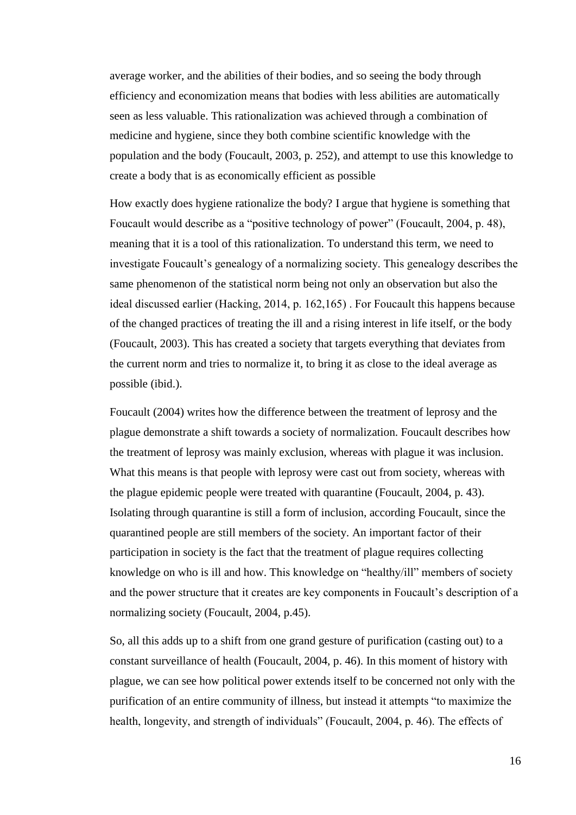average worker, and the abilities of their bodies, and so seeing the body through efficiency and economization means that bodies with less abilities are automatically seen as less valuable. This rationalization was achieved through a combination of medicine and hygiene, since they both combine scientific knowledge with the population and the body (Foucault, 2003, p. 252), and attempt to use this knowledge to create a body that is as economically efficient as possible

How exactly does hygiene rationalize the body? I argue that hygiene is something that Foucault would describe as a "positive technology of power" (Foucault, 2004, p. 48), meaning that it is a tool of this rationalization. To understand this term, we need to investigate Foucault's genealogy of a normalizing society. This genealogy describes the same phenomenon of the statistical norm being not only an observation but also the ideal discussed earlier (Hacking, 2014, p. 162,165) . For Foucault this happens because of the changed practices of treating the ill and a rising interest in life itself, or the body (Foucault, 2003). This has created a society that targets everything that deviates from the current norm and tries to normalize it, to bring it as close to the ideal average as possible (ibid.).

Foucault (2004) writes how the difference between the treatment of leprosy and the plague demonstrate a shift towards a society of normalization. Foucault describes how the treatment of leprosy was mainly exclusion, whereas with plague it was inclusion. What this means is that people with leprosy were cast out from society, whereas with the plague epidemic people were treated with quarantine (Foucault, 2004, p. 43). Isolating through quarantine is still a form of inclusion, according Foucault, since the quarantined people are still members of the society. An important factor of their participation in society is the fact that the treatment of plague requires collecting knowledge on who is ill and how. This knowledge on "healthy/ill" members of society and the power structure that it creates are key components in Foucault's description of a normalizing society (Foucault, 2004, p.45).

So, all this adds up to a shift from one grand gesture of purification (casting out) to a constant surveillance of health (Foucault, 2004, p. 46). In this moment of history with plague, we can see how political power extends itself to be concerned not only with the purification of an entire community of illness, but instead it attempts "to maximize the health, longevity, and strength of individuals" (Foucault, 2004, p. 46). The effects of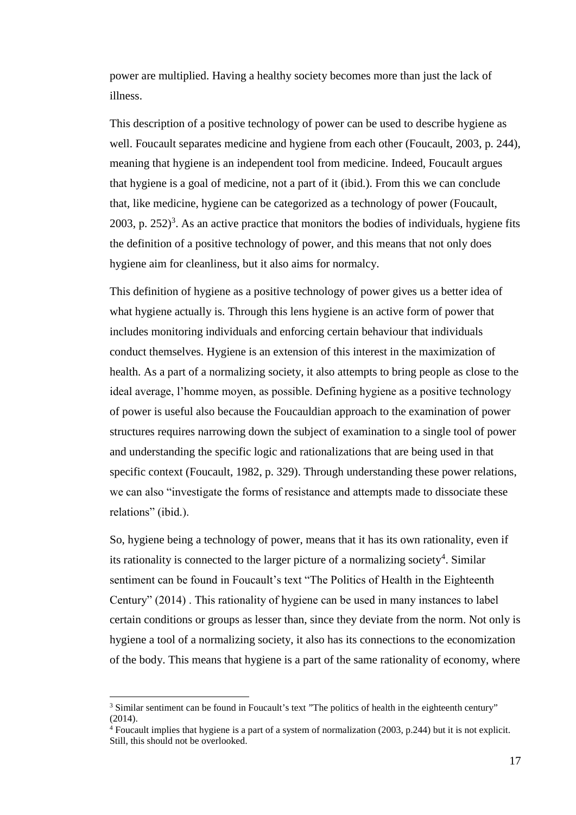power are multiplied. Having a healthy society becomes more than just the lack of illness.

This description of a positive technology of power can be used to describe hygiene as well. Foucault separates medicine and hygiene from each other (Foucault, 2003, p. 244), meaning that hygiene is an independent tool from medicine. Indeed, Foucault argues that hygiene is a goal of medicine, not a part of it (ibid.). From this we can conclude that, like medicine, hygiene can be categorized as a technology of power (Foucault, 2003, p. 252 $3$ . As an active practice that monitors the bodies of individuals, hygiene fits the definition of a positive technology of power, and this means that not only does hygiene aim for cleanliness, but it also aims for normalcy.

This definition of hygiene as a positive technology of power gives us a better idea of what hygiene actually is. Through this lens hygiene is an active form of power that includes monitoring individuals and enforcing certain behaviour that individuals conduct themselves. Hygiene is an extension of this interest in the maximization of health. As a part of a normalizing society, it also attempts to bring people as close to the ideal average, l'homme moyen, as possible. Defining hygiene as a positive technology of power is useful also because the Foucauldian approach to the examination of power structures requires narrowing down the subject of examination to a single tool of power and understanding the specific logic and rationalizations that are being used in that specific context (Foucault, 1982, p. 329). Through understanding these power relations, we can also "investigate the forms of resistance and attempts made to dissociate these relations" (ibid.).

So, hygiene being a technology of power, means that it has its own rationality, even if its rationality is connected to the larger picture of a normalizing society<sup>4</sup>. Similar sentiment can be found in Foucault's text "The Politics of Health in the Eighteenth Century" (2014) . This rationality of hygiene can be used in many instances to label certain conditions or groups as lesser than, since they deviate from the norm. Not only is hygiene a tool of a normalizing society, it also has its connections to the economization of the body. This means that hygiene is a part of the same rationality of economy, where

 $\overline{a}$ 

<sup>&</sup>lt;sup>3</sup> Similar sentiment can be found in Foucault's text "The politics of health in the eighteenth century" (2014).

 $4$  Foucault implies that hygiene is a part of a system of normalization (2003, p.244) but it is not explicit. Still, this should not be overlooked.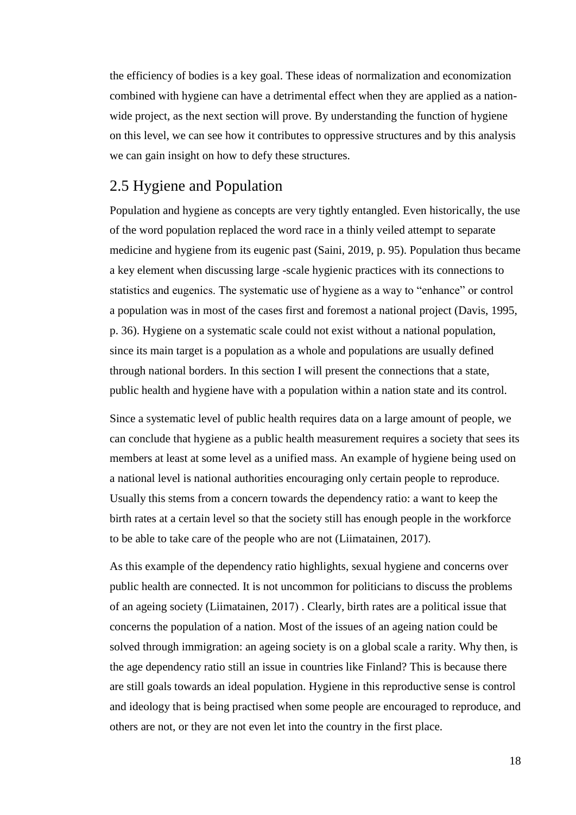the efficiency of bodies is a key goal. These ideas of normalization and economization combined with hygiene can have a detrimental effect when they are applied as a nationwide project, as the next section will prove. By understanding the function of hygiene on this level, we can see how it contributes to oppressive structures and by this analysis we can gain insight on how to defy these structures.

#### <span id="page-20-0"></span>2.5 Hygiene and Population

Population and hygiene as concepts are very tightly entangled. Even historically, the use of the word population replaced the word race in a thinly veiled attempt to separate medicine and hygiene from its eugenic past (Saini, 2019, p. 95). Population thus became a key element when discussing large -scale hygienic practices with its connections to statistics and eugenics. The systematic use of hygiene as a way to "enhance" or control a population was in most of the cases first and foremost a national project (Davis, 1995, p. 36). Hygiene on a systematic scale could not exist without a national population, since its main target is a population as a whole and populations are usually defined through national borders. In this section I will present the connections that a state, public health and hygiene have with a population within a nation state and its control.

Since a systematic level of public health requires data on a large amount of people, we can conclude that hygiene as a public health measurement requires a society that sees its members at least at some level as a unified mass. An example of hygiene being used on a national level is national authorities encouraging only certain people to reproduce. Usually this stems from a concern towards the dependency ratio: a want to keep the birth rates at a certain level so that the society still has enough people in the workforce to be able to take care of the people who are not (Liimatainen, 2017).

As this example of the dependency ratio highlights, sexual hygiene and concerns over public health are connected. It is not uncommon for politicians to discuss the problems of an ageing society (Liimatainen, 2017) . Clearly, birth rates are a political issue that concerns the population of a nation. Most of the issues of an ageing nation could be solved through immigration: an ageing society is on a global scale a rarity. Why then, is the age dependency ratio still an issue in countries like Finland? This is because there are still goals towards an ideal population. Hygiene in this reproductive sense is control and ideology that is being practised when some people are encouraged to reproduce, and others are not, or they are not even let into the country in the first place.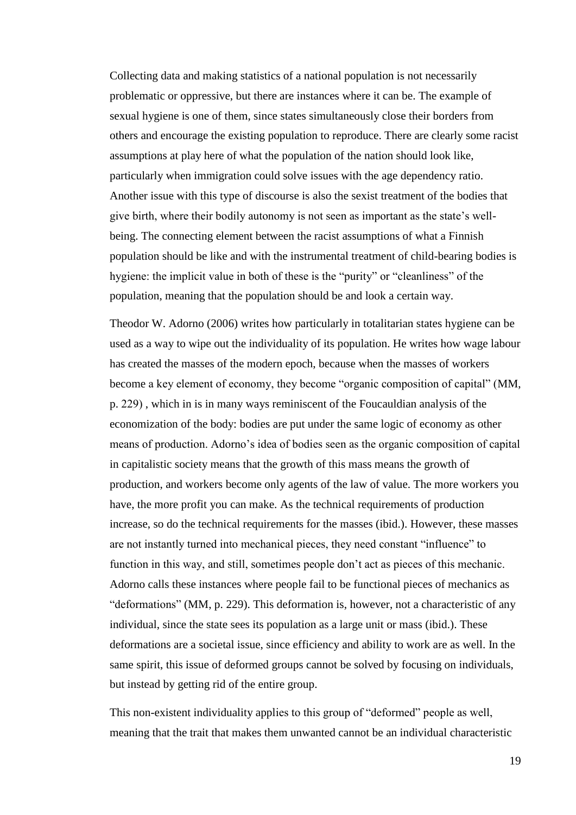Collecting data and making statistics of a national population is not necessarily problematic or oppressive, but there are instances where it can be. The example of sexual hygiene is one of them, since states simultaneously close their borders from others and encourage the existing population to reproduce. There are clearly some racist assumptions at play here of what the population of the nation should look like, particularly when immigration could solve issues with the age dependency ratio. Another issue with this type of discourse is also the sexist treatment of the bodies that give birth, where their bodily autonomy is not seen as important as the state's wellbeing. The connecting element between the racist assumptions of what a Finnish population should be like and with the instrumental treatment of child-bearing bodies is hygiene: the implicit value in both of these is the "purity" or "cleanliness" of the population, meaning that the population should be and look a certain way.

Theodor W. Adorno (2006) writes how particularly in totalitarian states hygiene can be used as a way to wipe out the individuality of its population. He writes how wage labour has created the masses of the modern epoch, because when the masses of workers become a key element of economy, they become "organic composition of capital" (MM, p. 229) , which in is in many ways reminiscent of the Foucauldian analysis of the economization of the body: bodies are put under the same logic of economy as other means of production. Adorno's idea of bodies seen as the organic composition of capital in capitalistic society means that the growth of this mass means the growth of production, and workers become only agents of the law of value. The more workers you have, the more profit you can make. As the technical requirements of production increase, so do the technical requirements for the masses (ibid.). However, these masses are not instantly turned into mechanical pieces, they need constant "influence" to function in this way, and still, sometimes people don't act as pieces of this mechanic. Adorno calls these instances where people fail to be functional pieces of mechanics as "deformations" (MM, p. 229). This deformation is, however, not a characteristic of any individual, since the state sees its population as a large unit or mass (ibid.). These deformations are a societal issue, since efficiency and ability to work are as well. In the same spirit, this issue of deformed groups cannot be solved by focusing on individuals, but instead by getting rid of the entire group.

This non-existent individuality applies to this group of "deformed" people as well, meaning that the trait that makes them unwanted cannot be an individual characteristic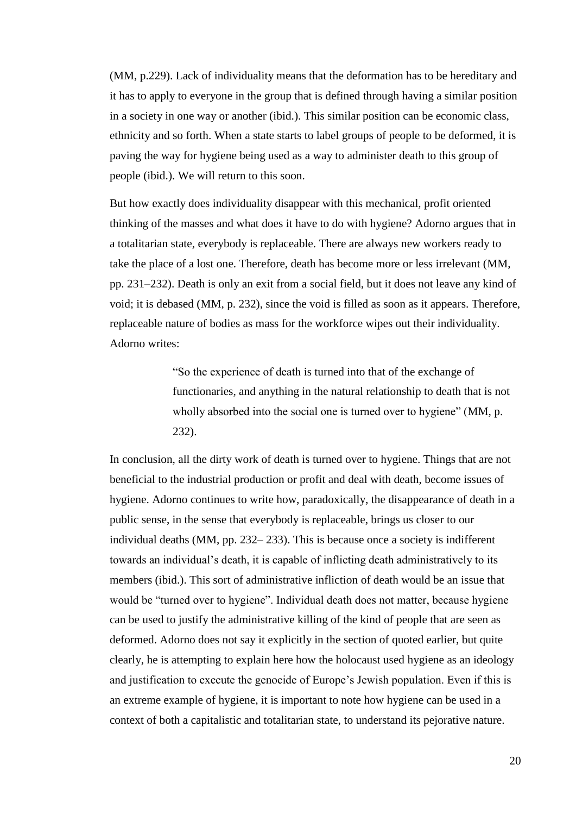(MM, p.229). Lack of individuality means that the deformation has to be hereditary and it has to apply to everyone in the group that is defined through having a similar position in a society in one way or another (ibid.). This similar position can be economic class, ethnicity and so forth. When a state starts to label groups of people to be deformed, it is paving the way for hygiene being used as a way to administer death to this group of people (ibid.). We will return to this soon.

But how exactly does individuality disappear with this mechanical, profit oriented thinking of the masses and what does it have to do with hygiene? Adorno argues that in a totalitarian state, everybody is replaceable. There are always new workers ready to take the place of a lost one. Therefore, death has become more or less irrelevant (MM, pp. 231–232). Death is only an exit from a social field, but it does not leave any kind of void; it is debased (MM, p. 232), since the void is filled as soon as it appears. Therefore, replaceable nature of bodies as mass for the workforce wipes out their individuality. Adorno writes:

> "So the experience of death is turned into that of the exchange of functionaries, and anything in the natural relationship to death that is not wholly absorbed into the social one is turned over to hygiene" (MM, p. 232).

In conclusion, all the dirty work of death is turned over to hygiene. Things that are not beneficial to the industrial production or profit and deal with death, become issues of hygiene. Adorno continues to write how, paradoxically, the disappearance of death in a public sense, in the sense that everybody is replaceable, brings us closer to our individual deaths (MM, pp. 232– 233). This is because once a society is indifferent towards an individual's death, it is capable of inflicting death administratively to its members (ibid.). This sort of administrative infliction of death would be an issue that would be "turned over to hygiene". Individual death does not matter, because hygiene can be used to justify the administrative killing of the kind of people that are seen as deformed. Adorno does not say it explicitly in the section of quoted earlier, but quite clearly, he is attempting to explain here how the holocaust used hygiene as an ideology and justification to execute the genocide of Europe's Jewish population. Even if this is an extreme example of hygiene, it is important to note how hygiene can be used in a context of both a capitalistic and totalitarian state, to understand its pejorative nature.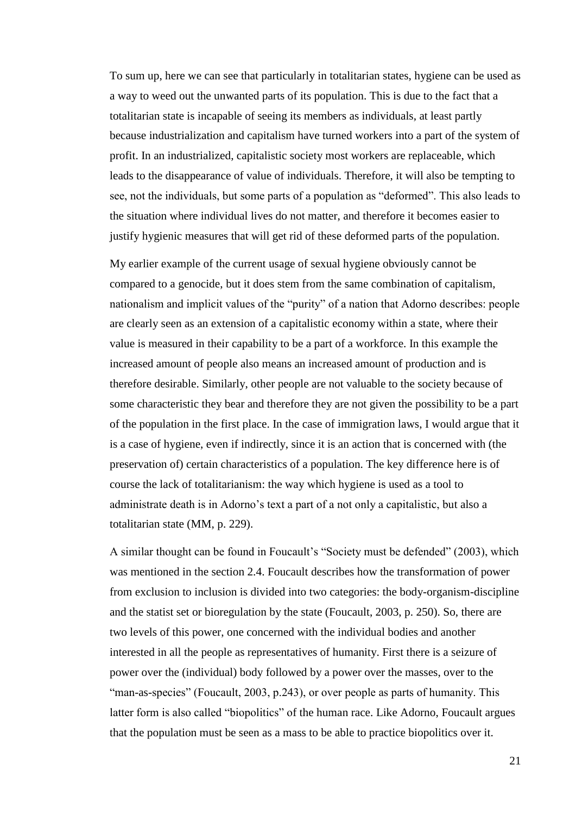To sum up, here we can see that particularly in totalitarian states, hygiene can be used as a way to weed out the unwanted parts of its population. This is due to the fact that a totalitarian state is incapable of seeing its members as individuals, at least partly because industrialization and capitalism have turned workers into a part of the system of profit. In an industrialized, capitalistic society most workers are replaceable, which leads to the disappearance of value of individuals. Therefore, it will also be tempting to see, not the individuals, but some parts of a population as "deformed". This also leads to the situation where individual lives do not matter, and therefore it becomes easier to justify hygienic measures that will get rid of these deformed parts of the population.

My earlier example of the current usage of sexual hygiene obviously cannot be compared to a genocide, but it does stem from the same combination of capitalism, nationalism and implicit values of the "purity" of a nation that Adorno describes: people are clearly seen as an extension of a capitalistic economy within a state, where their value is measured in their capability to be a part of a workforce. In this example the increased amount of people also means an increased amount of production and is therefore desirable. Similarly, other people are not valuable to the society because of some characteristic they bear and therefore they are not given the possibility to be a part of the population in the first place. In the case of immigration laws, I would argue that it is a case of hygiene, even if indirectly, since it is an action that is concerned with (the preservation of) certain characteristics of a population. The key difference here is of course the lack of totalitarianism: the way which hygiene is used as a tool to administrate death is in Adorno's text a part of a not only a capitalistic, but also a totalitarian state (MM, p. 229).

A similar thought can be found in Foucault's "Society must be defended" (2003), which was mentioned in the section 2.4. Foucault describes how the transformation of power from exclusion to inclusion is divided into two categories: the body-organism-discipline and the statist set or bioregulation by the state (Foucault, 2003, p. 250). So, there are two levels of this power, one concerned with the individual bodies and another interested in all the people as representatives of humanity. First there is a seizure of power over the (individual) body followed by a power over the masses, over to the "man-as-species" (Foucault, 2003, p.243), or over people as parts of humanity. This latter form is also called "biopolitics" of the human race. Like Adorno, Foucault argues that the population must be seen as a mass to be able to practice biopolitics over it.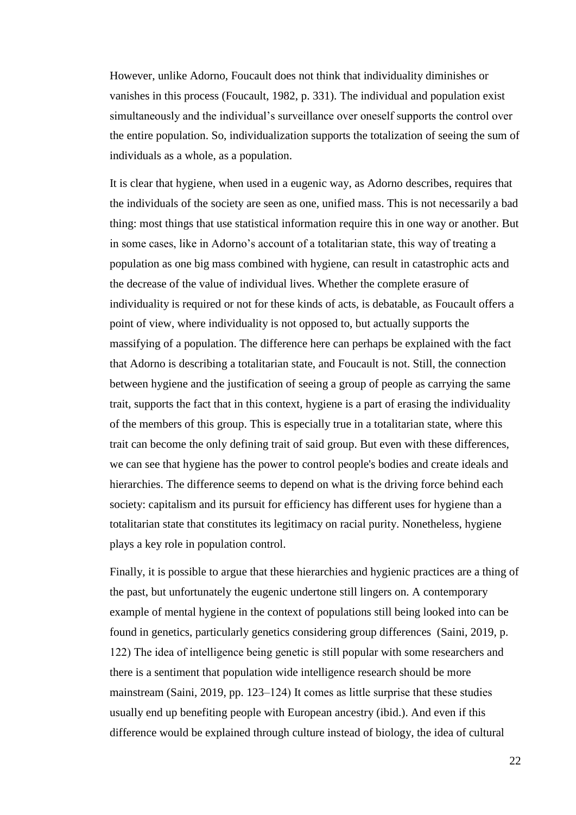However, unlike Adorno, Foucault does not think that individuality diminishes or vanishes in this process (Foucault, 1982, p. 331). The individual and population exist simultaneously and the individual's surveillance over oneself supports the control over the entire population. So, individualization supports the totalization of seeing the sum of individuals as a whole, as a population.

It is clear that hygiene, when used in a eugenic way, as Adorno describes, requires that the individuals of the society are seen as one, unified mass. This is not necessarily a bad thing: most things that use statistical information require this in one way or another. But in some cases, like in Adorno's account of a totalitarian state, this way of treating a population as one big mass combined with hygiene, can result in catastrophic acts and the decrease of the value of individual lives. Whether the complete erasure of individuality is required or not for these kinds of acts, is debatable, as Foucault offers a point of view, where individuality is not opposed to, but actually supports the massifying of a population. The difference here can perhaps be explained with the fact that Adorno is describing a totalitarian state, and Foucault is not. Still, the connection between hygiene and the justification of seeing a group of people as carrying the same trait, supports the fact that in this context, hygiene is a part of erasing the individuality of the members of this group. This is especially true in a totalitarian state, where this trait can become the only defining trait of said group. But even with these differences, we can see that hygiene has the power to control people's bodies and create ideals and hierarchies. The difference seems to depend on what is the driving force behind each society: capitalism and its pursuit for efficiency has different uses for hygiene than a totalitarian state that constitutes its legitimacy on racial purity. Nonetheless, hygiene plays a key role in population control.

Finally, it is possible to argue that these hierarchies and hygienic practices are a thing of the past, but unfortunately the eugenic undertone still lingers on. A contemporary example of mental hygiene in the context of populations still being looked into can be found in genetics, particularly genetics considering group differences (Saini, 2019, p. 122) The idea of intelligence being genetic is still popular with some researchers and there is a sentiment that population wide intelligence research should be more mainstream (Saini, 2019, pp. 123–124) It comes as little surprise that these studies usually end up benefiting people with European ancestry (ibid.). And even if this difference would be explained through culture instead of biology, the idea of cultural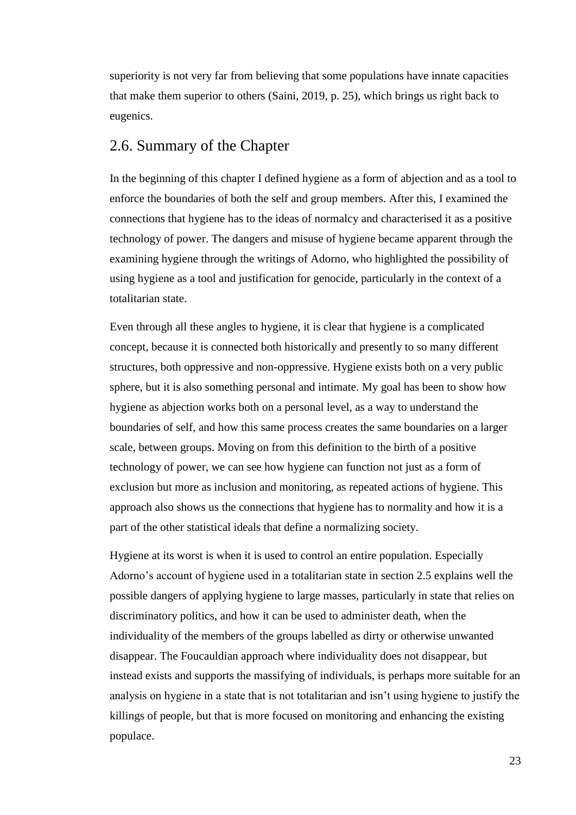superiority is not very far from believing that some populations have innate capacities that make them superior to others (Saini, 2019, p. 25), which brings us right back to eugenics.

### <span id="page-25-0"></span>2.6. Summary of the Chapter

In the beginning of this chapter I defined hygiene as a form of abjection and as a tool to enforce the boundaries of both the self and group members. After this, I examined the connections that hygiene has to the ideas of normalcy and characterised it as a positive technology of power. The dangers and misuse of hygiene became apparent through the examining hygiene through the writings of Adorno, who highlighted the possibility of using hygiene as a tool and justification for genocide, particularly in the context of a totalitarian state.

Even through all these angles to hygiene, it is clear that hygiene is a complicated concept, because it is connected both historically and presently to so many different structures, both oppressive and non-oppressive. Hygiene exists both on a very public sphere, but it is also something personal and intimate. My goal has been to show how hygiene as abjection works both on a personal level, as a way to understand the boundaries of self, and how this same process creates the same boundaries on a larger scale, between groups. Moving on from this definition to the birth of a positive technology of power, we can see how hygiene can function not just as a form of exclusion but more as inclusion and monitoring, as repeated actions of hygiene. This approach also shows us the connections that hygiene has to normality and how it is a part of the other statistical ideals that define a normalizing society.

Hygiene at its worst is when it is used to control an entire population. Especially Adorno's account of hygiene used in a totalitarian state in section 2.5 explains well the possible dangers of applying hygiene to large masses, particularly in state that relies on discriminatory politics, and how it can be used to administer death, when the individuality of the members of the groups labelled as dirty or otherwise unwanted disappear. The Foucauldian approach where individuality does not disappear, but instead exists and supports the massifying of individuals, is perhaps more suitable for an analysis on hygiene in a state that is not totalitarian and isn't using hygiene to justify the killings of people, but that is more focused on monitoring and enhancing the existing populace.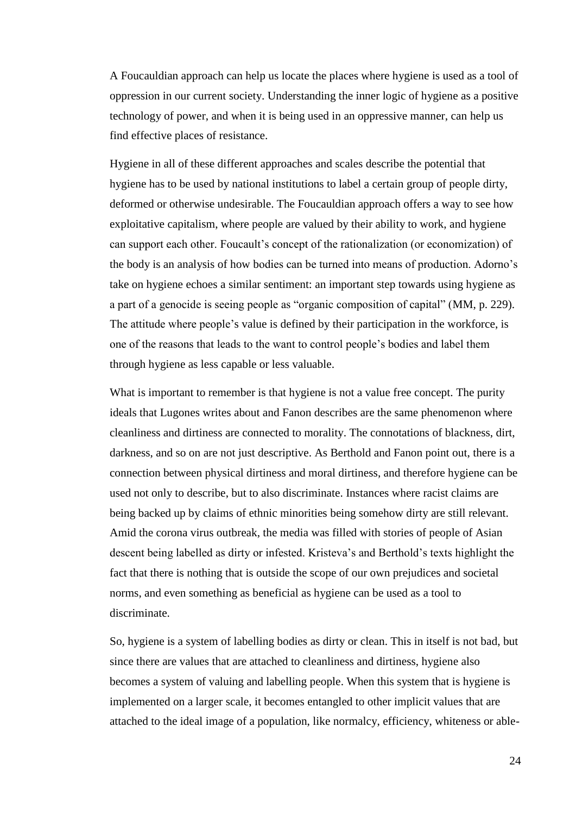A Foucauldian approach can help us locate the places where hygiene is used as a tool of oppression in our current society. Understanding the inner logic of hygiene as a positive technology of power, and when it is being used in an oppressive manner, can help us find effective places of resistance.

Hygiene in all of these different approaches and scales describe the potential that hygiene has to be used by national institutions to label a certain group of people dirty, deformed or otherwise undesirable. The Foucauldian approach offers a way to see how exploitative capitalism, where people are valued by their ability to work, and hygiene can support each other. Foucault's concept of the rationalization (or economization) of the body is an analysis of how bodies can be turned into means of production. Adorno's take on hygiene echoes a similar sentiment: an important step towards using hygiene as a part of a genocide is seeing people as "organic composition of capital" (MM, p. 229). The attitude where people's value is defined by their participation in the workforce, is one of the reasons that leads to the want to control people's bodies and label them through hygiene as less capable or less valuable.

What is important to remember is that hygiene is not a value free concept. The purity ideals that Lugones writes about and Fanon describes are the same phenomenon where cleanliness and dirtiness are connected to morality. The connotations of blackness, dirt, darkness, and so on are not just descriptive. As Berthold and Fanon point out, there is a connection between physical dirtiness and moral dirtiness, and therefore hygiene can be used not only to describe, but to also discriminate. Instances where racist claims are being backed up by claims of ethnic minorities being somehow dirty are still relevant. Amid the corona virus outbreak, the media was filled with stories of people of Asian descent being labelled as dirty or infested. Kristeva's and Berthold's texts highlight the fact that there is nothing that is outside the scope of our own prejudices and societal norms, and even something as beneficial as hygiene can be used as a tool to discriminate.

So, hygiene is a system of labelling bodies as dirty or clean. This in itself is not bad, but since there are values that are attached to cleanliness and dirtiness, hygiene also becomes a system of valuing and labelling people. When this system that is hygiene is implemented on a larger scale, it becomes entangled to other implicit values that are attached to the ideal image of a population, like normalcy, efficiency, whiteness or able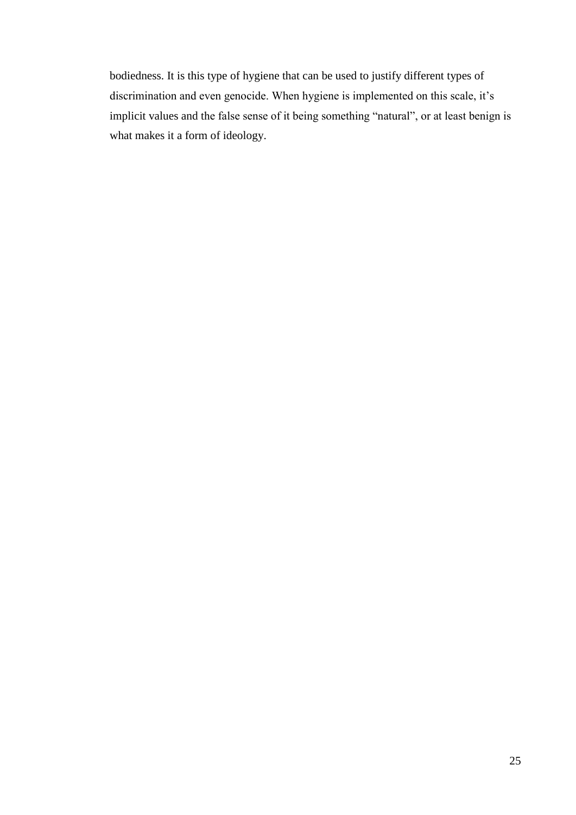bodiedness. It is this type of hygiene that can be used to justify different types of discrimination and even genocide. When hygiene is implemented on this scale, it's implicit values and the false sense of it being something "natural", or at least benign is what makes it a form of ideology.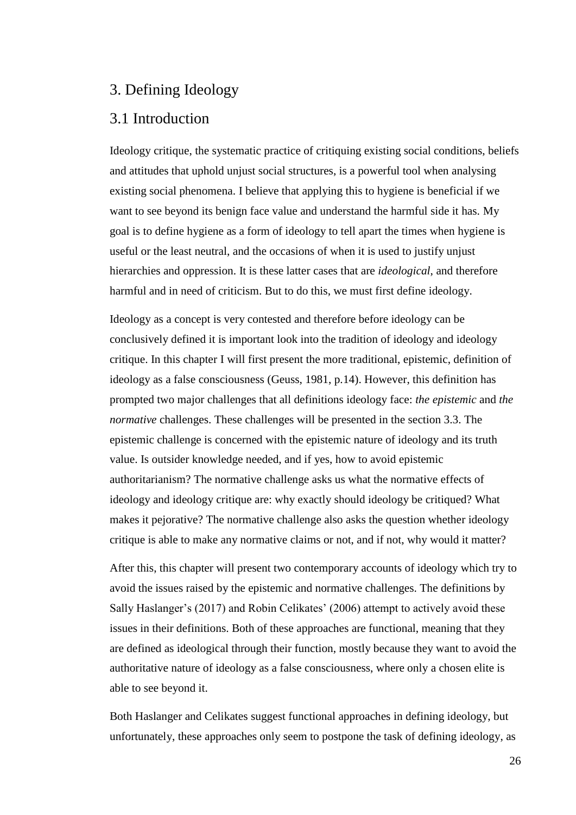### <span id="page-28-0"></span>3. Defining Ideology

#### <span id="page-28-1"></span>3.1 Introduction

Ideology critique, the systematic practice of critiquing existing social conditions, beliefs and attitudes that uphold unjust social structures, is a powerful tool when analysing existing social phenomena. I believe that applying this to hygiene is beneficial if we want to see beyond its benign face value and understand the harmful side it has. My goal is to define hygiene as a form of ideology to tell apart the times when hygiene is useful or the least neutral, and the occasions of when it is used to justify unjust hierarchies and oppression. It is these latter cases that are *ideological*, and therefore harmful and in need of criticism. But to do this, we must first define ideology.

Ideology as a concept is very contested and therefore before ideology can be conclusively defined it is important look into the tradition of ideology and ideology critique. In this chapter I will first present the more traditional, epistemic, definition of ideology as a false consciousness (Geuss, 1981, p.14). However, this definition has prompted two major challenges that all definitions ideology face: *the epistemic* and *the normative* challenges. These challenges will be presented in the section 3.3. The epistemic challenge is concerned with the epistemic nature of ideology and its truth value. Is outsider knowledge needed, and if yes, how to avoid epistemic authoritarianism? The normative challenge asks us what the normative effects of ideology and ideology critique are: why exactly should ideology be critiqued? What makes it pejorative? The normative challenge also asks the question whether ideology critique is able to make any normative claims or not, and if not, why would it matter?

After this, this chapter will present two contemporary accounts of ideology which try to avoid the issues raised by the epistemic and normative challenges. The definitions by Sally Haslanger's (2017) and Robin Celikates' (2006) attempt to actively avoid these issues in their definitions. Both of these approaches are functional, meaning that they are defined as ideological through their function, mostly because they want to avoid the authoritative nature of ideology as a false consciousness, where only a chosen elite is able to see beyond it.

Both Haslanger and Celikates suggest functional approaches in defining ideology, but unfortunately, these approaches only seem to postpone the task of defining ideology, as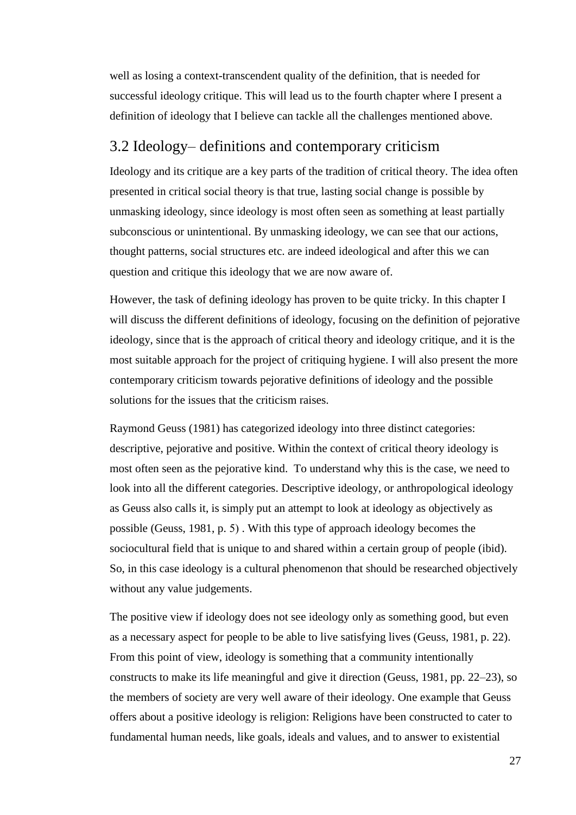well as losing a context-transcendent quality of the definition, that is needed for successful ideology critique. This will lead us to the fourth chapter where I present a definition of ideology that I believe can tackle all the challenges mentioned above.

### <span id="page-29-0"></span>3.2 Ideology– definitions and contemporary criticism

Ideology and its critique are a key parts of the tradition of critical theory. The idea often presented in critical social theory is that true, lasting social change is possible by unmasking ideology, since ideology is most often seen as something at least partially subconscious or unintentional. By unmasking ideology, we can see that our actions, thought patterns, social structures etc. are indeed ideological and after this we can question and critique this ideology that we are now aware of.

However, the task of defining ideology has proven to be quite tricky. In this chapter I will discuss the different definitions of ideology, focusing on the definition of pejorative ideology, since that is the approach of critical theory and ideology critique, and it is the most suitable approach for the project of critiquing hygiene. I will also present the more contemporary criticism towards pejorative definitions of ideology and the possible solutions for the issues that the criticism raises.

Raymond Geuss (1981) has categorized ideology into three distinct categories: descriptive, pejorative and positive. Within the context of critical theory ideology is most often seen as the pejorative kind. To understand why this is the case, we need to look into all the different categories. Descriptive ideology, or anthropological ideology as Geuss also calls it, is simply put an attempt to look at ideology as objectively as possible (Geuss, 1981, p. 5) . With this type of approach ideology becomes the sociocultural field that is unique to and shared within a certain group of people (ibid). So, in this case ideology is a cultural phenomenon that should be researched objectively without any value judgements.

The positive view if ideology does not see ideology only as something good, but even as a necessary aspect for people to be able to live satisfying lives (Geuss, 1981, p. 22). From this point of view, ideology is something that a community intentionally constructs to make its life meaningful and give it direction (Geuss, 1981, pp. 22–23), so the members of society are very well aware of their ideology. One example that Geuss offers about a positive ideology is religion: Religions have been constructed to cater to fundamental human needs, like goals, ideals and values, and to answer to existential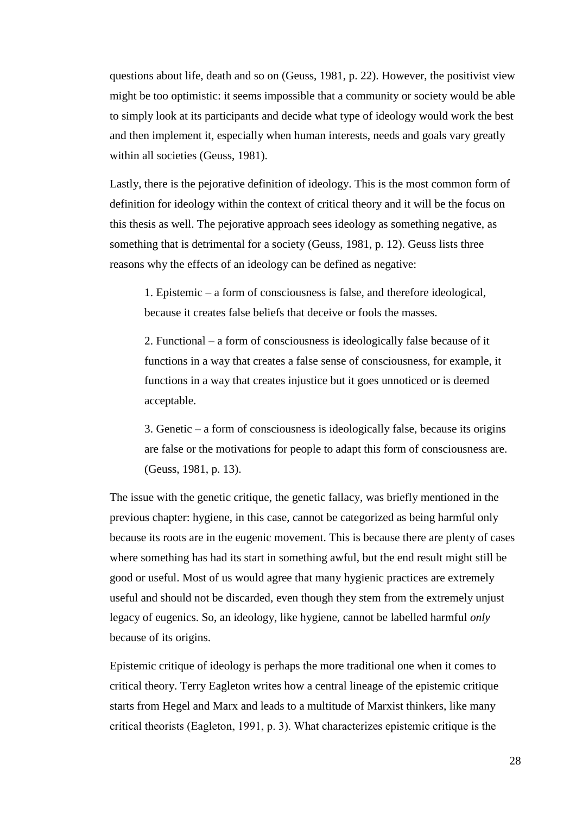questions about life, death and so on (Geuss, 1981, p. 22). However, the positivist view might be too optimistic: it seems impossible that a community or society would be able to simply look at its participants and decide what type of ideology would work the best and then implement it, especially when human interests, needs and goals vary greatly within all societies (Geuss, 1981).

Lastly, there is the pejorative definition of ideology. This is the most common form of definition for ideology within the context of critical theory and it will be the focus on this thesis as well. The pejorative approach sees ideology as something negative, as something that is detrimental for a society (Geuss, 1981, p. 12). Geuss lists three reasons why the effects of an ideology can be defined as negative:

1. Epistemic – a form of consciousness is false, and therefore ideological, because it creates false beliefs that deceive or fools the masses.

2. Functional – a form of consciousness is ideologically false because of it functions in a way that creates a false sense of consciousness, for example, it functions in a way that creates injustice but it goes unnoticed or is deemed acceptable.

3. Genetic – a form of consciousness is ideologically false, because its origins are false or the motivations for people to adapt this form of consciousness are. (Geuss, 1981, p. 13).

The issue with the genetic critique, the genetic fallacy, was briefly mentioned in the previous chapter: hygiene, in this case, cannot be categorized as being harmful only because its roots are in the eugenic movement. This is because there are plenty of cases where something has had its start in something awful, but the end result might still be good or useful. Most of us would agree that many hygienic practices are extremely useful and should not be discarded, even though they stem from the extremely unjust legacy of eugenics. So, an ideology, like hygiene, cannot be labelled harmful *only* because of its origins.

Epistemic critique of ideology is perhaps the more traditional one when it comes to critical theory. Terry Eagleton writes how a central lineage of the epistemic critique starts from Hegel and Marx and leads to a multitude of Marxist thinkers, like many critical theorists (Eagleton, 1991, p. 3). What characterizes epistemic critique is the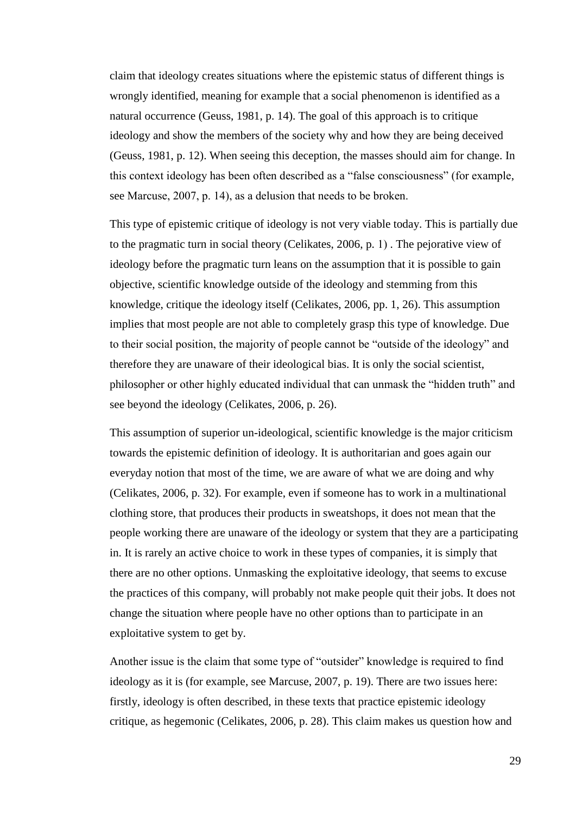claim that ideology creates situations where the epistemic status of different things is wrongly identified, meaning for example that a social phenomenon is identified as a natural occurrence (Geuss, 1981, p. 14). The goal of this approach is to critique ideology and show the members of the society why and how they are being deceived (Geuss, 1981, p. 12). When seeing this deception, the masses should aim for change. In this context ideology has been often described as a "false consciousness" (for example, see Marcuse, 2007, p. 14), as a delusion that needs to be broken.

This type of epistemic critique of ideology is not very viable today. This is partially due to the pragmatic turn in social theory (Celikates, 2006, p. 1) . The pejorative view of ideology before the pragmatic turn leans on the assumption that it is possible to gain objective, scientific knowledge outside of the ideology and stemming from this knowledge, critique the ideology itself (Celikates, 2006, pp. 1, 26). This assumption implies that most people are not able to completely grasp this type of knowledge. Due to their social position, the majority of people cannot be "outside of the ideology" and therefore they are unaware of their ideological bias. It is only the social scientist, philosopher or other highly educated individual that can unmask the "hidden truth" and see beyond the ideology (Celikates, 2006, p. 26).

This assumption of superior un-ideological, scientific knowledge is the major criticism towards the epistemic definition of ideology. It is authoritarian and goes again our everyday notion that most of the time, we are aware of what we are doing and why (Celikates, 2006, p. 32). For example, even if someone has to work in a multinational clothing store, that produces their products in sweatshops, it does not mean that the people working there are unaware of the ideology or system that they are a participating in. It is rarely an active choice to work in these types of companies, it is simply that there are no other options. Unmasking the exploitative ideology, that seems to excuse the practices of this company, will probably not make people quit their jobs. It does not change the situation where people have no other options than to participate in an exploitative system to get by.

Another issue is the claim that some type of "outsider" knowledge is required to find ideology as it is (for example, see Marcuse, 2007, p. 19). There are two issues here: firstly, ideology is often described, in these texts that practice epistemic ideology critique, as hegemonic (Celikates, 2006, p. 28). This claim makes us question how and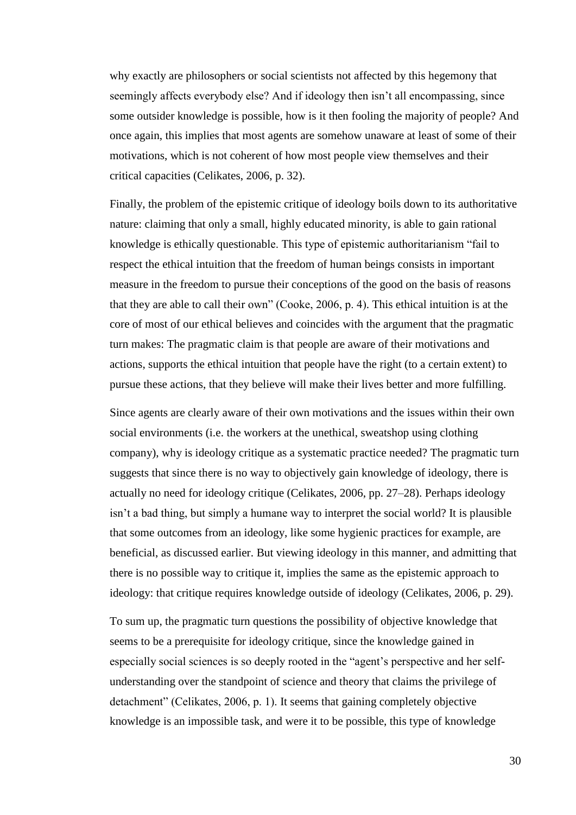why exactly are philosophers or social scientists not affected by this hegemony that seemingly affects everybody else? And if ideology then isn't all encompassing, since some outsider knowledge is possible, how is it then fooling the majority of people? And once again, this implies that most agents are somehow unaware at least of some of their motivations, which is not coherent of how most people view themselves and their critical capacities (Celikates, 2006, p. 32).

Finally, the problem of the epistemic critique of ideology boils down to its authoritative nature: claiming that only a small, highly educated minority, is able to gain rational knowledge is ethically questionable. This type of epistemic authoritarianism "fail to respect the ethical intuition that the freedom of human beings consists in important measure in the freedom to pursue their conceptions of the good on the basis of reasons that they are able to call their own" (Cooke, 2006, p. 4). This ethical intuition is at the core of most of our ethical believes and coincides with the argument that the pragmatic turn makes: The pragmatic claim is that people are aware of their motivations and actions, supports the ethical intuition that people have the right (to a certain extent) to pursue these actions, that they believe will make their lives better and more fulfilling.

Since agents are clearly aware of their own motivations and the issues within their own social environments (i.e. the workers at the unethical, sweatshop using clothing company), why is ideology critique as a systematic practice needed? The pragmatic turn suggests that since there is no way to objectively gain knowledge of ideology, there is actually no need for ideology critique (Celikates, 2006, pp. 27–28). Perhaps ideology isn't a bad thing, but simply a humane way to interpret the social world? It is plausible that some outcomes from an ideology, like some hygienic practices for example, are beneficial, as discussed earlier. But viewing ideology in this manner, and admitting that there is no possible way to critique it, implies the same as the epistemic approach to ideology: that critique requires knowledge outside of ideology (Celikates, 2006, p. 29).

To sum up, the pragmatic turn questions the possibility of objective knowledge that seems to be a prerequisite for ideology critique, since the knowledge gained in especially social sciences is so deeply rooted in the "agent's perspective and her selfunderstanding over the standpoint of science and theory that claims the privilege of detachment" (Celikates, 2006, p. 1). It seems that gaining completely objective knowledge is an impossible task, and were it to be possible, this type of knowledge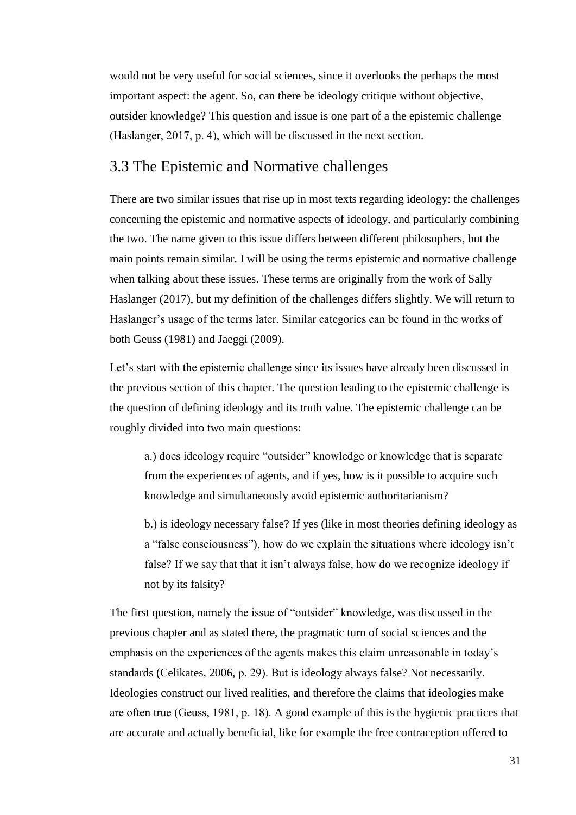would not be very useful for social sciences, since it overlooks the perhaps the most important aspect: the agent. So, can there be ideology critique without objective, outsider knowledge? This question and issue is one part of a the epistemic challenge (Haslanger, 2017, p. 4), which will be discussed in the next section.

#### <span id="page-33-0"></span>3.3 The Epistemic and Normative challenges

There are two similar issues that rise up in most texts regarding ideology: the challenges concerning the epistemic and normative aspects of ideology, and particularly combining the two. The name given to this issue differs between different philosophers, but the main points remain similar. I will be using the terms epistemic and normative challenge when talking about these issues. These terms are originally from the work of Sally Haslanger (2017), but my definition of the challenges differs slightly. We will return to Haslanger's usage of the terms later. Similar categories can be found in the works of both Geuss (1981) and Jaeggi (2009).

Let's start with the epistemic challenge since its issues have already been discussed in the previous section of this chapter. The question leading to the epistemic challenge is the question of defining ideology and its truth value. The epistemic challenge can be roughly divided into two main questions:

a.) does ideology require "outsider" knowledge or knowledge that is separate from the experiences of agents, and if yes, how is it possible to acquire such knowledge and simultaneously avoid epistemic authoritarianism?

b.) is ideology necessary false? If yes (like in most theories defining ideology as a "false consciousness"), how do we explain the situations where ideology isn't false? If we say that that it isn't always false, how do we recognize ideology if not by its falsity?

The first question, namely the issue of "outsider" knowledge, was discussed in the previous chapter and as stated there, the pragmatic turn of social sciences and the emphasis on the experiences of the agents makes this claim unreasonable in today's standards (Celikates, 2006, p. 29). But is ideology always false? Not necessarily. Ideologies construct our lived realities, and therefore the claims that ideologies make are often true (Geuss, 1981, p. 18). A good example of this is the hygienic practices that are accurate and actually beneficial, like for example the free contraception offered to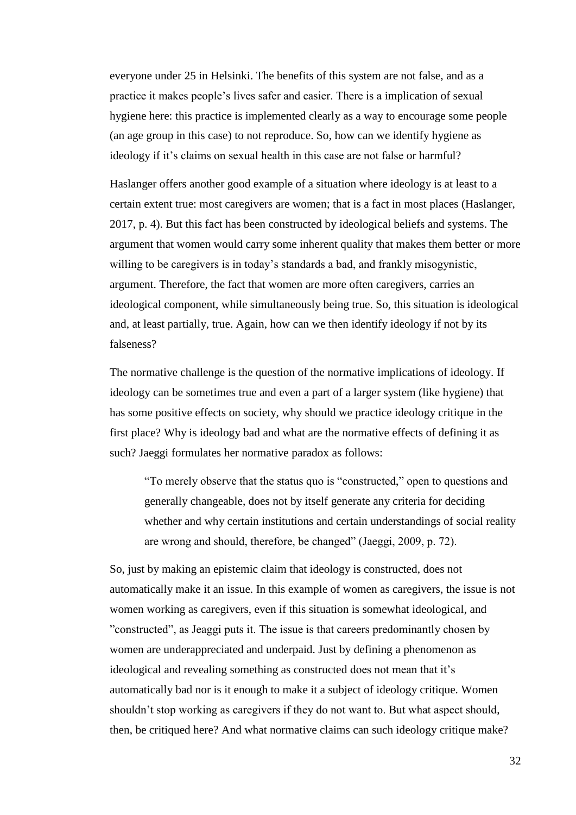everyone under 25 in Helsinki. The benefits of this system are not false, and as a practice it makes people's lives safer and easier. There is a implication of sexual hygiene here: this practice is implemented clearly as a way to encourage some people (an age group in this case) to not reproduce. So, how can we identify hygiene as ideology if it's claims on sexual health in this case are not false or harmful?

Haslanger offers another good example of a situation where ideology is at least to a certain extent true: most caregivers are women; that is a fact in most places (Haslanger, 2017, p. 4). But this fact has been constructed by ideological beliefs and systems. The argument that women would carry some inherent quality that makes them better or more willing to be caregivers is in today's standards a bad, and frankly misogynistic, argument. Therefore, the fact that women are more often caregivers, carries an ideological component, while simultaneously being true. So, this situation is ideological and, at least partially, true. Again, how can we then identify ideology if not by its falseness?

The normative challenge is the question of the normative implications of ideology. If ideology can be sometimes true and even a part of a larger system (like hygiene) that has some positive effects on society, why should we practice ideology critique in the first place? Why is ideology bad and what are the normative effects of defining it as such? Jaeggi formulates her normative paradox as follows:

"To merely observe that the status quo is "constructed," open to questions and generally changeable, does not by itself generate any criteria for deciding whether and why certain institutions and certain understandings of social reality are wrong and should, therefore, be changed" (Jaeggi, 2009, p. 72).

So, just by making an epistemic claim that ideology is constructed, does not automatically make it an issue. In this example of women as caregivers, the issue is not women working as caregivers, even if this situation is somewhat ideological, and "constructed", as Jeaggi puts it. The issue is that careers predominantly chosen by women are underappreciated and underpaid. Just by defining a phenomenon as ideological and revealing something as constructed does not mean that it's automatically bad nor is it enough to make it a subject of ideology critique. Women shouldn't stop working as caregivers if they do not want to. But what aspect should, then, be critiqued here? And what normative claims can such ideology critique make?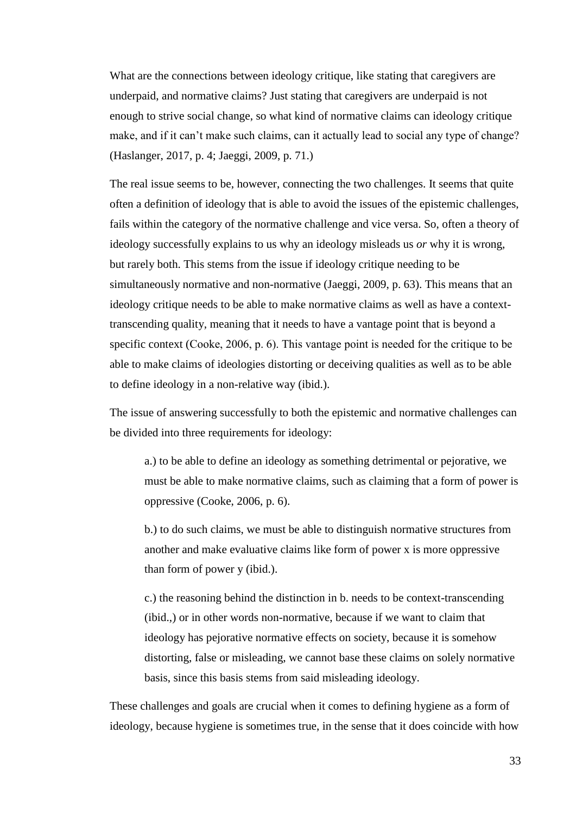What are the connections between ideology critique, like stating that caregivers are underpaid, and normative claims? Just stating that caregivers are underpaid is not enough to strive social change, so what kind of normative claims can ideology critique make, and if it can't make such claims, can it actually lead to social any type of change? (Haslanger, 2017, p. 4; Jaeggi, 2009, p. 71.)

The real issue seems to be, however, connecting the two challenges. It seems that quite often a definition of ideology that is able to avoid the issues of the epistemic challenges, fails within the category of the normative challenge and vice versa. So, often a theory of ideology successfully explains to us why an ideology misleads us *or* why it is wrong, but rarely both. This stems from the issue if ideology critique needing to be simultaneously normative and non-normative (Jaeggi, 2009, p. 63). This means that an ideology critique needs to be able to make normative claims as well as have a contexttranscending quality, meaning that it needs to have a vantage point that is beyond a specific context (Cooke, 2006, p. 6). This vantage point is needed for the critique to be able to make claims of ideologies distorting or deceiving qualities as well as to be able to define ideology in a non-relative way (ibid.).

The issue of answering successfully to both the epistemic and normative challenges can be divided into three requirements for ideology:

a.) to be able to define an ideology as something detrimental or pejorative, we must be able to make normative claims, such as claiming that a form of power is oppressive (Cooke, 2006, p. 6).

b.) to do such claims, we must be able to distinguish normative structures from another and make evaluative claims like form of power x is more oppressive than form of power y (ibid.).

c.) the reasoning behind the distinction in b. needs to be context-transcending (ibid.,) or in other words non-normative, because if we want to claim that ideology has pejorative normative effects on society, because it is somehow distorting, false or misleading, we cannot base these claims on solely normative basis, since this basis stems from said misleading ideology.

These challenges and goals are crucial when it comes to defining hygiene as a form of ideology, because hygiene is sometimes true, in the sense that it does coincide with how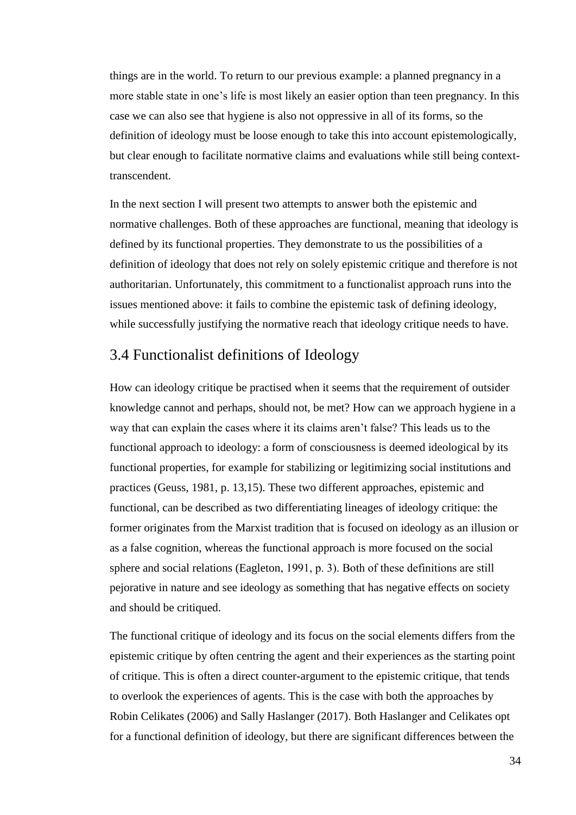things are in the world. To return to our previous example: a planned pregnancy in a more stable state in one's life is most likely an easier option than teen pregnancy. In this case we can also see that hygiene is also not oppressive in all of its forms, so the definition of ideology must be loose enough to take this into account epistemologically, but clear enough to facilitate normative claims and evaluations while still being contexttranscendent.

In the next section I will present two attempts to answer both the epistemic and normative challenges. Both of these approaches are functional, meaning that ideology is defined by its functional properties. They demonstrate to us the possibilities of a definition of ideology that does not rely on solely epistemic critique and therefore is not authoritarian. Unfortunately, this commitment to a functionalist approach runs into the issues mentioned above: it fails to combine the epistemic task of defining ideology, while successfully justifying the normative reach that ideology critique needs to have.

### 3.4 Functionalist definitions of Ideology

How can ideology critique be practised when it seems that the requirement of outsider knowledge cannot and perhaps, should not, be met? How can we approach hygiene in a way that can explain the cases where it its claims aren't false? This leads us to the functional approach to ideology: a form of consciousness is deemed ideological by its functional properties, for example for stabilizing or legitimizing social institutions and practices (Geuss, 1981, p. 13,15). These two different approaches, epistemic and functional, can be described as two differentiating lineages of ideology critique: the former originates from the Marxist tradition that is focused on ideology as an illusion or as a false cognition, whereas the functional approach is more focused on the social sphere and social relations (Eagleton, 1991, p. 3). Both of these definitions are still pejorative in nature and see ideology as something that has negative effects on society and should be critiqued.

The functional critique of ideology and its focus on the social elements differs from the epistemic critique by often centring the agent and their experiences as the starting point of critique. This is often a direct counter-argument to the epistemic critique, that tends to overlook the experiences of agents. This is the case with both the approaches by Robin Celikates (2006) and Sally Haslanger (2017). Both Haslanger and Celikates opt for a functional definition of ideology, but there are significant differences between the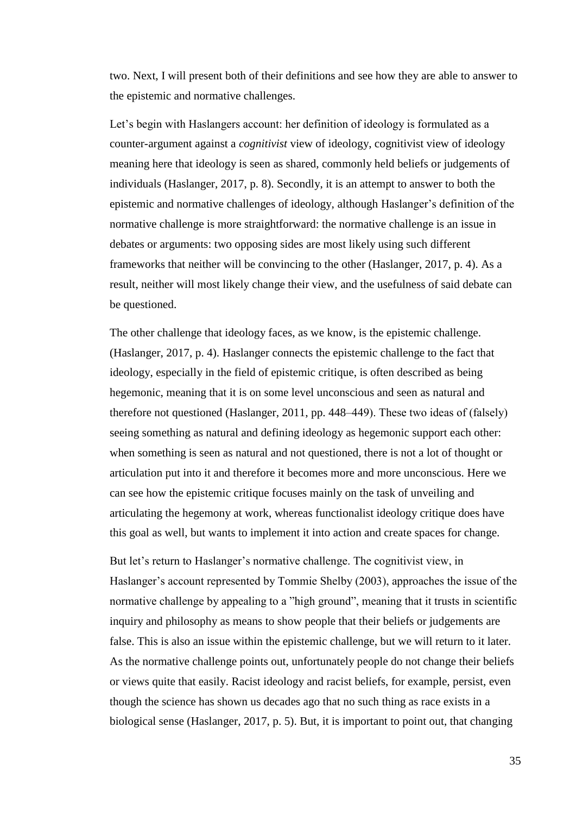two. Next, I will present both of their definitions and see how they are able to answer to the epistemic and normative challenges.

Let's begin with Haslangers account: her definition of ideology is formulated as a counter-argument against a *cognitivist* view of ideology, cognitivist view of ideology meaning here that ideology is seen as shared, commonly held beliefs or judgements of individuals (Haslanger, 2017, p. 8). Secondly, it is an attempt to answer to both the epistemic and normative challenges of ideology, although Haslanger's definition of the normative challenge is more straightforward: the normative challenge is an issue in debates or arguments: two opposing sides are most likely using such different frameworks that neither will be convincing to the other (Haslanger, 2017, p. 4). As a result, neither will most likely change their view, and the usefulness of said debate can be questioned.

The other challenge that ideology faces, as we know, is the epistemic challenge. (Haslanger, 2017, p. 4). Haslanger connects the epistemic challenge to the fact that ideology, especially in the field of epistemic critique, is often described as being hegemonic, meaning that it is on some level unconscious and seen as natural and therefore not questioned (Haslanger, 2011, pp. 448–449). These two ideas of (falsely) seeing something as natural and defining ideology as hegemonic support each other: when something is seen as natural and not questioned, there is not a lot of thought or articulation put into it and therefore it becomes more and more unconscious. Here we can see how the epistemic critique focuses mainly on the task of unveiling and articulating the hegemony at work, whereas functionalist ideology critique does have this goal as well, but wants to implement it into action and create spaces for change.

But let's return to Haslanger's normative challenge. The cognitivist view, in Haslanger's account represented by Tommie Shelby (2003), approaches the issue of the normative challenge by appealing to a "high ground", meaning that it trusts in scientific inquiry and philosophy as means to show people that their beliefs or judgements are false. This is also an issue within the epistemic challenge, but we will return to it later. As the normative challenge points out, unfortunately people do not change their beliefs or views quite that easily. Racist ideology and racist beliefs, for example, persist, even though the science has shown us decades ago that no such thing as race exists in a biological sense (Haslanger, 2017, p. 5). But, it is important to point out, that changing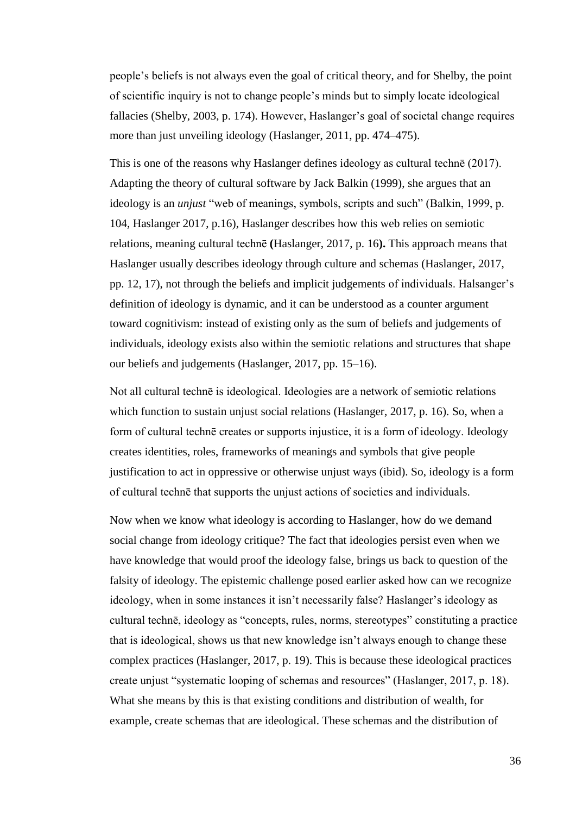people's beliefs is not always even the goal of critical theory, and for Shelby, the point of scientific inquiry is not to change people's minds but to simply locate ideological fallacies (Shelby, 2003, p. 174). However, Haslanger's goal of societal change requires more than just unveiling ideology (Haslanger, 2011, pp. 474–475).

This is one of the reasons why Haslanger defines ideology as cultural technē (2017). Adapting the theory of cultural software by Jack Balkin (1999), she argues that an ideology is an *unjust* "web of meanings, symbols, scripts and such" (Balkin, 1999, p. 104, Haslanger 2017, p.16), Haslanger describes how this web relies on semiotic relations, meaning cultural technē **(**Haslanger, 2017, p. 16**).** This approach means that Haslanger usually describes ideology through culture and schemas (Haslanger, 2017, pp. 12, 17), not through the beliefs and implicit judgements of individuals. Halsanger's definition of ideology is dynamic, and it can be understood as a counter argument toward cognitivism: instead of existing only as the sum of beliefs and judgements of individuals, ideology exists also within the semiotic relations and structures that shape our beliefs and judgements (Haslanger, 2017, pp. 15–16).

Not all cultural technē is ideological. Ideologies are a network of semiotic relations which function to sustain unjust social relations (Haslanger, 2017, p. 16). So, when a form of cultural technē creates or supports injustice, it is a form of ideology. Ideology creates identities, roles, frameworks of meanings and symbols that give people justification to act in oppressive or otherwise unjust ways (ibid). So, ideology is a form of cultural technē that supports the unjust actions of societies and individuals.

Now when we know what ideology is according to Haslanger, how do we demand social change from ideology critique? The fact that ideologies persist even when we have knowledge that would proof the ideology false, brings us back to question of the falsity of ideology. The epistemic challenge posed earlier asked how can we recognize ideology, when in some instances it isn't necessarily false? Haslanger's ideology as cultural technē, ideology as "concepts, rules, norms, stereotypes" constituting a practice that is ideological, shows us that new knowledge isn't always enough to change these complex practices (Haslanger, 2017, p. 19). This is because these ideological practices create unjust "systematic looping of schemas and resources" (Haslanger, 2017, p. 18). What she means by this is that existing conditions and distribution of wealth, for example, create schemas that are ideological. These schemas and the distribution of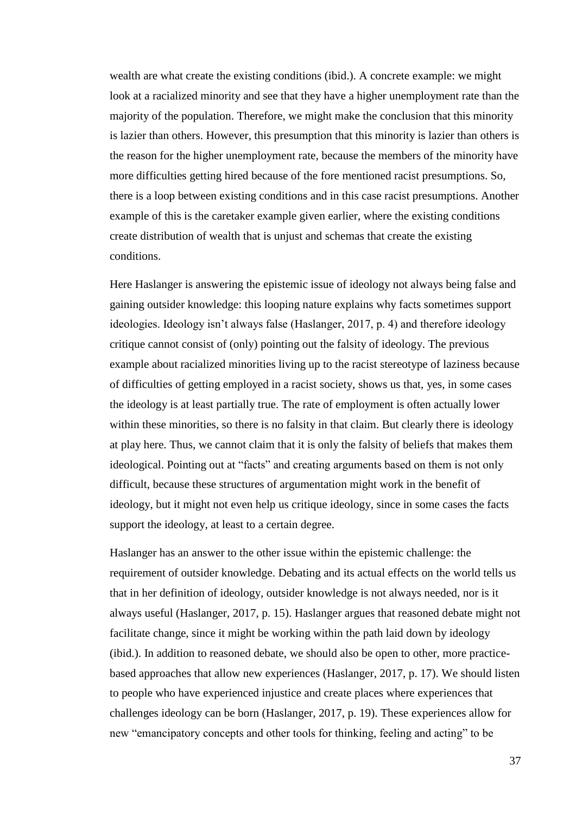wealth are what create the existing conditions (ibid.). A concrete example: we might look at a racialized minority and see that they have a higher unemployment rate than the majority of the population. Therefore, we might make the conclusion that this minority is lazier than others. However, this presumption that this minority is lazier than others is the reason for the higher unemployment rate, because the members of the minority have more difficulties getting hired because of the fore mentioned racist presumptions. So, there is a loop between existing conditions and in this case racist presumptions. Another example of this is the caretaker example given earlier, where the existing conditions create distribution of wealth that is unjust and schemas that create the existing conditions.

Here Haslanger is answering the epistemic issue of ideology not always being false and gaining outsider knowledge: this looping nature explains why facts sometimes support ideologies. Ideology isn't always false (Haslanger, 2017, p. 4) and therefore ideology critique cannot consist of (only) pointing out the falsity of ideology. The previous example about racialized minorities living up to the racist stereotype of laziness because of difficulties of getting employed in a racist society, shows us that, yes, in some cases the ideology is at least partially true. The rate of employment is often actually lower within these minorities, so there is no falsity in that claim. But clearly there is ideology at play here. Thus, we cannot claim that it is only the falsity of beliefs that makes them ideological. Pointing out at "facts" and creating arguments based on them is not only difficult, because these structures of argumentation might work in the benefit of ideology, but it might not even help us critique ideology, since in some cases the facts support the ideology, at least to a certain degree.

Haslanger has an answer to the other issue within the epistemic challenge: the requirement of outsider knowledge. Debating and its actual effects on the world tells us that in her definition of ideology, outsider knowledge is not always needed, nor is it always useful (Haslanger, 2017, p. 15). Haslanger argues that reasoned debate might not facilitate change, since it might be working within the path laid down by ideology (ibid.). In addition to reasoned debate, we should also be open to other, more practicebased approaches that allow new experiences (Haslanger, 2017, p. 17). We should listen to people who have experienced injustice and create places where experiences that challenges ideology can be born (Haslanger, 2017, p. 19). These experiences allow for new "emancipatory concepts and other tools for thinking, feeling and acting" to be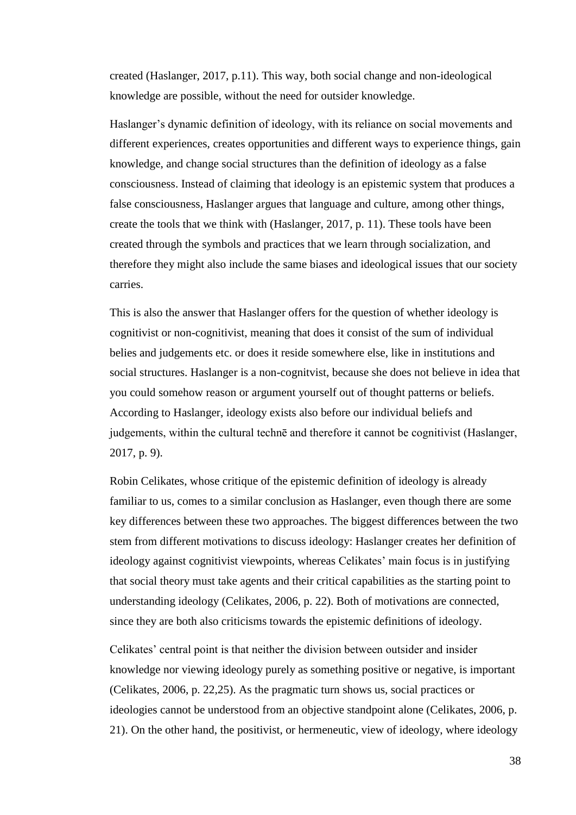created (Haslanger, 2017, p.11). This way, both social change and non-ideological knowledge are possible, without the need for outsider knowledge.

Haslanger's dynamic definition of ideology, with its reliance on social movements and different experiences, creates opportunities and different ways to experience things, gain knowledge, and change social structures than the definition of ideology as a false consciousness. Instead of claiming that ideology is an epistemic system that produces a false consciousness, Haslanger argues that language and culture, among other things, create the tools that we think with (Haslanger, 2017, p. 11). These tools have been created through the symbols and practices that we learn through socialization, and therefore they might also include the same biases and ideological issues that our society carries.

This is also the answer that Haslanger offers for the question of whether ideology is cognitivist or non-cognitivist, meaning that does it consist of the sum of individual belies and judgements etc. or does it reside somewhere else, like in institutions and social structures. Haslanger is a non-cognitvist, because she does not believe in idea that you could somehow reason or argument yourself out of thought patterns or beliefs. According to Haslanger, ideology exists also before our individual beliefs and judgements, within the cultural technē and therefore it cannot be cognitivist (Haslanger, 2017, p. 9).

Robin Celikates, whose critique of the epistemic definition of ideology is already familiar to us, comes to a similar conclusion as Haslanger, even though there are some key differences between these two approaches. The biggest differences between the two stem from different motivations to discuss ideology: Haslanger creates her definition of ideology against cognitivist viewpoints, whereas Celikates' main focus is in justifying that social theory must take agents and their critical capabilities as the starting point to understanding ideology (Celikates, 2006, p. 22). Both of motivations are connected, since they are both also criticisms towards the epistemic definitions of ideology.

Celikates' central point is that neither the division between outsider and insider knowledge nor viewing ideology purely as something positive or negative, is important (Celikates, 2006, p. 22,25). As the pragmatic turn shows us, social practices or ideologies cannot be understood from an objective standpoint alone (Celikates, 2006, p. 21). On the other hand, the positivist, or hermeneutic, view of ideology, where ideology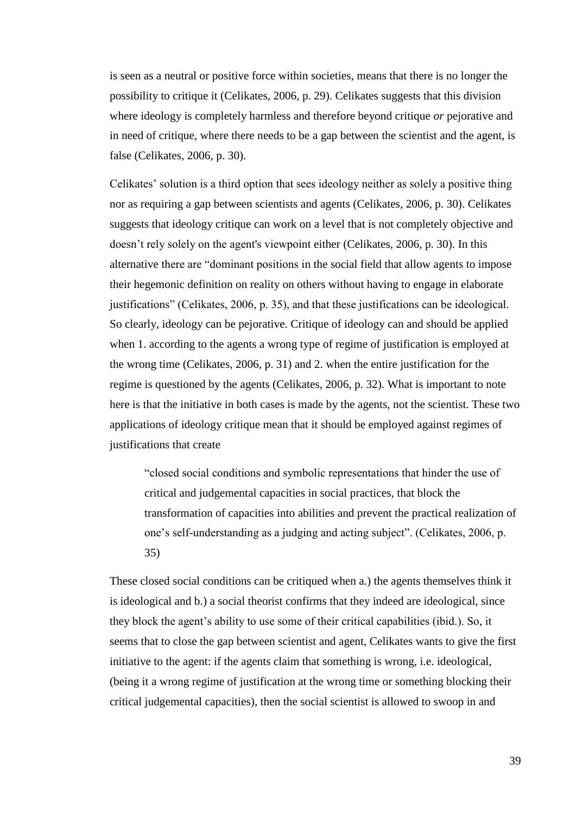is seen as a neutral or positive force within societies, means that there is no longer the possibility to critique it (Celikates, 2006, p. 29). Celikates suggests that this division where ideology is completely harmless and therefore beyond critique *or* pejorative and in need of critique, where there needs to be a gap between the scientist and the agent, is false (Celikates, 2006, p. 30).

Celikates' solution is a third option that sees ideology neither as solely a positive thing nor as requiring a gap between scientists and agents (Celikates, 2006, p. 30). Celikates suggests that ideology critique can work on a level that is not completely objective and doesn't rely solely on the agent's viewpoint either (Celikates, 2006, p. 30). In this alternative there are "dominant positions in the social field that allow agents to impose their hegemonic definition on reality on others without having to engage in elaborate justifications" (Celikates, 2006, p. 35), and that these justifications can be ideological. So clearly, ideology can be pejorative. Critique of ideology can and should be applied when 1. according to the agents a wrong type of regime of justification is employed at the wrong time (Celikates, 2006, p. 31) and 2. when the entire justification for the regime is questioned by the agents (Celikates, 2006, p. 32). What is important to note here is that the initiative in both cases is made by the agents, not the scientist. These two applications of ideology critique mean that it should be employed against regimes of justifications that create

"closed social conditions and symbolic representations that hinder the use of critical and judgemental capacities in social practices, that block the transformation of capacities into abilities and prevent the practical realization of one's self-understanding as a judging and acting subject". (Celikates, 2006, p. 35)

These closed social conditions can be critiqued when a.) the agents themselves think it is ideological and b.) a social theorist confirms that they indeed are ideological, since they block the agent's ability to use some of their critical capabilities (ibid.). So, it seems that to close the gap between scientist and agent, Celikates wants to give the first initiative to the agent: if the agents claim that something is wrong, i.e. ideological, (being it a wrong regime of justification at the wrong time or something blocking their critical judgemental capacities), then the social scientist is allowed to swoop in and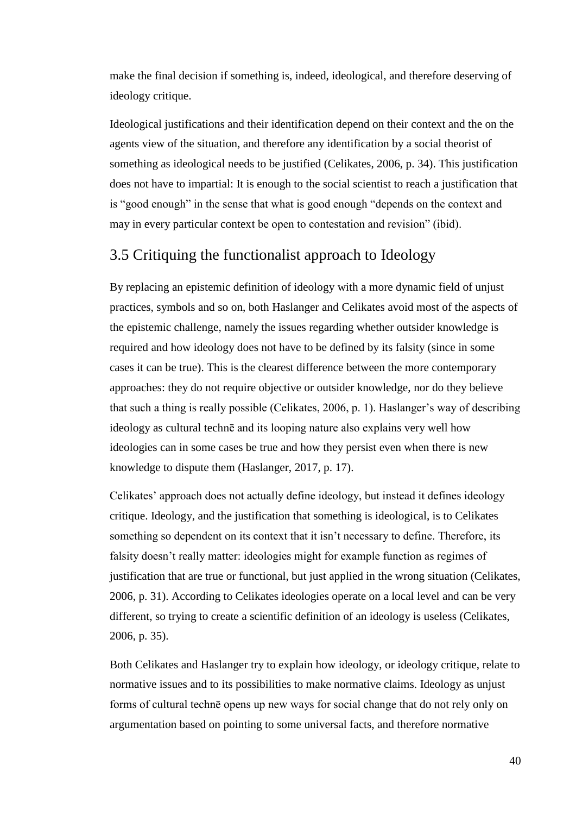make the final decision if something is, indeed, ideological, and therefore deserving of ideology critique.

Ideological justifications and their identification depend on their context and the on the agents view of the situation, and therefore any identification by a social theorist of something as ideological needs to be justified (Celikates, 2006, p. 34). This justification does not have to impartial: It is enough to the social scientist to reach a justification that is "good enough" in the sense that what is good enough "depends on the context and may in every particular context be open to contestation and revision" (ibid).

## 3.5 Critiquing the functionalist approach to Ideology

By replacing an epistemic definition of ideology with a more dynamic field of unjust practices, symbols and so on, both Haslanger and Celikates avoid most of the aspects of the epistemic challenge, namely the issues regarding whether outsider knowledge is required and how ideology does not have to be defined by its falsity (since in some cases it can be true). This is the clearest difference between the more contemporary approaches: they do not require objective or outsider knowledge, nor do they believe that such a thing is really possible (Celikates, 2006, p. 1). Haslanger's way of describing ideology as cultural technē and its looping nature also explains very well how ideologies can in some cases be true and how they persist even when there is new knowledge to dispute them (Haslanger, 2017, p. 17).

Celikates' approach does not actually define ideology, but instead it defines ideology critique. Ideology, and the justification that something is ideological, is to Celikates something so dependent on its context that it isn't necessary to define. Therefore, its falsity doesn't really matter: ideologies might for example function as regimes of justification that are true or functional, but just applied in the wrong situation (Celikates, 2006, p. 31). According to Celikates ideologies operate on a local level and can be very different, so trying to create a scientific definition of an ideology is useless (Celikates, 2006, p. 35).

Both Celikates and Haslanger try to explain how ideology, or ideology critique, relate to normative issues and to its possibilities to make normative claims. Ideology as unjust forms of cultural technē opens up new ways for social change that do not rely only on argumentation based on pointing to some universal facts, and therefore normative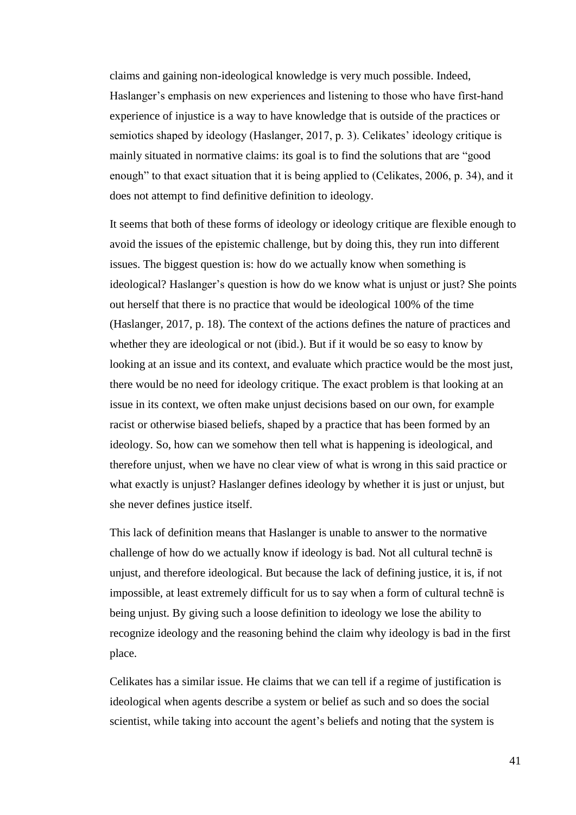claims and gaining non-ideological knowledge is very much possible. Indeed, Haslanger's emphasis on new experiences and listening to those who have first-hand experience of injustice is a way to have knowledge that is outside of the practices or semiotics shaped by ideology (Haslanger, 2017, p. 3). Celikates' ideology critique is mainly situated in normative claims: its goal is to find the solutions that are "good enough" to that exact situation that it is being applied to (Celikates, 2006, p. 34), and it does not attempt to find definitive definition to ideology.

It seems that both of these forms of ideology or ideology critique are flexible enough to avoid the issues of the epistemic challenge, but by doing this, they run into different issues. The biggest question is: how do we actually know when something is ideological? Haslanger's question is how do we know what is unjust or just? She points out herself that there is no practice that would be ideological 100% of the time (Haslanger, 2017, p. 18). The context of the actions defines the nature of practices and whether they are ideological or not (ibid.). But if it would be so easy to know by looking at an issue and its context, and evaluate which practice would be the most just, there would be no need for ideology critique. The exact problem is that looking at an issue in its context, we often make unjust decisions based on our own, for example racist or otherwise biased beliefs, shaped by a practice that has been formed by an ideology. So, how can we somehow then tell what is happening is ideological, and therefore unjust, when we have no clear view of what is wrong in this said practice or what exactly is unjust? Haslanger defines ideology by whether it is just or unjust, but she never defines justice itself.

This lack of definition means that Haslanger is unable to answer to the normative challenge of how do we actually know if ideology is bad. Not all cultural technē is unjust, and therefore ideological. But because the lack of defining justice, it is, if not impossible, at least extremely difficult for us to say when a form of cultural technē is being unjust. By giving such a loose definition to ideology we lose the ability to recognize ideology and the reasoning behind the claim why ideology is bad in the first place.

Celikates has a similar issue. He claims that we can tell if a regime of justification is ideological when agents describe a system or belief as such and so does the social scientist, while taking into account the agent's beliefs and noting that the system is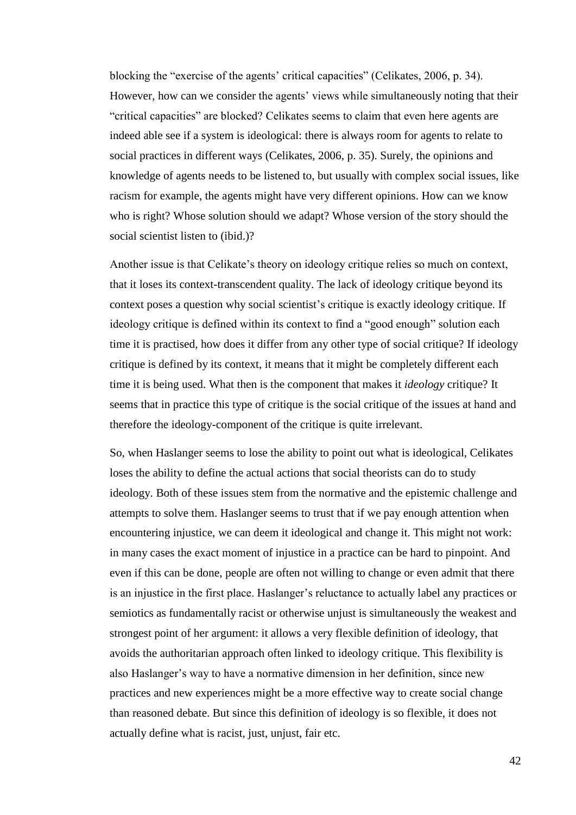blocking the "exercise of the agents' critical capacities" (Celikates, 2006, p. 34). However, how can we consider the agents' views while simultaneously noting that their "critical capacities" are blocked? Celikates seems to claim that even here agents are indeed able see if a system is ideological: there is always room for agents to relate to social practices in different ways (Celikates, 2006, p. 35). Surely, the opinions and knowledge of agents needs to be listened to, but usually with complex social issues, like racism for example, the agents might have very different opinions. How can we know who is right? Whose solution should we adapt? Whose version of the story should the social scientist listen to (ibid.)?

Another issue is that Celikate's theory on ideology critique relies so much on context, that it loses its context-transcendent quality. The lack of ideology critique beyond its context poses a question why social scientist's critique is exactly ideology critique. If ideology critique is defined within its context to find a "good enough" solution each time it is practised, how does it differ from any other type of social critique? If ideology critique is defined by its context, it means that it might be completely different each time it is being used. What then is the component that makes it *ideology* critique? It seems that in practice this type of critique is the social critique of the issues at hand and therefore the ideology-component of the critique is quite irrelevant.

So, when Haslanger seems to lose the ability to point out what is ideological, Celikates loses the ability to define the actual actions that social theorists can do to study ideology. Both of these issues stem from the normative and the epistemic challenge and attempts to solve them. Haslanger seems to trust that if we pay enough attention when encountering injustice, we can deem it ideological and change it. This might not work: in many cases the exact moment of injustice in a practice can be hard to pinpoint. And even if this can be done, people are often not willing to change or even admit that there is an injustice in the first place. Haslanger's reluctance to actually label any practices or semiotics as fundamentally racist or otherwise unjust is simultaneously the weakest and strongest point of her argument: it allows a very flexible definition of ideology, that avoids the authoritarian approach often linked to ideology critique. This flexibility is also Haslanger's way to have a normative dimension in her definition, since new practices and new experiences might be a more effective way to create social change than reasoned debate. But since this definition of ideology is so flexible, it does not actually define what is racist, just, unjust, fair etc.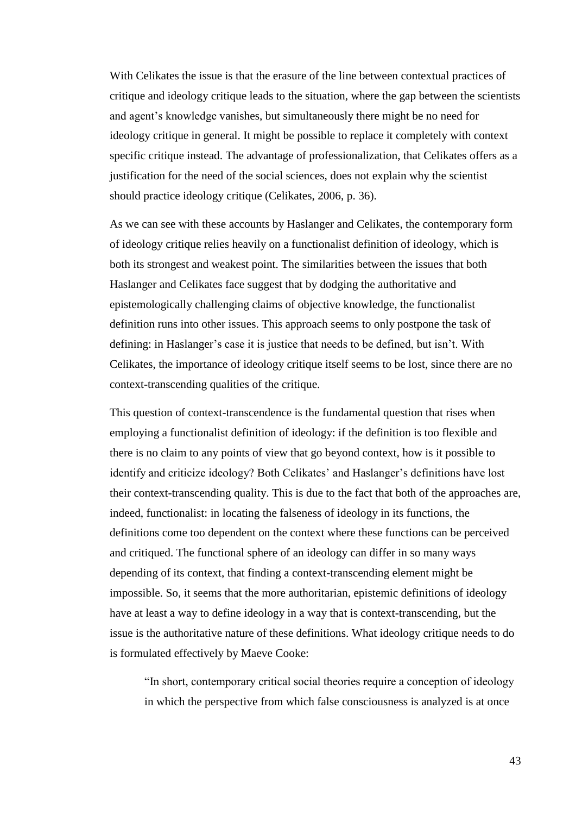With Celikates the issue is that the erasure of the line between contextual practices of critique and ideology critique leads to the situation, where the gap between the scientists and agent's knowledge vanishes, but simultaneously there might be no need for ideology critique in general. It might be possible to replace it completely with context specific critique instead. The advantage of professionalization, that Celikates offers as a justification for the need of the social sciences, does not explain why the scientist should practice ideology critique (Celikates, 2006, p. 36).

As we can see with these accounts by Haslanger and Celikates, the contemporary form of ideology critique relies heavily on a functionalist definition of ideology, which is both its strongest and weakest point. The similarities between the issues that both Haslanger and Celikates face suggest that by dodging the authoritative and epistemologically challenging claims of objective knowledge, the functionalist definition runs into other issues. This approach seems to only postpone the task of defining: in Haslanger's case it is justice that needs to be defined, but isn't. With Celikates, the importance of ideology critique itself seems to be lost, since there are no context-transcending qualities of the critique.

This question of context-transcendence is the fundamental question that rises when employing a functionalist definition of ideology: if the definition is too flexible and there is no claim to any points of view that go beyond context, how is it possible to identify and criticize ideology? Both Celikates' and Haslanger's definitions have lost their context-transcending quality. This is due to the fact that both of the approaches are, indeed, functionalist: in locating the falseness of ideology in its functions, the definitions come too dependent on the context where these functions can be perceived and critiqued. The functional sphere of an ideology can differ in so many ways depending of its context, that finding a context-transcending element might be impossible. So, it seems that the more authoritarian, epistemic definitions of ideology have at least a way to define ideology in a way that is context-transcending, but the issue is the authoritative nature of these definitions. What ideology critique needs to do is formulated effectively by Maeve Cooke:

"In short, contemporary critical social theories require a conception of ideology in which the perspective from which false consciousness is analyzed is at once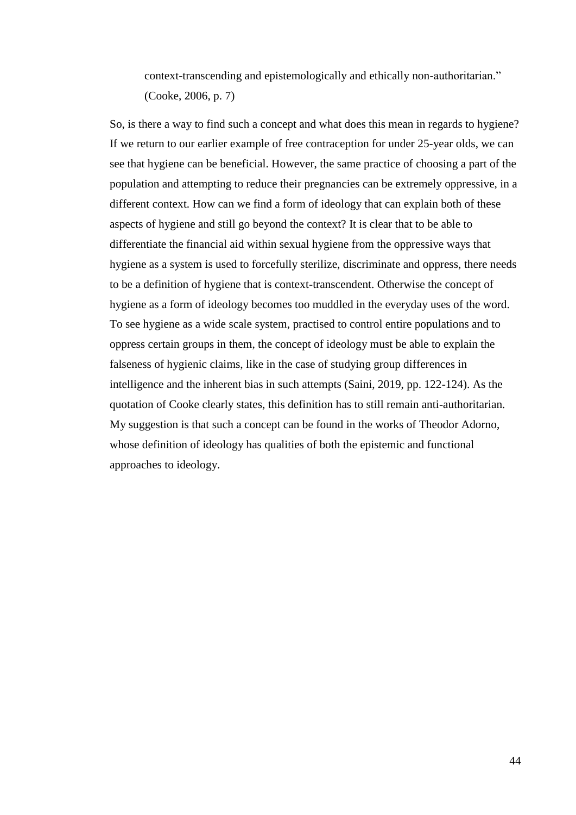context-transcending and epistemologically and ethically non-authoritarian." (Cooke, 2006, p. 7)

So, is there a way to find such a concept and what does this mean in regards to hygiene? If we return to our earlier example of free contraception for under 25-year olds, we can see that hygiene can be beneficial. However, the same practice of choosing a part of the population and attempting to reduce their pregnancies can be extremely oppressive, in a different context. How can we find a form of ideology that can explain both of these aspects of hygiene and still go beyond the context? It is clear that to be able to differentiate the financial aid within sexual hygiene from the oppressive ways that hygiene as a system is used to forcefully sterilize, discriminate and oppress, there needs to be a definition of hygiene that is context-transcendent. Otherwise the concept of hygiene as a form of ideology becomes too muddled in the everyday uses of the word. To see hygiene as a wide scale system, practised to control entire populations and to oppress certain groups in them, the concept of ideology must be able to explain the falseness of hygienic claims, like in the case of studying group differences in intelligence and the inherent bias in such attempts (Saini, 2019, pp. 122-124). As the quotation of Cooke clearly states, this definition has to still remain anti-authoritarian. My suggestion is that such a concept can be found in the works of Theodor Adorno, whose definition of ideology has qualities of both the epistemic and functional approaches to ideology.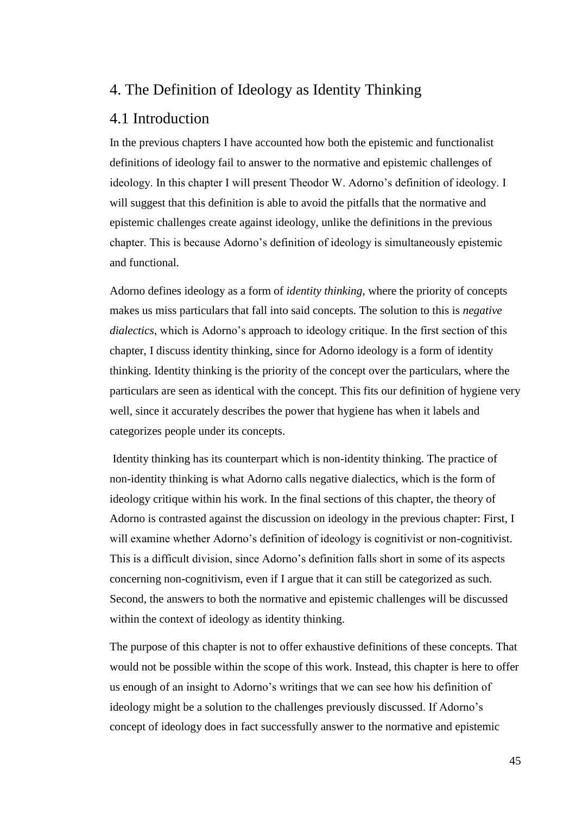## 4. The Definition of Ideology as Identity Thinking

#### 4.1 Introduction

In the previous chapters I have accounted how both the epistemic and functionalist definitions of ideology fail to answer to the normative and epistemic challenges of ideology. In this chapter I will present Theodor W. Adorno's definition of ideology. I will suggest that this definition is able to avoid the pitfalls that the normative and epistemic challenges create against ideology, unlike the definitions in the previous chapter. This is because Adorno's definition of ideology is simultaneously epistemic and functional.

Adorno defines ideology as a form of *identity thinking*, where the priority of concepts makes us miss particulars that fall into said concepts. The solution to this is *negative dialectics*, which is Adorno's approach to ideology critique. In the first section of this chapter, I discuss identity thinking, since for Adorno ideology is a form of identity thinking. Identity thinking is the priority of the concept over the particulars, where the particulars are seen as identical with the concept. This fits our definition of hygiene very well, since it accurately describes the power that hygiene has when it labels and categorizes people under its concepts.

Identity thinking has its counterpart which is non-identity thinking. The practice of non-identity thinking is what Adorno calls negative dialectics, which is the form of ideology critique within his work. In the final sections of this chapter, the theory of Adorno is contrasted against the discussion on ideology in the previous chapter: First, I will examine whether Adorno's definition of ideology is cognitivist or non-cognitivist. This is a difficult division, since Adorno's definition falls short in some of its aspects concerning non-cognitivism, even if I argue that it can still be categorized as such. Second, the answers to both the normative and epistemic challenges will be discussed within the context of ideology as identity thinking.

The purpose of this chapter is not to offer exhaustive definitions of these concepts. That would not be possible within the scope of this work. Instead, this chapter is here to offer us enough of an insight to Adorno's writings that we can see how his definition of ideology might be a solution to the challenges previously discussed. If Adorno's concept of ideology does in fact successfully answer to the normative and epistemic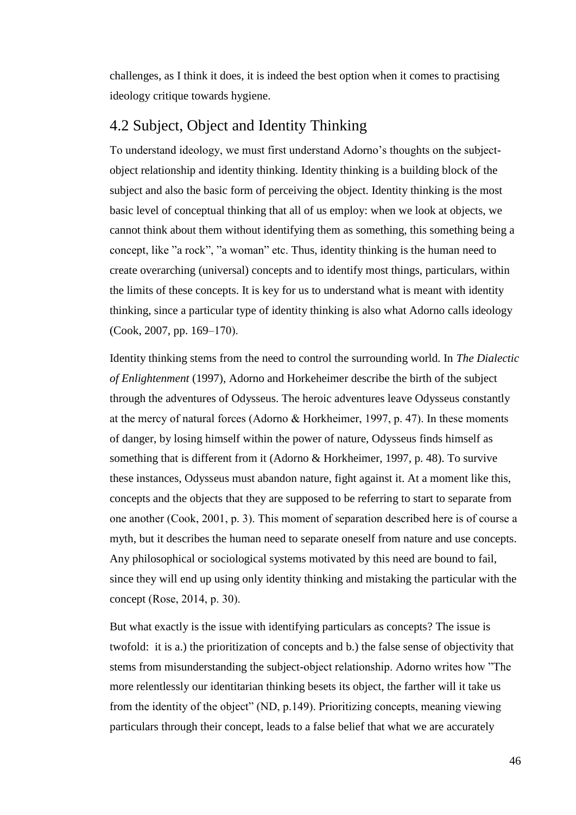challenges, as I think it does, it is indeed the best option when it comes to practising ideology critique towards hygiene.

## 4.2 Subject, Object and Identity Thinking

To understand ideology, we must first understand Adorno's thoughts on the subjectobject relationship and identity thinking. Identity thinking is a building block of the subject and also the basic form of perceiving the object. Identity thinking is the most basic level of conceptual thinking that all of us employ: when we look at objects, we cannot think about them without identifying them as something, this something being a concept, like "a rock", "a woman" etc. Thus, identity thinking is the human need to create overarching (universal) concepts and to identify most things, particulars, within the limits of these concepts. It is key for us to understand what is meant with identity thinking, since a particular type of identity thinking is also what Adorno calls ideology (Cook, 2007, pp. 169–170).

Identity thinking stems from the need to control the surrounding world. In *The Dialectic of Enlightenment* (1997), Adorno and Horkeheimer describe the birth of the subject through the adventures of Odysseus. The heroic adventures leave Odysseus constantly at the mercy of natural forces (Adorno & Horkheimer, 1997, p. 47). In these moments of danger, by losing himself within the power of nature, Odysseus finds himself as something that is different from it (Adorno & Horkheimer, 1997, p. 48). To survive these instances, Odysseus must abandon nature, fight against it. At a moment like this, concepts and the objects that they are supposed to be referring to start to separate from one another (Cook, 2001, p. 3). This moment of separation described here is of course a myth, but it describes the human need to separate oneself from nature and use concepts. Any philosophical or sociological systems motivated by this need are bound to fail, since they will end up using only identity thinking and mistaking the particular with the concept (Rose, 2014, p. 30).

But what exactly is the issue with identifying particulars as concepts? The issue is twofold: it is a.) the prioritization of concepts and b.) the false sense of objectivity that stems from misunderstanding the subject-object relationship. Adorno writes how "The more relentlessly our identitarian thinking besets its object, the farther will it take us from the identity of the object" (ND, p.149). Prioritizing concepts, meaning viewing particulars through their concept, leads to a false belief that what we are accurately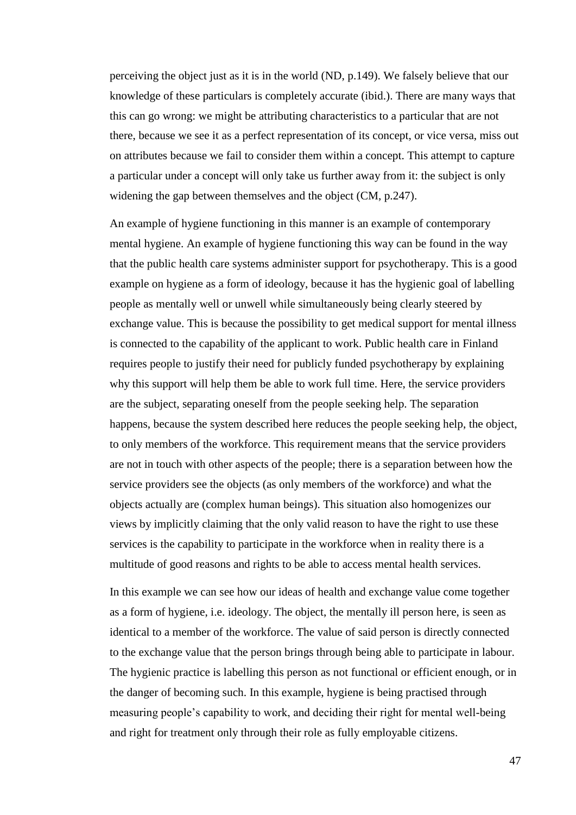perceiving the object just as it is in the world (ND, p.149). We falsely believe that our knowledge of these particulars is completely accurate (ibid.). There are many ways that this can go wrong: we might be attributing characteristics to a particular that are not there, because we see it as a perfect representation of its concept, or vice versa, miss out on attributes because we fail to consider them within a concept. This attempt to capture a particular under a concept will only take us further away from it: the subject is only widening the gap between themselves and the object (CM, p.247).

An example of hygiene functioning in this manner is an example of contemporary mental hygiene. An example of hygiene functioning this way can be found in the way that the public health care systems administer support for psychotherapy. This is a good example on hygiene as a form of ideology, because it has the hygienic goal of labelling people as mentally well or unwell while simultaneously being clearly steered by exchange value. This is because the possibility to get medical support for mental illness is connected to the capability of the applicant to work. Public health care in Finland requires people to justify their need for publicly funded psychotherapy by explaining why this support will help them be able to work full time. Here, the service providers are the subject, separating oneself from the people seeking help. The separation happens, because the system described here reduces the people seeking help, the object, to only members of the workforce. This requirement means that the service providers are not in touch with other aspects of the people; there is a separation between how the service providers see the objects (as only members of the workforce) and what the objects actually are (complex human beings). This situation also homogenizes our views by implicitly claiming that the only valid reason to have the right to use these services is the capability to participate in the workforce when in reality there is a multitude of good reasons and rights to be able to access mental health services.

In this example we can see how our ideas of health and exchange value come together as a form of hygiene, i.e. ideology. The object, the mentally ill person here, is seen as identical to a member of the workforce. The value of said person is directly connected to the exchange value that the person brings through being able to participate in labour. The hygienic practice is labelling this person as not functional or efficient enough, or in the danger of becoming such. In this example, hygiene is being practised through measuring people's capability to work, and deciding their right for mental well-being and right for treatment only through their role as fully employable citizens.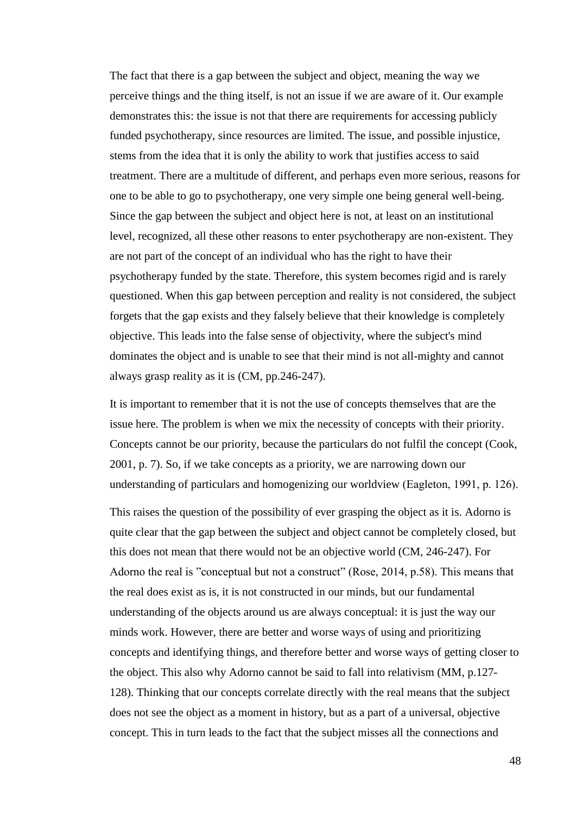The fact that there is a gap between the subject and object, meaning the way we perceive things and the thing itself, is not an issue if we are aware of it. Our example demonstrates this: the issue is not that there are requirements for accessing publicly funded psychotherapy, since resources are limited. The issue, and possible injustice, stems from the idea that it is only the ability to work that justifies access to said treatment. There are a multitude of different, and perhaps even more serious, reasons for one to be able to go to psychotherapy, one very simple one being general well-being. Since the gap between the subject and object here is not, at least on an institutional level, recognized, all these other reasons to enter psychotherapy are non-existent. They are not part of the concept of an individual who has the right to have their psychotherapy funded by the state. Therefore, this system becomes rigid and is rarely questioned. When this gap between perception and reality is not considered, the subject forgets that the gap exists and they falsely believe that their knowledge is completely objective. This leads into the false sense of objectivity, where the subject's mind dominates the object and is unable to see that their mind is not all-mighty and cannot always grasp reality as it is (CM, pp.246-247).

It is important to remember that it is not the use of concepts themselves that are the issue here. The problem is when we mix the necessity of concepts with their priority. Concepts cannot be our priority, because the particulars do not fulfil the concept (Cook, 2001, p. 7). So, if we take concepts as a priority, we are narrowing down our understanding of particulars and homogenizing our worldview (Eagleton, 1991, p. 126).

This raises the question of the possibility of ever grasping the object as it is. Adorno is quite clear that the gap between the subject and object cannot be completely closed, but this does not mean that there would not be an objective world (CM, 246-247). For Adorno the real is "conceptual but not a construct" (Rose, 2014, p.58). This means that the real does exist as is, it is not constructed in our minds, but our fundamental understanding of the objects around us are always conceptual: it is just the way our minds work. However, there are better and worse ways of using and prioritizing concepts and identifying things, and therefore better and worse ways of getting closer to the object. This also why Adorno cannot be said to fall into relativism (MM, p.127- 128). Thinking that our concepts correlate directly with the real means that the subject does not see the object as a moment in history, but as a part of a universal, objective concept. This in turn leads to the fact that the subject misses all the connections and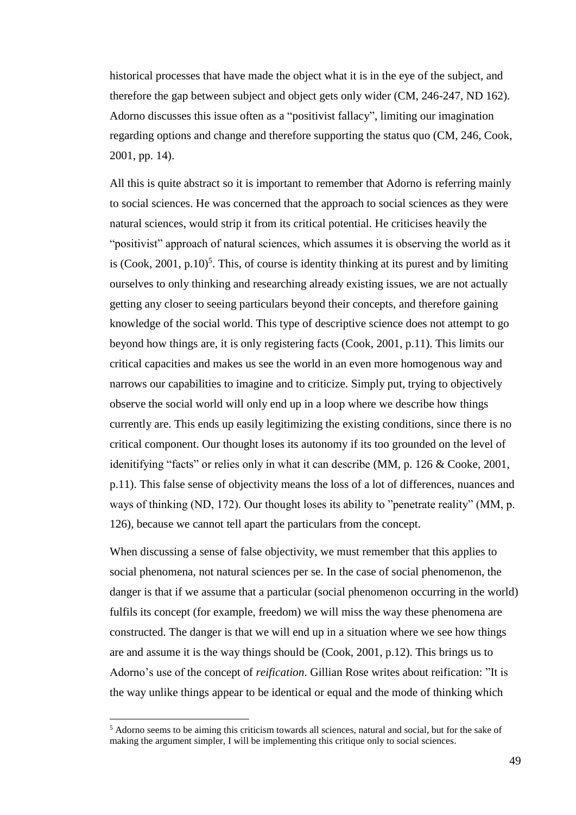historical processes that have made the object what it is in the eye of the subject, and therefore the gap between subject and object gets only wider (CM, 246-247, ND 162). Adorno discusses this issue often as a "positivist fallacy", limiting our imagination regarding options and change and therefore supporting the status quo (CM, 246, Cook, 2001, pp. 14).

All this is quite abstract so it is important to remember that Adorno is referring mainly to social sciences. He was concerned that the approach to social sciences as they were natural sciences, would strip it from its critical potential. He criticises heavily the "positivist" approach of natural sciences, which assumes it is observing the world as it is (Cook, 2001, p.10)<sup>5</sup>. This, of course is identity thinking at its purest and by limiting ourselves to only thinking and researching already existing issues, we are not actually getting any closer to seeing particulars beyond their concepts, and therefore gaining knowledge of the social world. This type of descriptive science does not attempt to go beyond how things are, it is only registering facts (Cook, 2001, p.11). This limits our critical capacities and makes us see the world in an even more homogenous way and narrows our capabilities to imagine and to criticize. Simply put, trying to objectively observe the social world will only end up in a loop where we describe how things currently are. This ends up easily legitimizing the existing conditions, since there is no critical component. Our thought loses its autonomy if its too grounded on the level of idenitifying "facts" or relies only in what it can describe (MM, p. 126 & Cooke, 2001, p.11). This false sense of objectivity means the loss of a lot of differences, nuances and ways of thinking (ND, 172). Our thought loses its ability to "penetrate reality" (MM, p. 126), because we cannot tell apart the particulars from the concept.

When discussing a sense of false objectivity, we must remember that this applies to social phenomena, not natural sciences per se. In the case of social phenomenon, the danger is that if we assume that a particular (social phenomenon occurring in the world) fulfils its concept (for example, freedom) we will miss the way these phenomena are constructed. The danger is that we will end up in a situation where we see how things are and assume it is the way things should be (Cook, 2001, p.12). This brings us to Adorno's use of the concept of *reification*. Gillian Rose writes about reification: "It is the way unlike things appear to be identical or equal and the mode of thinking which

 $\overline{a}$ 

 $<sup>5</sup>$  Adorno seems to be aiming this criticism towards all sciences, natural and social, but for the sake of</sup> making the argument simpler, I will be implementing this critique only to social sciences.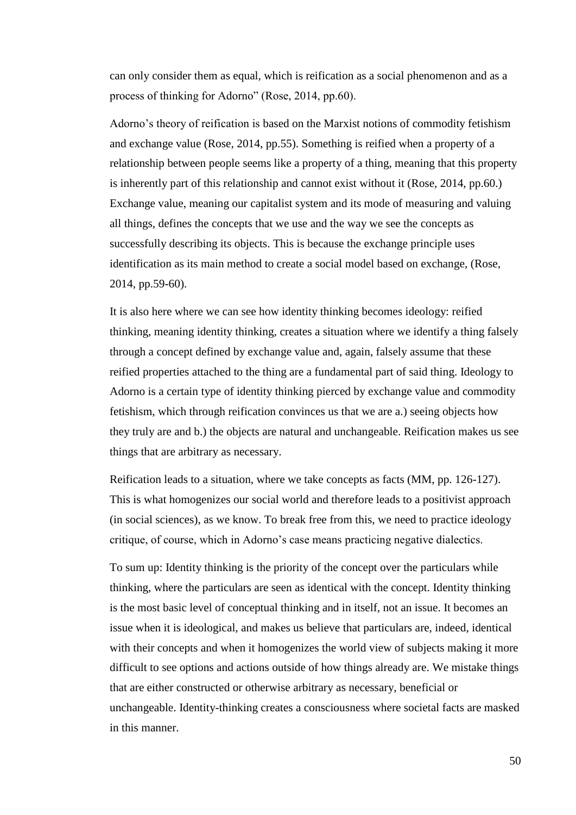can only consider them as equal, which is reification as a social phenomenon and as a process of thinking for Adorno" (Rose, 2014, pp.60).

Adorno's theory of reification is based on the Marxist notions of commodity fetishism and exchange value (Rose, 2014, pp.55). Something is reified when a property of a relationship between people seems like a property of a thing, meaning that this property is inherently part of this relationship and cannot exist without it (Rose, 2014, pp.60.) Exchange value, meaning our capitalist system and its mode of measuring and valuing all things, defines the concepts that we use and the way we see the concepts as successfully describing its objects. This is because the exchange principle uses identification as its main method to create a social model based on exchange, (Rose, 2014, pp.59-60).

It is also here where we can see how identity thinking becomes ideology: reified thinking, meaning identity thinking, creates a situation where we identify a thing falsely through a concept defined by exchange value and, again, falsely assume that these reified properties attached to the thing are a fundamental part of said thing. Ideology to Adorno is a certain type of identity thinking pierced by exchange value and commodity fetishism, which through reification convinces us that we are a.) seeing objects how they truly are and b.) the objects are natural and unchangeable. Reification makes us see things that are arbitrary as necessary.

Reification leads to a situation, where we take concepts as facts (MM, pp. 126-127). This is what homogenizes our social world and therefore leads to a positivist approach (in social sciences), as we know. To break free from this, we need to practice ideology critique, of course, which in Adorno's case means practicing negative dialectics.

To sum up: Identity thinking is the priority of the concept over the particulars while thinking, where the particulars are seen as identical with the concept. Identity thinking is the most basic level of conceptual thinking and in itself, not an issue. It becomes an issue when it is ideological, and makes us believe that particulars are, indeed, identical with their concepts and when it homogenizes the world view of subjects making it more difficult to see options and actions outside of how things already are. We mistake things that are either constructed or otherwise arbitrary as necessary, beneficial or unchangeable. Identity-thinking creates a consciousness where societal facts are masked in this manner.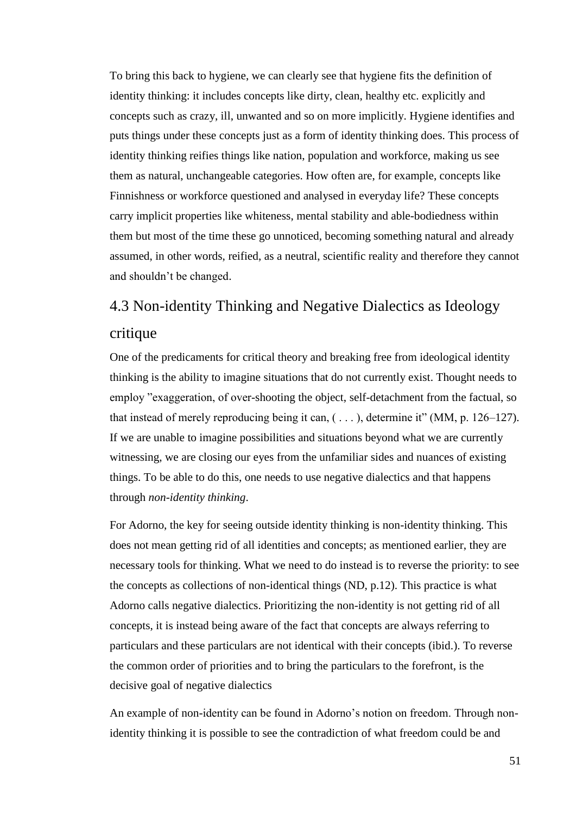To bring this back to hygiene, we can clearly see that hygiene fits the definition of identity thinking: it includes concepts like dirty, clean, healthy etc. explicitly and concepts such as crazy, ill, unwanted and so on more implicitly. Hygiene identifies and puts things under these concepts just as a form of identity thinking does. This process of identity thinking reifies things like nation, population and workforce, making us see them as natural, unchangeable categories. How often are, for example, concepts like Finnishness or workforce questioned and analysed in everyday life? These concepts carry implicit properties like whiteness, mental stability and able-bodiedness within them but most of the time these go unnoticed, becoming something natural and already assumed, in other words, reified, as a neutral, scientific reality and therefore they cannot and shouldn't be changed.

# 4.3 Non-identity Thinking and Negative Dialectics as Ideology critique

One of the predicaments for critical theory and breaking free from ideological identity thinking is the ability to imagine situations that do not currently exist. Thought needs to employ "exaggeration, of over-shooting the object, self-detachment from the factual, so that instead of merely reproducing being it can,  $(\ldots)$ , determine it" (MM, p. 126–127). If we are unable to imagine possibilities and situations beyond what we are currently witnessing, we are closing our eyes from the unfamiliar sides and nuances of existing things. To be able to do this, one needs to use negative dialectics and that happens through *non-identity thinking*.

For Adorno, the key for seeing outside identity thinking is non-identity thinking. This does not mean getting rid of all identities and concepts; as mentioned earlier, they are necessary tools for thinking. What we need to do instead is to reverse the priority: to see the concepts as collections of non-identical things (ND, p.12). This practice is what Adorno calls negative dialectics. Prioritizing the non-identity is not getting rid of all concepts, it is instead being aware of the fact that concepts are always referring to particulars and these particulars are not identical with their concepts (ibid.). To reverse the common order of priorities and to bring the particulars to the forefront, is the decisive goal of negative dialectics

An example of non-identity can be found in Adorno's notion on freedom. Through nonidentity thinking it is possible to see the contradiction of what freedom could be and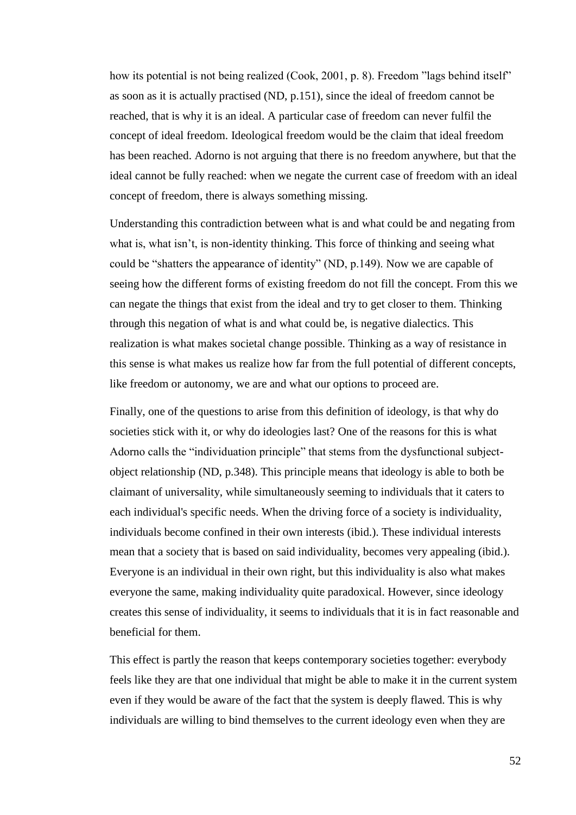how its potential is not being realized (Cook, 2001, p. 8). Freedom "lags behind itself" as soon as it is actually practised (ND, p.151), since the ideal of freedom cannot be reached, that is why it is an ideal. A particular case of freedom can never fulfil the concept of ideal freedom. Ideological freedom would be the claim that ideal freedom has been reached. Adorno is not arguing that there is no freedom anywhere, but that the ideal cannot be fully reached: when we negate the current case of freedom with an ideal concept of freedom, there is always something missing.

Understanding this contradiction between what is and what could be and negating from what is, what isn't, is non-identity thinking. This force of thinking and seeing what could be "shatters the appearance of identity" (ND, p.149). Now we are capable of seeing how the different forms of existing freedom do not fill the concept. From this we can negate the things that exist from the ideal and try to get closer to them. Thinking through this negation of what is and what could be, is negative dialectics. This realization is what makes societal change possible. Thinking as a way of resistance in this sense is what makes us realize how far from the full potential of different concepts, like freedom or autonomy, we are and what our options to proceed are.

Finally, one of the questions to arise from this definition of ideology, is that why do societies stick with it, or why do ideologies last? One of the reasons for this is what Adorno calls the "individuation principle" that stems from the dysfunctional subjectobject relationship (ND, p.348). This principle means that ideology is able to both be claimant of universality, while simultaneously seeming to individuals that it caters to each individual's specific needs. When the driving force of a society is individuality, individuals become confined in their own interests (ibid.). These individual interests mean that a society that is based on said individuality, becomes very appealing (ibid.). Everyone is an individual in their own right, but this individuality is also what makes everyone the same, making individuality quite paradoxical. However, since ideology creates this sense of individuality, it seems to individuals that it is in fact reasonable and beneficial for them.

This effect is partly the reason that keeps contemporary societies together: everybody feels like they are that one individual that might be able to make it in the current system even if they would be aware of the fact that the system is deeply flawed. This is why individuals are willing to bind themselves to the current ideology even when they are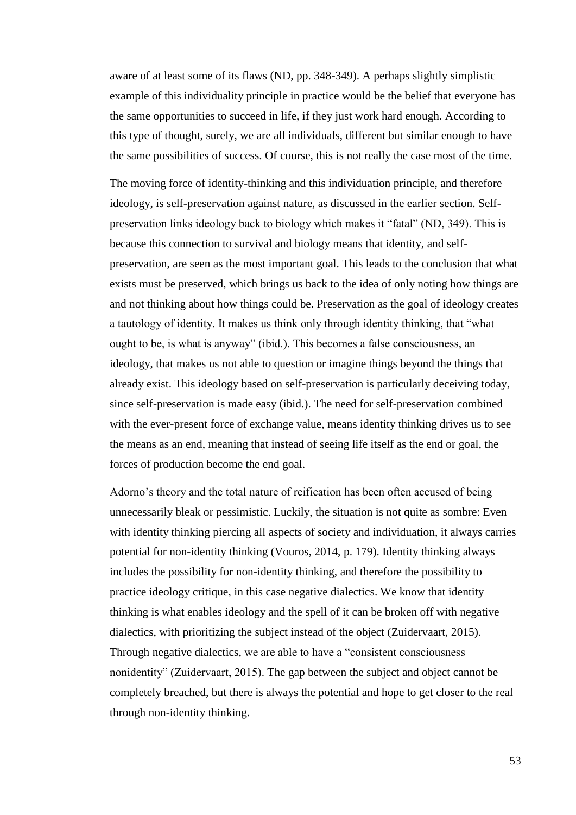aware of at least some of its flaws (ND, pp. 348-349). A perhaps slightly simplistic example of this individuality principle in practice would be the belief that everyone has the same opportunities to succeed in life, if they just work hard enough. According to this type of thought, surely, we are all individuals, different but similar enough to have the same possibilities of success. Of course, this is not really the case most of the time.

The moving force of identity-thinking and this individuation principle, and therefore ideology, is self-preservation against nature, as discussed in the earlier section. Selfpreservation links ideology back to biology which makes it "fatal" (ND, 349). This is because this connection to survival and biology means that identity, and selfpreservation, are seen as the most important goal. This leads to the conclusion that what exists must be preserved, which brings us back to the idea of only noting how things are and not thinking about how things could be. Preservation as the goal of ideology creates a tautology of identity. It makes us think only through identity thinking, that "what ought to be, is what is anyway" (ibid.). This becomes a false consciousness, an ideology, that makes us not able to question or imagine things beyond the things that already exist. This ideology based on self-preservation is particularly deceiving today, since self-preservation is made easy (ibid.). The need for self-preservation combined with the ever-present force of exchange value, means identity thinking drives us to see the means as an end, meaning that instead of seeing life itself as the end or goal, the forces of production become the end goal.

Adorno's theory and the total nature of reification has been often accused of being unnecessarily bleak or pessimistic. Luckily, the situation is not quite as sombre: Even with identity thinking piercing all aspects of society and individuation, it always carries potential for non-identity thinking (Vouros, 2014, p. 179). Identity thinking always includes the possibility for non-identity thinking, and therefore the possibility to practice ideology critique, in this case negative dialectics. We know that identity thinking is what enables ideology and the spell of it can be broken off with negative dialectics, with prioritizing the subject instead of the object (Zuidervaart, 2015). Through negative dialectics, we are able to have a "consistent consciousness nonidentity" (Zuidervaart, 2015). The gap between the subject and object cannot be completely breached, but there is always the potential and hope to get closer to the real through non-identity thinking.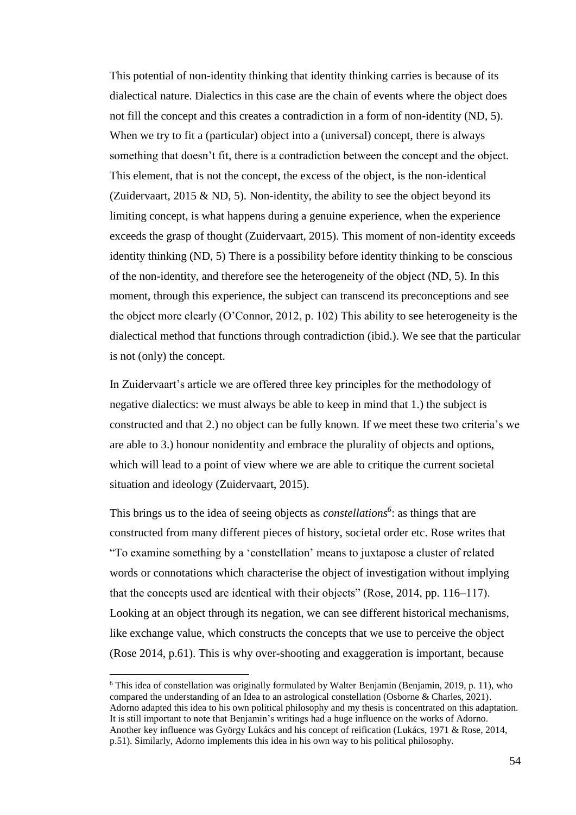This potential of non-identity thinking that identity thinking carries is because of its dialectical nature. Dialectics in this case are the chain of events where the object does not fill the concept and this creates a contradiction in a form of non-identity (ND, 5). When we try to fit a (particular) object into a (universal) concept, there is always something that doesn't fit, there is a contradiction between the concept and the object. This element, that is not the concept, the excess of the object, is the non-identical (Zuidervaart, 2015  $\&$  ND, 5). Non-identity, the ability to see the object beyond its limiting concept, is what happens during a genuine experience, when the experience exceeds the grasp of thought (Zuidervaart, 2015). This moment of non-identity exceeds identity thinking (ND, 5) There is a possibility before identity thinking to be conscious of the non-identity, and therefore see the heterogeneity of the object (ND, 5). In this moment, through this experience, the subject can transcend its preconceptions and see the object more clearly (O'Connor, 2012, p. 102) This ability to see heterogeneity is the dialectical method that functions through contradiction (ibid.). We see that the particular is not (only) the concept.

In Zuidervaart's article we are offered three key principles for the methodology of negative dialectics: we must always be able to keep in mind that 1.) the subject is constructed and that 2.) no object can be fully known. If we meet these two criteria's we are able to 3.) honour nonidentity and embrace the plurality of objects and options, which will lead to a point of view where we are able to critique the current societal situation and ideology (Zuidervaart, 2015).

This brings us to the idea of seeing objects as *constellations<sup>6</sup>* : as things that are constructed from many different pieces of history, societal order etc. Rose writes that "To examine something by a 'constellation' means to juxtapose a cluster of related words or connotations which characterise the object of investigation without implying that the concepts used are identical with their objects" (Rose, 2014, pp. 116–117). Looking at an object through its negation, we can see different historical mechanisms, like exchange value, which constructs the concepts that we use to perceive the object (Rose 2014, p.61). This is why over-shooting and exaggeration is important, because

 $\overline{a}$ 

 $6$  This idea of constellation was originally formulated by Walter Benjamin (Benjamin, 2019, p. 11), who compared the understanding of an Idea to an astrological constellation (Osborne & Charles, 2021). Adorno adapted this idea to his own political philosophy and my thesis is concentrated on this adaptation. It is still important to note that Benjamin's writings had a huge influence on the works of Adorno. Another key influence was György Lukács and his concept of reification (Lukács, 1971 & Rose, 2014, p.51). Similarly, Adorno implements this idea in his own way to his political philosophy.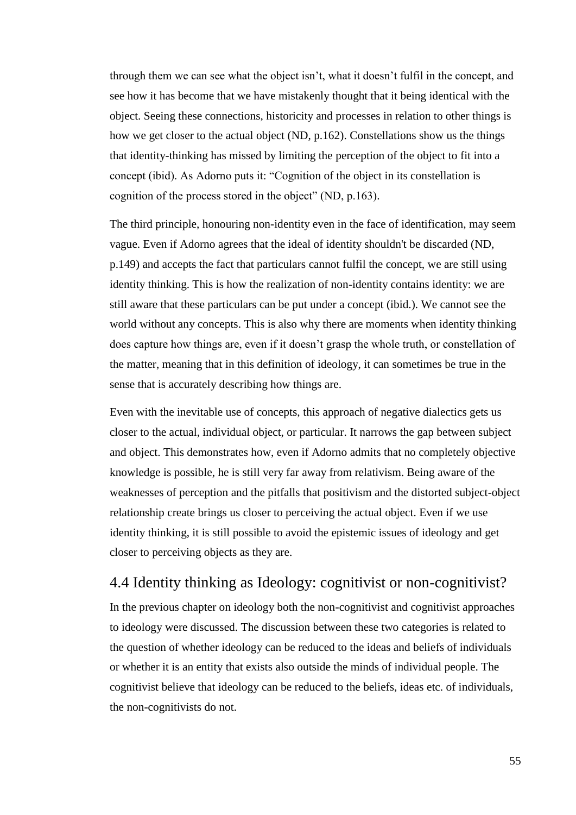through them we can see what the object isn't, what it doesn't fulfil in the concept, and see how it has become that we have mistakenly thought that it being identical with the object. Seeing these connections, historicity and processes in relation to other things is how we get closer to the actual object (ND, p.162). Constellations show us the things that identity-thinking has missed by limiting the perception of the object to fit into a concept (ibid). As Adorno puts it: "Cognition of the object in its constellation is cognition of the process stored in the object" (ND, p.163).

The third principle, honouring non-identity even in the face of identification, may seem vague. Even if Adorno agrees that the ideal of identity shouldn't be discarded (ND, p.149) and accepts the fact that particulars cannot fulfil the concept, we are still using identity thinking. This is how the realization of non-identity contains identity: we are still aware that these particulars can be put under a concept (ibid.). We cannot see the world without any concepts. This is also why there are moments when identity thinking does capture how things are, even if it doesn't grasp the whole truth, or constellation of the matter, meaning that in this definition of ideology, it can sometimes be true in the sense that is accurately describing how things are.

Even with the inevitable use of concepts, this approach of negative dialectics gets us closer to the actual, individual object, or particular. It narrows the gap between subject and object. This demonstrates how, even if Adorno admits that no completely objective knowledge is possible, he is still very far away from relativism. Being aware of the weaknesses of perception and the pitfalls that positivism and the distorted subject-object relationship create brings us closer to perceiving the actual object. Even if we use identity thinking, it is still possible to avoid the epistemic issues of ideology and get closer to perceiving objects as they are.

## 4.4 Identity thinking as Ideology: cognitivist or non-cognitivist?

In the previous chapter on ideology both the non-cognitivist and cognitivist approaches to ideology were discussed. The discussion between these two categories is related to the question of whether ideology can be reduced to the ideas and beliefs of individuals or whether it is an entity that exists also outside the minds of individual people. The cognitivist believe that ideology can be reduced to the beliefs, ideas etc. of individuals, the non-cognitivists do not.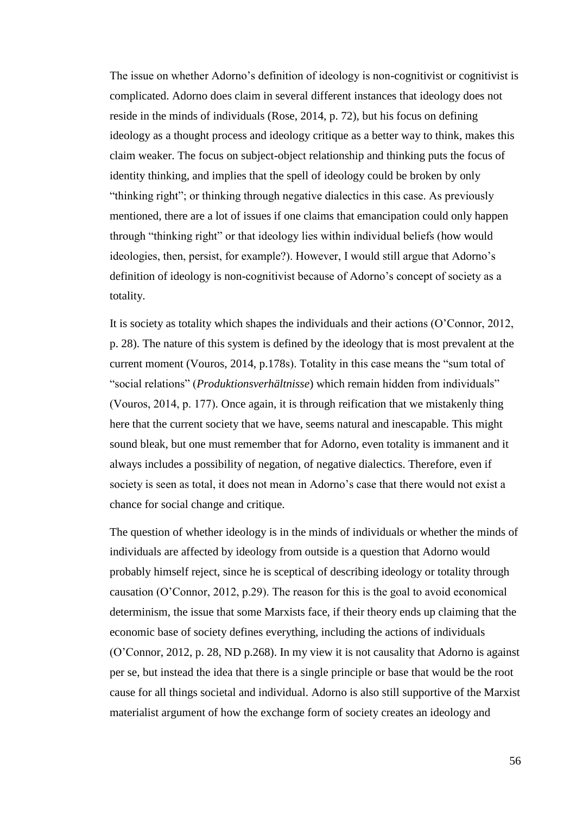The issue on whether Adorno's definition of ideology is non-cognitivist or cognitivist is complicated. Adorno does claim in several different instances that ideology does not reside in the minds of individuals (Rose, 2014, p. 72), but his focus on defining ideology as a thought process and ideology critique as a better way to think, makes this claim weaker. The focus on subject-object relationship and thinking puts the focus of identity thinking, and implies that the spell of ideology could be broken by only "thinking right"; or thinking through negative dialectics in this case. As previously mentioned, there are a lot of issues if one claims that emancipation could only happen through "thinking right" or that ideology lies within individual beliefs (how would ideologies, then, persist, for example?). However, I would still argue that Adorno's definition of ideology is non-cognitivist because of Adorno's concept of society as a totality.

It is society as totality which shapes the individuals and their actions (O'Connor, 2012, p. 28). The nature of this system is defined by the ideology that is most prevalent at the current moment (Vouros, 2014, p.178s). Totality in this case means the "sum total of "social relations" (*Produktionsverhältnisse*) which remain hidden from individuals" (Vouros, 2014, p. 177). Once again, it is through reification that we mistakenly thing here that the current society that we have, seems natural and inescapable. This might sound bleak, but one must remember that for Adorno, even totality is immanent and it always includes a possibility of negation, of negative dialectics. Therefore, even if society is seen as total, it does not mean in Adorno's case that there would not exist a chance for social change and critique.

The question of whether ideology is in the minds of individuals or whether the minds of individuals are affected by ideology from outside is a question that Adorno would probably himself reject, since he is sceptical of describing ideology or totality through causation (O'Connor, 2012, p.29). The reason for this is the goal to avoid economical determinism, the issue that some Marxists face, if their theory ends up claiming that the economic base of society defines everything, including the actions of individuals (O'Connor, 2012, p. 28, ND p.268). In my view it is not causality that Adorno is against per se, but instead the idea that there is a single principle or base that would be the root cause for all things societal and individual. Adorno is also still supportive of the Marxist materialist argument of how the exchange form of society creates an ideology and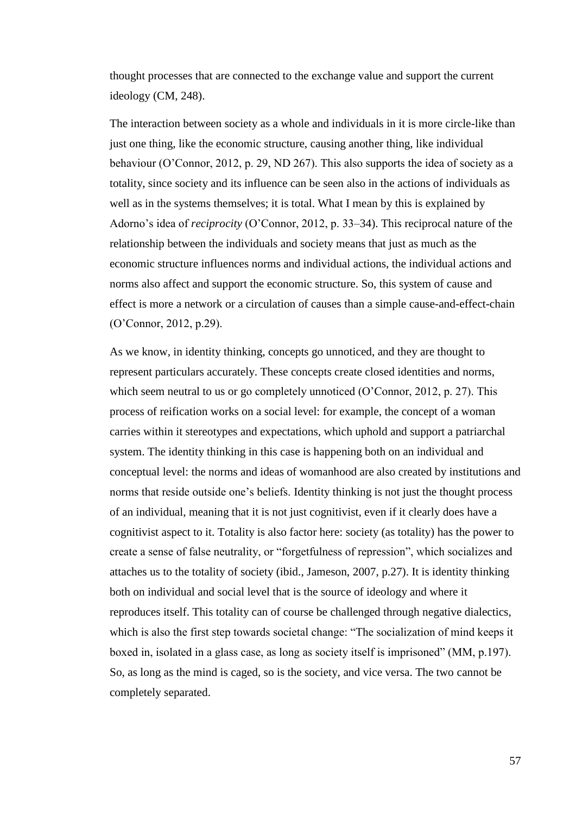thought processes that are connected to the exchange value and support the current ideology (CM, 248).

The interaction between society as a whole and individuals in it is more circle-like than just one thing, like the economic structure, causing another thing, like individual behaviour (O'Connor, 2012, p. 29, ND 267). This also supports the idea of society as a totality, since society and its influence can be seen also in the actions of individuals as well as in the systems themselves; it is total. What I mean by this is explained by Adorno's idea of *reciprocity* (O'Connor, 2012, p. 33–34). This reciprocal nature of the relationship between the individuals and society means that just as much as the economic structure influences norms and individual actions, the individual actions and norms also affect and support the economic structure. So, this system of cause and effect is more a network or a circulation of causes than a simple cause-and-effect-chain (O'Connor, 2012, p.29).

As we know, in identity thinking, concepts go unnoticed, and they are thought to represent particulars accurately. These concepts create closed identities and norms, which seem neutral to us or go completely unnoticed (O'Connor, 2012, p. 27). This process of reification works on a social level: for example, the concept of a woman carries within it stereotypes and expectations, which uphold and support a patriarchal system. The identity thinking in this case is happening both on an individual and conceptual level: the norms and ideas of womanhood are also created by institutions and norms that reside outside one's beliefs. Identity thinking is not just the thought process of an individual, meaning that it is not just cognitivist, even if it clearly does have a cognitivist aspect to it. Totality is also factor here: society (as totality) has the power to create a sense of false neutrality, or "forgetfulness of repression", which socializes and attaches us to the totality of society (ibid., Jameson, 2007, p.27). It is identity thinking both on individual and social level that is the source of ideology and where it reproduces itself. This totality can of course be challenged through negative dialectics, which is also the first step towards societal change: "The socialization of mind keeps it boxed in, isolated in a glass case, as long as society itself is imprisoned" (MM, p.197). So, as long as the mind is caged, so is the society, and vice versa. The two cannot be completely separated.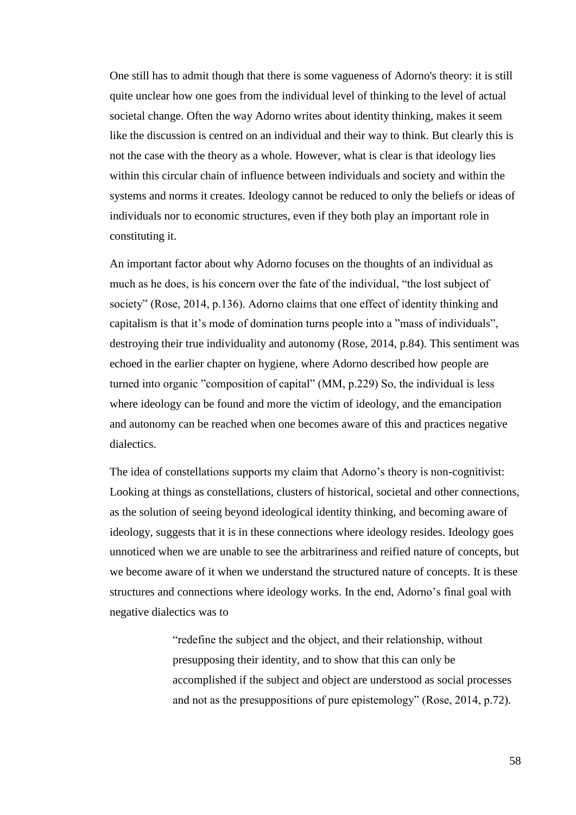One still has to admit though that there is some vagueness of Adorno's theory: it is still quite unclear how one goes from the individual level of thinking to the level of actual societal change. Often the way Adorno writes about identity thinking, makes it seem like the discussion is centred on an individual and their way to think. But clearly this is not the case with the theory as a whole. However, what is clear is that ideology lies within this circular chain of influence between individuals and society and within the systems and norms it creates. Ideology cannot be reduced to only the beliefs or ideas of individuals nor to economic structures, even if they both play an important role in constituting it.

An important factor about why Adorno focuses on the thoughts of an individual as much as he does, is his concern over the fate of the individual, "the lost subject of society" (Rose, 2014, p.136). Adorno claims that one effect of identity thinking and capitalism is that it's mode of domination turns people into a "mass of individuals", destroying their true individuality and autonomy (Rose, 2014, p.84). This sentiment was echoed in the earlier chapter on hygiene, where Adorno described how people are turned into organic "composition of capital" (MM, p.229) So, the individual is less where ideology can be found and more the victim of ideology, and the emancipation and autonomy can be reached when one becomes aware of this and practices negative dialectics.

The idea of constellations supports my claim that Adorno's theory is non-cognitivist: Looking at things as constellations, clusters of historical, societal and other connections, as the solution of seeing beyond ideological identity thinking, and becoming aware of ideology, suggests that it is in these connections where ideology resides. Ideology goes unnoticed when we are unable to see the arbitrariness and reified nature of concepts, but we become aware of it when we understand the structured nature of concepts. It is these structures and connections where ideology works. In the end, Adorno's final goal with negative dialectics was to

> "redefine the subject and the object, and their relationship, without presupposing their identity, and to show that this can only be accomplished if the subject and object are understood as social processes and not as the presuppositions of pure epistemology" (Rose, 2014, p.72).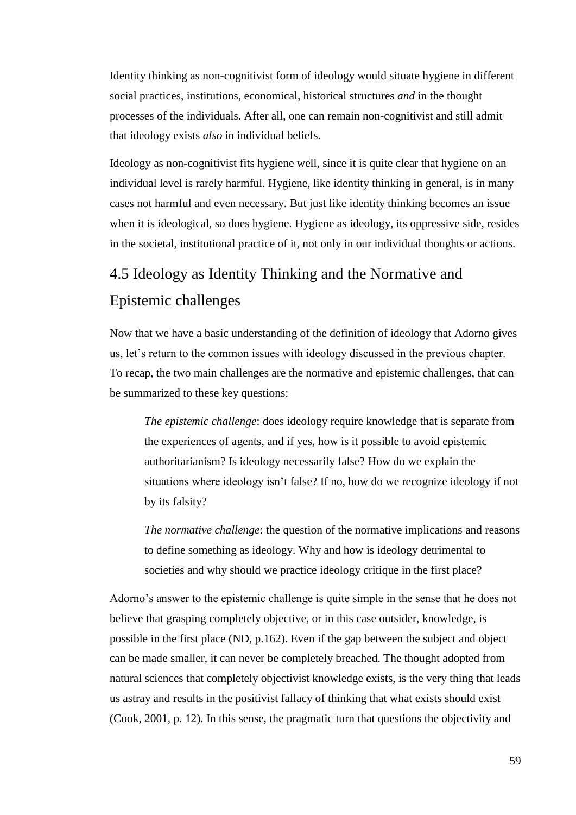Identity thinking as non-cognitivist form of ideology would situate hygiene in different social practices, institutions, economical, historical structures *and* in the thought processes of the individuals. After all, one can remain non-cognitivist and still admit that ideology exists *also* in individual beliefs.

Ideology as non-cognitivist fits hygiene well, since it is quite clear that hygiene on an individual level is rarely harmful. Hygiene, like identity thinking in general, is in many cases not harmful and even necessary. But just like identity thinking becomes an issue when it is ideological, so does hygiene. Hygiene as ideology, its oppressive side, resides in the societal, institutional practice of it, not only in our individual thoughts or actions.

# 4.5 Ideology as Identity Thinking and the Normative and Epistemic challenges

Now that we have a basic understanding of the definition of ideology that Adorno gives us, let's return to the common issues with ideology discussed in the previous chapter. To recap, the two main challenges are the normative and epistemic challenges, that can be summarized to these key questions:

*The epistemic challenge*: does ideology require knowledge that is separate from the experiences of agents, and if yes, how is it possible to avoid epistemic authoritarianism? Is ideology necessarily false? How do we explain the situations where ideology isn't false? If no, how do we recognize ideology if not by its falsity?

*The normative challenge*: the question of the normative implications and reasons to define something as ideology. Why and how is ideology detrimental to societies and why should we practice ideology critique in the first place?

Adorno's answer to the epistemic challenge is quite simple in the sense that he does not believe that grasping completely objective, or in this case outsider, knowledge, is possible in the first place (ND, p.162). Even if the gap between the subject and object can be made smaller, it can never be completely breached. The thought adopted from natural sciences that completely objectivist knowledge exists, is the very thing that leads us astray and results in the positivist fallacy of thinking that what exists should exist (Cook, 2001, p. 12). In this sense, the pragmatic turn that questions the objectivity and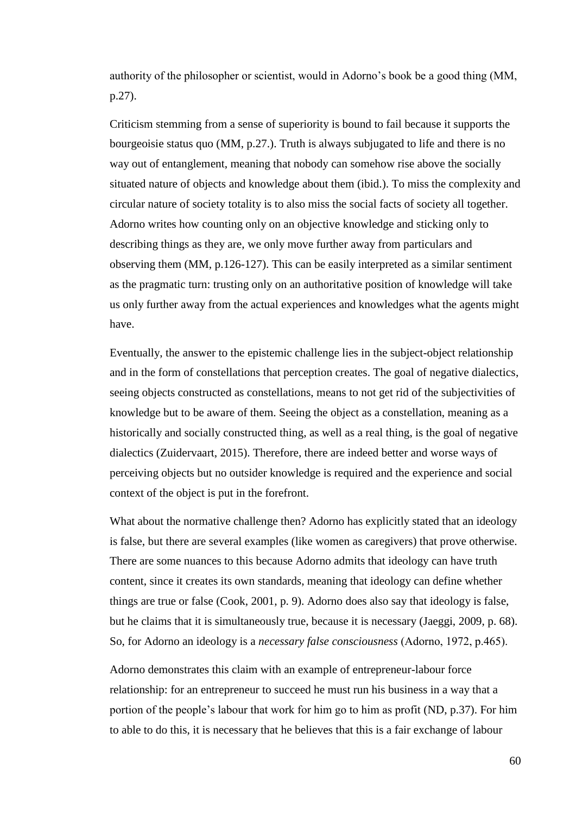authority of the philosopher or scientist, would in Adorno's book be a good thing (MM, p.27).

Criticism stemming from a sense of superiority is bound to fail because it supports the bourgeoisie status quo (MM, p.27.). Truth is always subjugated to life and there is no way out of entanglement, meaning that nobody can somehow rise above the socially situated nature of objects and knowledge about them (ibid.). To miss the complexity and circular nature of society totality is to also miss the social facts of society all together. Adorno writes how counting only on an objective knowledge and sticking only to describing things as they are, we only move further away from particulars and observing them (MM, p.126-127). This can be easily interpreted as a similar sentiment as the pragmatic turn: trusting only on an authoritative position of knowledge will take us only further away from the actual experiences and knowledges what the agents might have.

Eventually, the answer to the epistemic challenge lies in the subject-object relationship and in the form of constellations that perception creates. The goal of negative dialectics, seeing objects constructed as constellations, means to not get rid of the subjectivities of knowledge but to be aware of them. Seeing the object as a constellation, meaning as a historically and socially constructed thing, as well as a real thing, is the goal of negative dialectics (Zuidervaart, 2015). Therefore, there are indeed better and worse ways of perceiving objects but no outsider knowledge is required and the experience and social context of the object is put in the forefront.

What about the normative challenge then? Adorno has explicitly stated that an ideology is false, but there are several examples (like women as caregivers) that prove otherwise. There are some nuances to this because Adorno admits that ideology can have truth content, since it creates its own standards, meaning that ideology can define whether things are true or false (Cook, 2001, p. 9). Adorno does also say that ideology is false, but he claims that it is simultaneously true, because it is necessary (Jaeggi, 2009, p. 68). So, for Adorno an ideology is a *necessary false consciousness* (Adorno, 1972, p.465).

Adorno demonstrates this claim with an example of entrepreneur-labour force relationship: for an entrepreneur to succeed he must run his business in a way that a portion of the people's labour that work for him go to him as profit (ND, p.37). For him to able to do this, it is necessary that he believes that this is a fair exchange of labour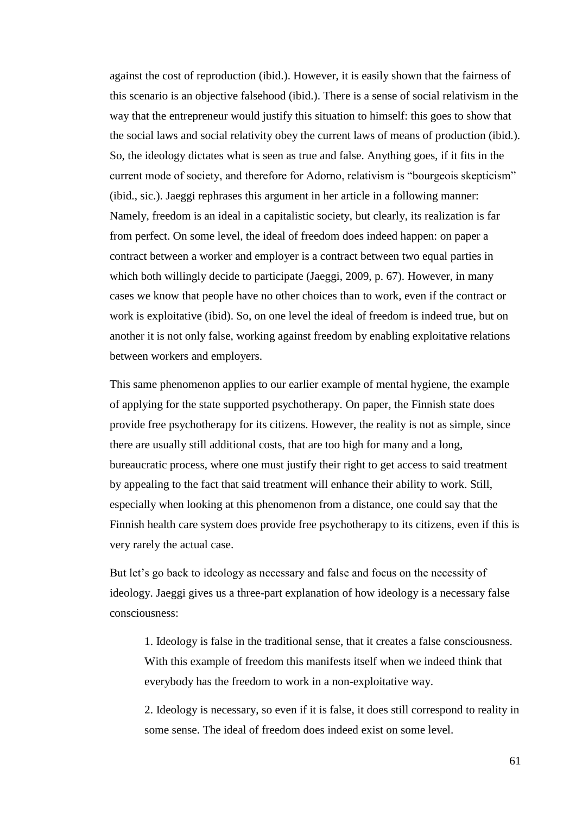against the cost of reproduction (ibid.). However, it is easily shown that the fairness of this scenario is an objective falsehood (ibid.). There is a sense of social relativism in the way that the entrepreneur would justify this situation to himself: this goes to show that the social laws and social relativity obey the current laws of means of production (ibid.). So, the ideology dictates what is seen as true and false. Anything goes, if it fits in the current mode of society, and therefore for Adorno, relativism is "bourgeois skepticism" (ibid., sic.). Jaeggi rephrases this argument in her article in a following manner: Namely, freedom is an ideal in a capitalistic society, but clearly, its realization is far from perfect. On some level, the ideal of freedom does indeed happen: on paper a contract between a worker and employer is a contract between two equal parties in which both willingly decide to participate (Jaeggi, 2009, p. 67). However, in many cases we know that people have no other choices than to work, even if the contract or work is exploitative (ibid). So, on one level the ideal of freedom is indeed true, but on another it is not only false, working against freedom by enabling exploitative relations between workers and employers.

This same phenomenon applies to our earlier example of mental hygiene, the example of applying for the state supported psychotherapy. On paper, the Finnish state does provide free psychotherapy for its citizens. However, the reality is not as simple, since there are usually still additional costs, that are too high for many and a long, bureaucratic process, where one must justify their right to get access to said treatment by appealing to the fact that said treatment will enhance their ability to work. Still, especially when looking at this phenomenon from a distance, one could say that the Finnish health care system does provide free psychotherapy to its citizens, even if this is very rarely the actual case.

But let's go back to ideology as necessary and false and focus on the necessity of ideology. Jaeggi gives us a three-part explanation of how ideology is a necessary false consciousness:

1. Ideology is false in the traditional sense, that it creates a false consciousness. With this example of freedom this manifests itself when we indeed think that everybody has the freedom to work in a non-exploitative way.

2. Ideology is necessary, so even if it is false, it does still correspond to reality in some sense. The ideal of freedom does indeed exist on some level.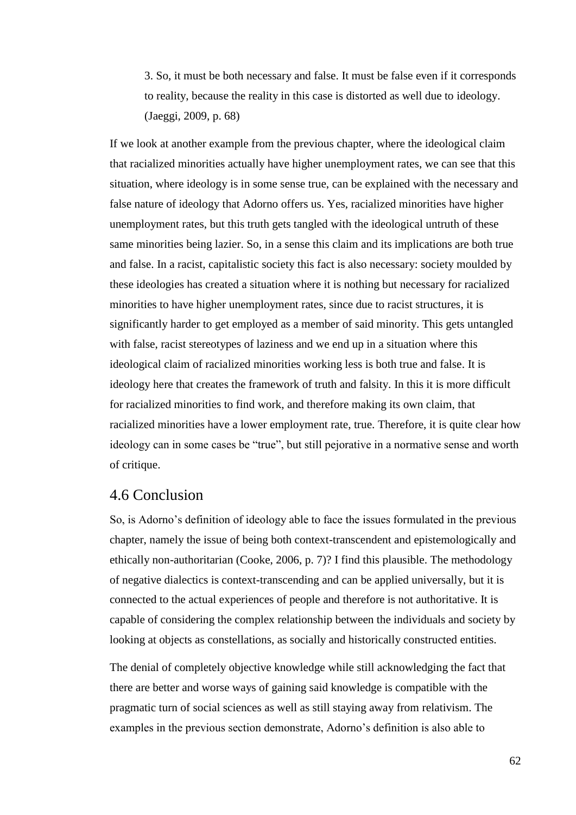3. So, it must be both necessary and false. It must be false even if it corresponds to reality, because the reality in this case is distorted as well due to ideology. (Jaeggi, 2009, p. 68)

If we look at another example from the previous chapter, where the ideological claim that racialized minorities actually have higher unemployment rates, we can see that this situation, where ideology is in some sense true, can be explained with the necessary and false nature of ideology that Adorno offers us. Yes, racialized minorities have higher unemployment rates, but this truth gets tangled with the ideological untruth of these same minorities being lazier. So, in a sense this claim and its implications are both true and false. In a racist, capitalistic society this fact is also necessary: society moulded by these ideologies has created a situation where it is nothing but necessary for racialized minorities to have higher unemployment rates, since due to racist structures, it is significantly harder to get employed as a member of said minority. This gets untangled with false, racist stereotypes of laziness and we end up in a situation where this ideological claim of racialized minorities working less is both true and false. It is ideology here that creates the framework of truth and falsity. In this it is more difficult for racialized minorities to find work, and therefore making its own claim, that racialized minorities have a lower employment rate, true. Therefore, it is quite clear how ideology can in some cases be "true", but still pejorative in a normative sense and worth of critique.

#### 4.6 Conclusion

So, is Adorno's definition of ideology able to face the issues formulated in the previous chapter, namely the issue of being both context-transcendent and epistemologically and ethically non-authoritarian (Cooke, 2006, p. 7)? I find this plausible. The methodology of negative dialectics is context-transcending and can be applied universally, but it is connected to the actual experiences of people and therefore is not authoritative. It is capable of considering the complex relationship between the individuals and society by looking at objects as constellations, as socially and historically constructed entities.

The denial of completely objective knowledge while still acknowledging the fact that there are better and worse ways of gaining said knowledge is compatible with the pragmatic turn of social sciences as well as still staying away from relativism. The examples in the previous section demonstrate, Adorno's definition is also able to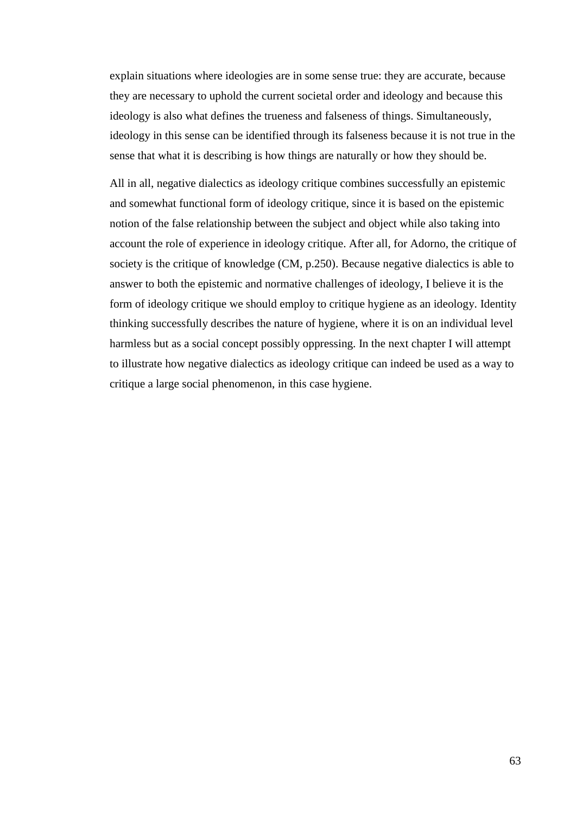explain situations where ideologies are in some sense true: they are accurate, because they are necessary to uphold the current societal order and ideology and because this ideology is also what defines the trueness and falseness of things. Simultaneously, ideology in this sense can be identified through its falseness because it is not true in the sense that what it is describing is how things are naturally or how they should be.

All in all, negative dialectics as ideology critique combines successfully an epistemic and somewhat functional form of ideology critique, since it is based on the epistemic notion of the false relationship between the subject and object while also taking into account the role of experience in ideology critique. After all, for Adorno, the critique of society is the critique of knowledge (CM, p.250). Because negative dialectics is able to answer to both the epistemic and normative challenges of ideology, I believe it is the form of ideology critique we should employ to critique hygiene as an ideology. Identity thinking successfully describes the nature of hygiene, where it is on an individual level harmless but as a social concept possibly oppressing. In the next chapter I will attempt to illustrate how negative dialectics as ideology critique can indeed be used as a way to critique a large social phenomenon, in this case hygiene.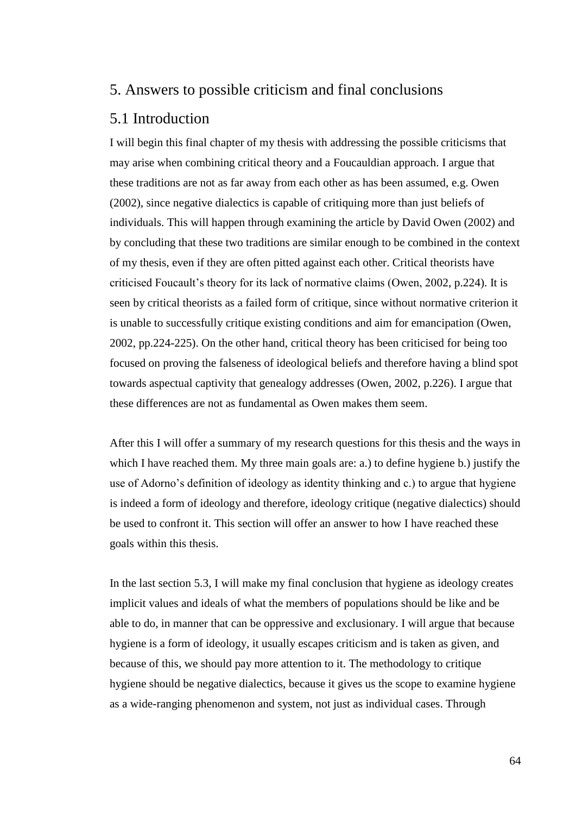### 5. Answers to possible criticism and final conclusions

#### 5.1 Introduction

I will begin this final chapter of my thesis with addressing the possible criticisms that may arise when combining critical theory and a Foucauldian approach. I argue that these traditions are not as far away from each other as has been assumed, e.g. Owen (2002), since negative dialectics is capable of critiquing more than just beliefs of individuals. This will happen through examining the article by David Owen (2002) and by concluding that these two traditions are similar enough to be combined in the context of my thesis, even if they are often pitted against each other. Critical theorists have criticised Foucault's theory for its lack of normative claims (Owen, 2002, p.224). It is seen by critical theorists as a failed form of critique, since without normative criterion it is unable to successfully critique existing conditions and aim for emancipation (Owen, 2002, pp.224-225). On the other hand, critical theory has been criticised for being too focused on proving the falseness of ideological beliefs and therefore having a blind spot towards aspectual captivity that genealogy addresses (Owen, 2002, p.226). I argue that these differences are not as fundamental as Owen makes them seem.

After this I will offer a summary of my research questions for this thesis and the ways in which I have reached them. My three main goals are: a.) to define hygiene b.) justify the use of Adorno's definition of ideology as identity thinking and c.) to argue that hygiene is indeed a form of ideology and therefore, ideology critique (negative dialectics) should be used to confront it. This section will offer an answer to how I have reached these goals within this thesis.

In the last section 5.3, I will make my final conclusion that hygiene as ideology creates implicit values and ideals of what the members of populations should be like and be able to do, in manner that can be oppressive and exclusionary. I will argue that because hygiene is a form of ideology, it usually escapes criticism and is taken as given, and because of this, we should pay more attention to it. The methodology to critique hygiene should be negative dialectics, because it gives us the scope to examine hygiene as a wide-ranging phenomenon and system, not just as individual cases. Through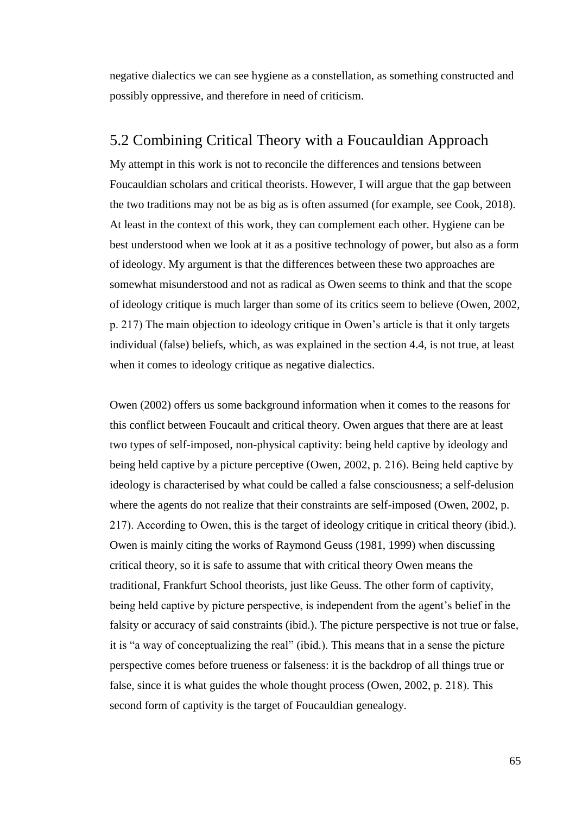negative dialectics we can see hygiene as a constellation, as something constructed and possibly oppressive, and therefore in need of criticism.

## 5.2 Combining Critical Theory with a Foucauldian Approach

My attempt in this work is not to reconcile the differences and tensions between Foucauldian scholars and critical theorists. However, I will argue that the gap between the two traditions may not be as big as is often assumed (for example, see Cook, 2018). At least in the context of this work, they can complement each other. Hygiene can be best understood when we look at it as a positive technology of power, but also as a form of ideology. My argument is that the differences between these two approaches are somewhat misunderstood and not as radical as Owen seems to think and that the scope of ideology critique is much larger than some of its critics seem to believe (Owen, 2002, p. 217) The main objection to ideology critique in Owen's article is that it only targets individual (false) beliefs, which, as was explained in the section 4.4, is not true, at least when it comes to ideology critique as negative dialectics.

Owen (2002) offers us some background information when it comes to the reasons for this conflict between Foucault and critical theory. Owen argues that there are at least two types of self-imposed, non-physical captivity: being held captive by ideology and being held captive by a picture perceptive (Owen, 2002, p. 216). Being held captive by ideology is characterised by what could be called a false consciousness; a self-delusion where the agents do not realize that their constraints are self-imposed (Owen, 2002, p. 217). According to Owen, this is the target of ideology critique in critical theory (ibid.). Owen is mainly citing the works of Raymond Geuss (1981, 1999) when discussing critical theory, so it is safe to assume that with critical theory Owen means the traditional, Frankfurt School theorists, just like Geuss. The other form of captivity, being held captive by picture perspective, is independent from the agent's belief in the falsity or accuracy of said constraints (ibid.). The picture perspective is not true or false, it is "a way of conceptualizing the real" (ibid.). This means that in a sense the picture perspective comes before trueness or falseness: it is the backdrop of all things true or false, since it is what guides the whole thought process (Owen, 2002, p. 218). This second form of captivity is the target of Foucauldian genealogy.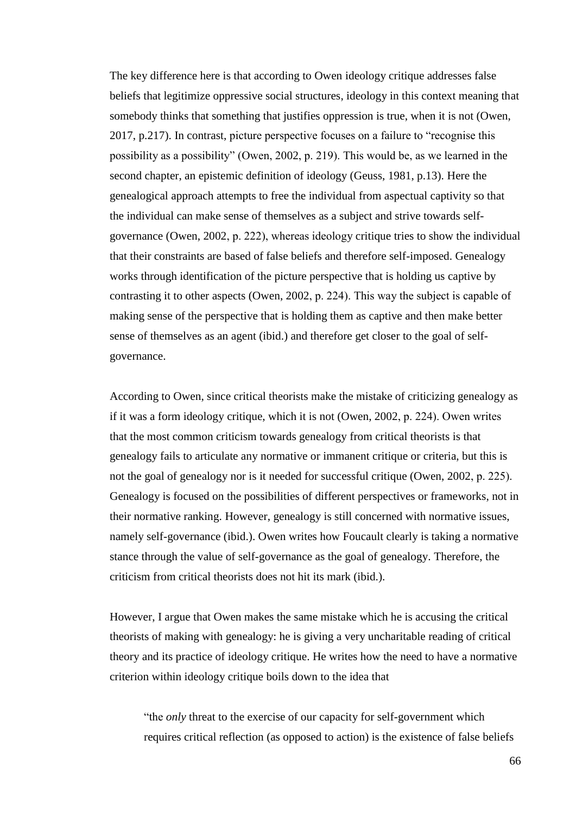The key difference here is that according to Owen ideology critique addresses false beliefs that legitimize oppressive social structures, ideology in this context meaning that somebody thinks that something that justifies oppression is true, when it is not (Owen, 2017, p.217). In contrast, picture perspective focuses on a failure to "recognise this possibility as a possibility" (Owen, 2002, p. 219). This would be, as we learned in the second chapter, an epistemic definition of ideology (Geuss, 1981, p.13). Here the genealogical approach attempts to free the individual from aspectual captivity so that the individual can make sense of themselves as a subject and strive towards selfgovernance (Owen, 2002, p. 222), whereas ideology critique tries to show the individual that their constraints are based of false beliefs and therefore self-imposed. Genealogy works through identification of the picture perspective that is holding us captive by contrasting it to other aspects (Owen, 2002, p. 224). This way the subject is capable of making sense of the perspective that is holding them as captive and then make better sense of themselves as an agent (ibid.) and therefore get closer to the goal of selfgovernance.

According to Owen, since critical theorists make the mistake of criticizing genealogy as if it was a form ideology critique, which it is not (Owen, 2002, p. 224). Owen writes that the most common criticism towards genealogy from critical theorists is that genealogy fails to articulate any normative or immanent critique or criteria, but this is not the goal of genealogy nor is it needed for successful critique (Owen, 2002, p. 225). Genealogy is focused on the possibilities of different perspectives or frameworks, not in their normative ranking. However, genealogy is still concerned with normative issues, namely self-governance (ibid.). Owen writes how Foucault clearly is taking a normative stance through the value of self-governance as the goal of genealogy. Therefore, the criticism from critical theorists does not hit its mark (ibid.).

However, I argue that Owen makes the same mistake which he is accusing the critical theorists of making with genealogy: he is giving a very uncharitable reading of critical theory and its practice of ideology critique. He writes how the need to have a normative criterion within ideology critique boils down to the idea that

"the *only* threat to the exercise of our capacity for self-government which requires critical reflection (as opposed to action) is the existence of false beliefs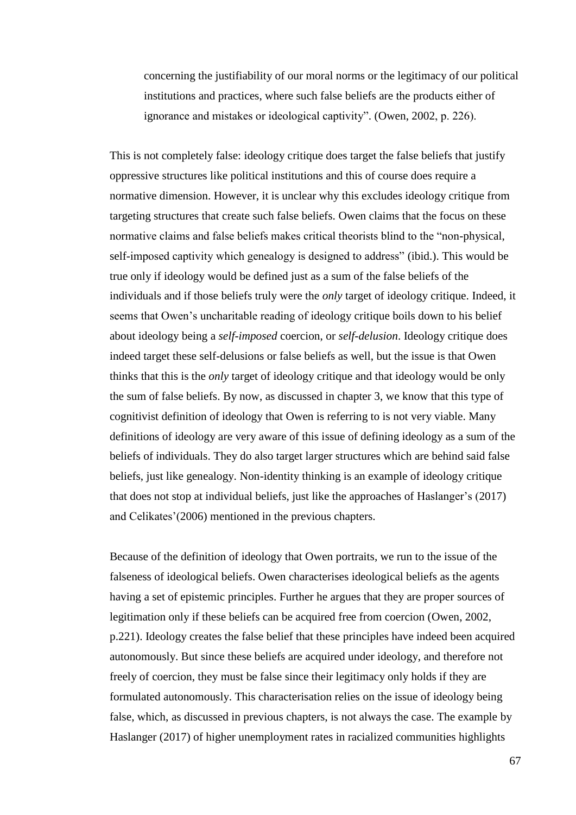concerning the justifiability of our moral norms or the legitimacy of our political institutions and practices, where such false beliefs are the products either of ignorance and mistakes or ideological captivity". (Owen, 2002, p. 226).

This is not completely false: ideology critique does target the false beliefs that justify oppressive structures like political institutions and this of course does require a normative dimension. However, it is unclear why this excludes ideology critique from targeting structures that create such false beliefs. Owen claims that the focus on these normative claims and false beliefs makes critical theorists blind to the "non-physical, self-imposed captivity which genealogy is designed to address" (ibid.). This would be true only if ideology would be defined just as a sum of the false beliefs of the individuals and if those beliefs truly were the *only* target of ideology critique. Indeed, it seems that Owen's uncharitable reading of ideology critique boils down to his belief about ideology being a *self-imposed* coercion, or *self-delusion*. Ideology critique does indeed target these self-delusions or false beliefs as well, but the issue is that Owen thinks that this is the *only* target of ideology critique and that ideology would be only the sum of false beliefs. By now, as discussed in chapter 3, we know that this type of cognitivist definition of ideology that Owen is referring to is not very viable. Many definitions of ideology are very aware of this issue of defining ideology as a sum of the beliefs of individuals. They do also target larger structures which are behind said false beliefs, just like genealogy. Non-identity thinking is an example of ideology critique that does not stop at individual beliefs, just like the approaches of Haslanger's (2017) and Celikates'(2006) mentioned in the previous chapters.

Because of the definition of ideology that Owen portraits, we run to the issue of the falseness of ideological beliefs. Owen characterises ideological beliefs as the agents having a set of epistemic principles. Further he argues that they are proper sources of legitimation only if these beliefs can be acquired free from coercion (Owen, 2002, p.221). Ideology creates the false belief that these principles have indeed been acquired autonomously. But since these beliefs are acquired under ideology, and therefore not freely of coercion, they must be false since their legitimacy only holds if they are formulated autonomously. This characterisation relies on the issue of ideology being false, which, as discussed in previous chapters, is not always the case. The example by Haslanger (2017) of higher unemployment rates in racialized communities highlights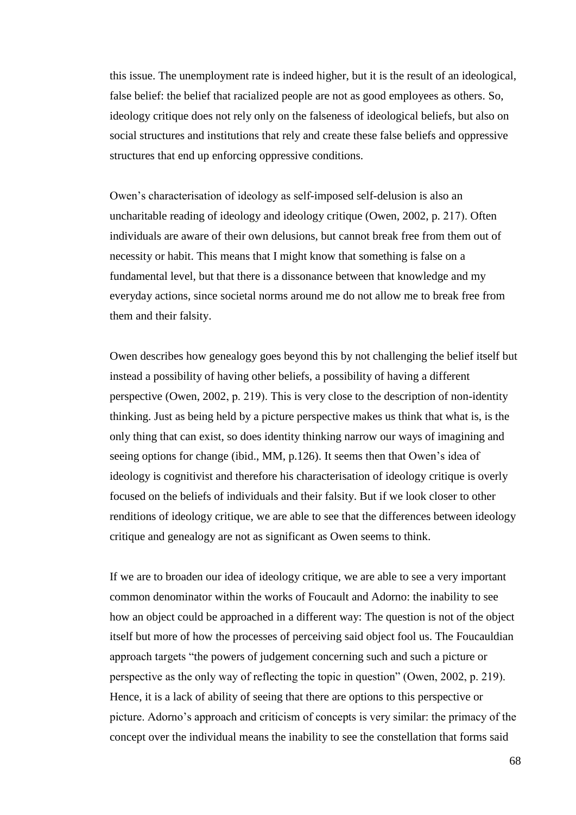this issue. The unemployment rate is indeed higher, but it is the result of an ideological, false belief: the belief that racialized people are not as good employees as others. So, ideology critique does not rely only on the falseness of ideological beliefs, but also on social structures and institutions that rely and create these false beliefs and oppressive structures that end up enforcing oppressive conditions.

Owen's characterisation of ideology as self-imposed self-delusion is also an uncharitable reading of ideology and ideology critique (Owen, 2002, p. 217). Often individuals are aware of their own delusions, but cannot break free from them out of necessity or habit. This means that I might know that something is false on a fundamental level, but that there is a dissonance between that knowledge and my everyday actions, since societal norms around me do not allow me to break free from them and their falsity.

Owen describes how genealogy goes beyond this by not challenging the belief itself but instead a possibility of having other beliefs, a possibility of having a different perspective (Owen, 2002, p. 219). This is very close to the description of non-identity thinking. Just as being held by a picture perspective makes us think that what is, is the only thing that can exist, so does identity thinking narrow our ways of imagining and seeing options for change (ibid., MM, p.126). It seems then that Owen's idea of ideology is cognitivist and therefore his characterisation of ideology critique is overly focused on the beliefs of individuals and their falsity. But if we look closer to other renditions of ideology critique, we are able to see that the differences between ideology critique and genealogy are not as significant as Owen seems to think.

If we are to broaden our idea of ideology critique, we are able to see a very important common denominator within the works of Foucault and Adorno: the inability to see how an object could be approached in a different way: The question is not of the object itself but more of how the processes of perceiving said object fool us. The Foucauldian approach targets "the powers of judgement concerning such and such a picture or perspective as the only way of reflecting the topic in question" (Owen, 2002, p. 219). Hence, it is a lack of ability of seeing that there are options to this perspective or picture. Adorno's approach and criticism of concepts is very similar: the primacy of the concept over the individual means the inability to see the constellation that forms said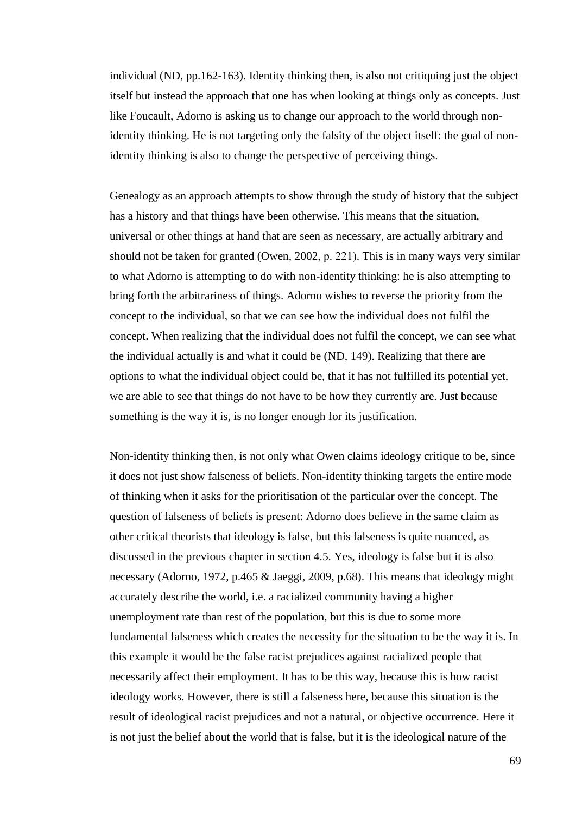individual (ND, pp.162-163). Identity thinking then, is also not critiquing just the object itself but instead the approach that one has when looking at things only as concepts. Just like Foucault, Adorno is asking us to change our approach to the world through nonidentity thinking. He is not targeting only the falsity of the object itself: the goal of nonidentity thinking is also to change the perspective of perceiving things.

Genealogy as an approach attempts to show through the study of history that the subject has a history and that things have been otherwise. This means that the situation, universal or other things at hand that are seen as necessary, are actually arbitrary and should not be taken for granted (Owen, 2002, p. 221). This is in many ways very similar to what Adorno is attempting to do with non-identity thinking: he is also attempting to bring forth the arbitrariness of things. Adorno wishes to reverse the priority from the concept to the individual, so that we can see how the individual does not fulfil the concept. When realizing that the individual does not fulfil the concept, we can see what the individual actually is and what it could be (ND, 149). Realizing that there are options to what the individual object could be, that it has not fulfilled its potential yet, we are able to see that things do not have to be how they currently are. Just because something is the way it is, is no longer enough for its justification.

Non-identity thinking then, is not only what Owen claims ideology critique to be, since it does not just show falseness of beliefs. Non-identity thinking targets the entire mode of thinking when it asks for the prioritisation of the particular over the concept. The question of falseness of beliefs is present: Adorno does believe in the same claim as other critical theorists that ideology is false, but this falseness is quite nuanced, as discussed in the previous chapter in section 4.5. Yes, ideology is false but it is also necessary (Adorno, 1972, p.465 & Jaeggi, 2009, p.68). This means that ideology might accurately describe the world, i.e. a racialized community having a higher unemployment rate than rest of the population, but this is due to some more fundamental falseness which creates the necessity for the situation to be the way it is. In this example it would be the false racist prejudices against racialized people that necessarily affect their employment. It has to be this way, because this is how racist ideology works. However, there is still a falseness here, because this situation is the result of ideological racist prejudices and not a natural, or objective occurrence. Here it is not just the belief about the world that is false, but it is the ideological nature of the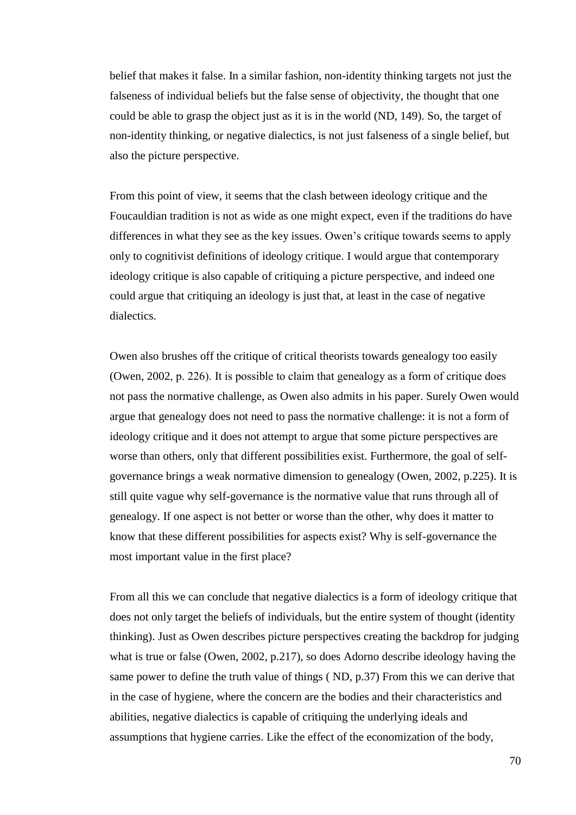belief that makes it false. In a similar fashion, non-identity thinking targets not just the falseness of individual beliefs but the false sense of objectivity, the thought that one could be able to grasp the object just as it is in the world (ND, 149). So, the target of non-identity thinking, or negative dialectics, is not just falseness of a single belief, but also the picture perspective.

From this point of view, it seems that the clash between ideology critique and the Foucauldian tradition is not as wide as one might expect, even if the traditions do have differences in what they see as the key issues. Owen's critique towards seems to apply only to cognitivist definitions of ideology critique. I would argue that contemporary ideology critique is also capable of critiquing a picture perspective, and indeed one could argue that critiquing an ideology is just that, at least in the case of negative dialectics.

Owen also brushes off the critique of critical theorists towards genealogy too easily (Owen, 2002, p. 226). It is possible to claim that genealogy as a form of critique does not pass the normative challenge, as Owen also admits in his paper. Surely Owen would argue that genealogy does not need to pass the normative challenge: it is not a form of ideology critique and it does not attempt to argue that some picture perspectives are worse than others, only that different possibilities exist. Furthermore, the goal of selfgovernance brings a weak normative dimension to genealogy (Owen, 2002, p.225). It is still quite vague why self-governance is the normative value that runs through all of genealogy. If one aspect is not better or worse than the other, why does it matter to know that these different possibilities for aspects exist? Why is self-governance the most important value in the first place?

From all this we can conclude that negative dialectics is a form of ideology critique that does not only target the beliefs of individuals, but the entire system of thought (identity thinking). Just as Owen describes picture perspectives creating the backdrop for judging what is true or false (Owen, 2002, p.217), so does Adorno describe ideology having the same power to define the truth value of things ( ND, p.37) From this we can derive that in the case of hygiene, where the concern are the bodies and their characteristics and abilities, negative dialectics is capable of critiquing the underlying ideals and assumptions that hygiene carries. Like the effect of the economization of the body,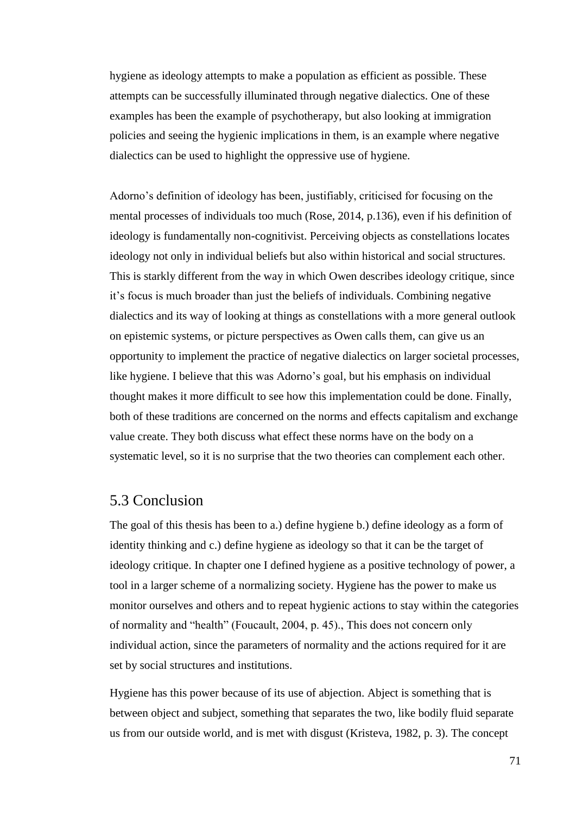hygiene as ideology attempts to make a population as efficient as possible. These attempts can be successfully illuminated through negative dialectics. One of these examples has been the example of psychotherapy, but also looking at immigration policies and seeing the hygienic implications in them, is an example where negative dialectics can be used to highlight the oppressive use of hygiene.

Adorno's definition of ideology has been, justifiably, criticised for focusing on the mental processes of individuals too much (Rose, 2014, p.136), even if his definition of ideology is fundamentally non-cognitivist. Perceiving objects as constellations locates ideology not only in individual beliefs but also within historical and social structures. This is starkly different from the way in which Owen describes ideology critique, since it's focus is much broader than just the beliefs of individuals. Combining negative dialectics and its way of looking at things as constellations with a more general outlook on epistemic systems, or picture perspectives as Owen calls them, can give us an opportunity to implement the practice of negative dialectics on larger societal processes, like hygiene. I believe that this was Adorno's goal, but his emphasis on individual thought makes it more difficult to see how this implementation could be done. Finally, both of these traditions are concerned on the norms and effects capitalism and exchange value create. They both discuss what effect these norms have on the body on a systematic level, so it is no surprise that the two theories can complement each other.

## 5.3 Conclusion

The goal of this thesis has been to a.) define hygiene b.) define ideology as a form of identity thinking and c.) define hygiene as ideology so that it can be the target of ideology critique. In chapter one I defined hygiene as a positive technology of power, a tool in a larger scheme of a normalizing society. Hygiene has the power to make us monitor ourselves and others and to repeat hygienic actions to stay within the categories of normality and "health" (Foucault, 2004, p. 45)., This does not concern only individual action, since the parameters of normality and the actions required for it are set by social structures and institutions.

Hygiene has this power because of its use of abjection. Abject is something that is between object and subject, something that separates the two, like bodily fluid separate us from our outside world, and is met with disgust (Kristeva, 1982, p. 3). The concept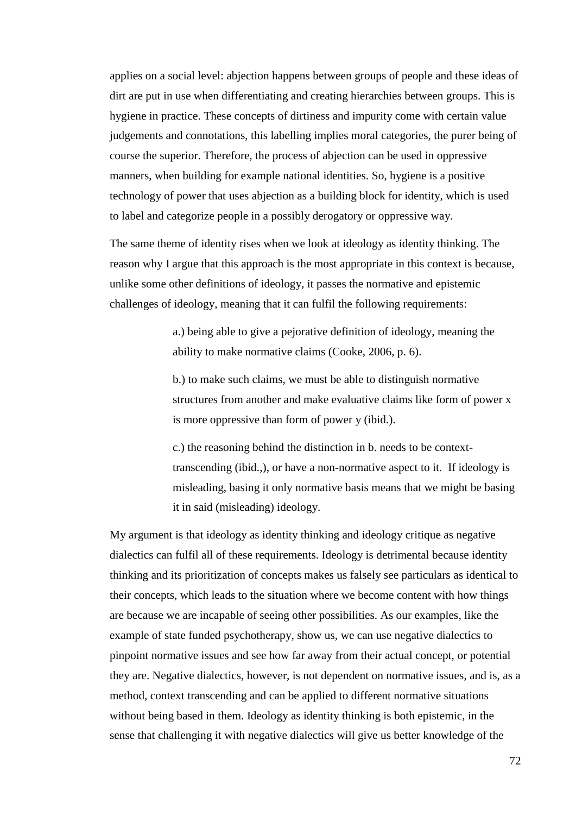applies on a social level: abjection happens between groups of people and these ideas of dirt are put in use when differentiating and creating hierarchies between groups. This is hygiene in practice. These concepts of dirtiness and impurity come with certain value judgements and connotations, this labelling implies moral categories, the purer being of course the superior. Therefore, the process of abjection can be used in oppressive manners, when building for example national identities. So, hygiene is a positive technology of power that uses abjection as a building block for identity, which is used to label and categorize people in a possibly derogatory or oppressive way.

The same theme of identity rises when we look at ideology as identity thinking. The reason why I argue that this approach is the most appropriate in this context is because, unlike some other definitions of ideology, it passes the normative and epistemic challenges of ideology, meaning that it can fulfil the following requirements:

> a.) being able to give a pejorative definition of ideology, meaning the ability to make normative claims (Cooke, 2006, p. 6).

b.) to make such claims, we must be able to distinguish normative structures from another and make evaluative claims like form of power x is more oppressive than form of power y (ibid.).

c.) the reasoning behind the distinction in b. needs to be contexttranscending (ibid.,), or have a non-normative aspect to it. If ideology is misleading, basing it only normative basis means that we might be basing it in said (misleading) ideology.

My argument is that ideology as identity thinking and ideology critique as negative dialectics can fulfil all of these requirements. Ideology is detrimental because identity thinking and its prioritization of concepts makes us falsely see particulars as identical to their concepts, which leads to the situation where we become content with how things are because we are incapable of seeing other possibilities. As our examples, like the example of state funded psychotherapy, show us, we can use negative dialectics to pinpoint normative issues and see how far away from their actual concept, or potential they are. Negative dialectics, however, is not dependent on normative issues, and is, as a method, context transcending and can be applied to different normative situations without being based in them. Ideology as identity thinking is both epistemic, in the sense that challenging it with negative dialectics will give us better knowledge of the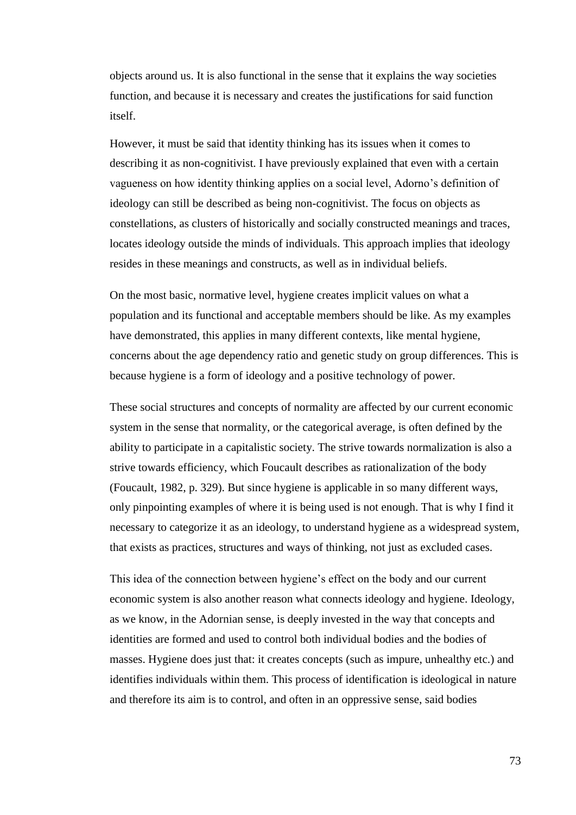objects around us. It is also functional in the sense that it explains the way societies function, and because it is necessary and creates the justifications for said function itself.

However, it must be said that identity thinking has its issues when it comes to describing it as non-cognitivist. I have previously explained that even with a certain vagueness on how identity thinking applies on a social level, Adorno's definition of ideology can still be described as being non-cognitivist. The focus on objects as constellations, as clusters of historically and socially constructed meanings and traces, locates ideology outside the minds of individuals. This approach implies that ideology resides in these meanings and constructs, as well as in individual beliefs.

On the most basic, normative level, hygiene creates implicit values on what a population and its functional and acceptable members should be like. As my examples have demonstrated, this applies in many different contexts, like mental hygiene, concerns about the age dependency ratio and genetic study on group differences. This is because hygiene is a form of ideology and a positive technology of power.

These social structures and concepts of normality are affected by our current economic system in the sense that normality, or the categorical average, is often defined by the ability to participate in a capitalistic society. The strive towards normalization is also a strive towards efficiency, which Foucault describes as rationalization of the body (Foucault, 1982, p. 329). But since hygiene is applicable in so many different ways, only pinpointing examples of where it is being used is not enough. That is why I find it necessary to categorize it as an ideology, to understand hygiene as a widespread system, that exists as practices, structures and ways of thinking, not just as excluded cases.

This idea of the connection between hygiene's effect on the body and our current economic system is also another reason what connects ideology and hygiene. Ideology, as we know, in the Adornian sense, is deeply invested in the way that concepts and identities are formed and used to control both individual bodies and the bodies of masses. Hygiene does just that: it creates concepts (such as impure, unhealthy etc.) and identifies individuals within them. This process of identification is ideological in nature and therefore its aim is to control, and often in an oppressive sense, said bodies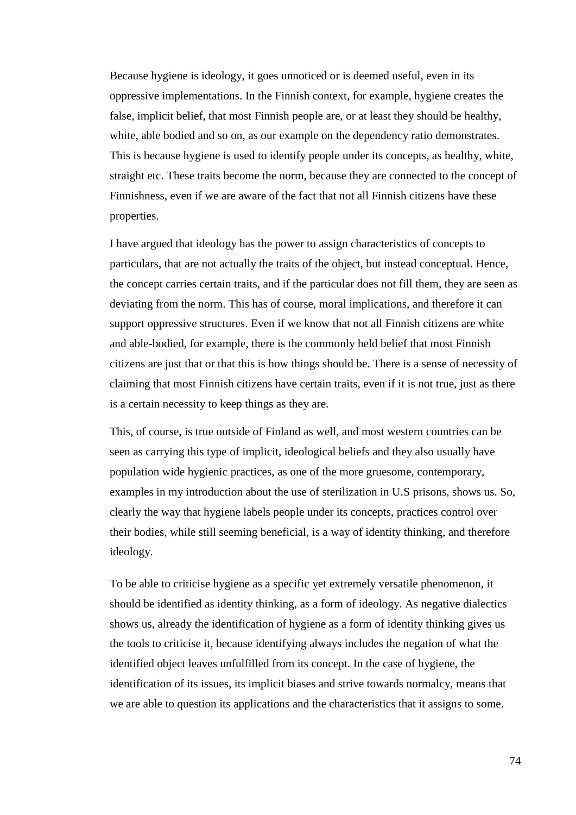Because hygiene is ideology, it goes unnoticed or is deemed useful, even in its oppressive implementations. In the Finnish context, for example, hygiene creates the false, implicit belief, that most Finnish people are, or at least they should be healthy, white, able bodied and so on, as our example on the dependency ratio demonstrates. This is because hygiene is used to identify people under its concepts, as healthy, white, straight etc. These traits become the norm, because they are connected to the concept of Finnishness, even if we are aware of the fact that not all Finnish citizens have these properties.

I have argued that ideology has the power to assign characteristics of concepts to particulars, that are not actually the traits of the object, but instead conceptual. Hence, the concept carries certain traits, and if the particular does not fill them, they are seen as deviating from the norm. This has of course, moral implications, and therefore it can support oppressive structures. Even if we know that not all Finnish citizens are white and able-bodied, for example, there is the commonly held belief that most Finnish citizens are just that or that this is how things should be. There is a sense of necessity of claiming that most Finnish citizens have certain traits, even if it is not true, just as there is a certain necessity to keep things as they are.

This, of course, is true outside of Finland as well, and most western countries can be seen as carrying this type of implicit, ideological beliefs and they also usually have population wide hygienic practices, as one of the more gruesome, contemporary, examples in my introduction about the use of sterilization in U.S prisons, shows us. So, clearly the way that hygiene labels people under its concepts, practices control over their bodies, while still seeming beneficial, is a way of identity thinking, and therefore ideology.

To be able to criticise hygiene as a specific yet extremely versatile phenomenon, it should be identified as identity thinking, as a form of ideology. As negative dialectics shows us, already the identification of hygiene as a form of identity thinking gives us the tools to criticise it, because identifying always includes the negation of what the identified object leaves unfulfilled from its concept. In the case of hygiene, the identification of its issues, its implicit biases and strive towards normalcy, means that we are able to question its applications and the characteristics that it assigns to some.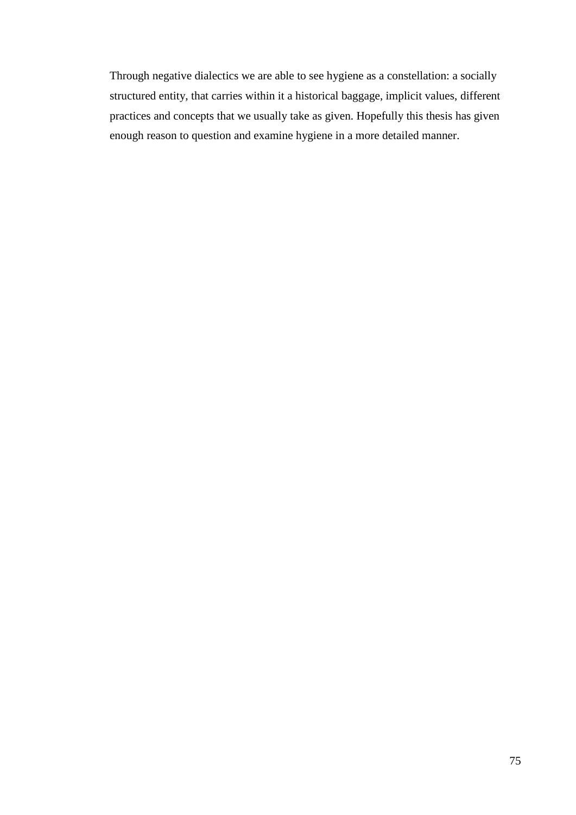Through negative dialectics we are able to see hygiene as a constellation: a socially structured entity, that carries within it a historical baggage, implicit values, different practices and concepts that we usually take as given. Hopefully this thesis has given enough reason to question and examine hygiene in a more detailed manner.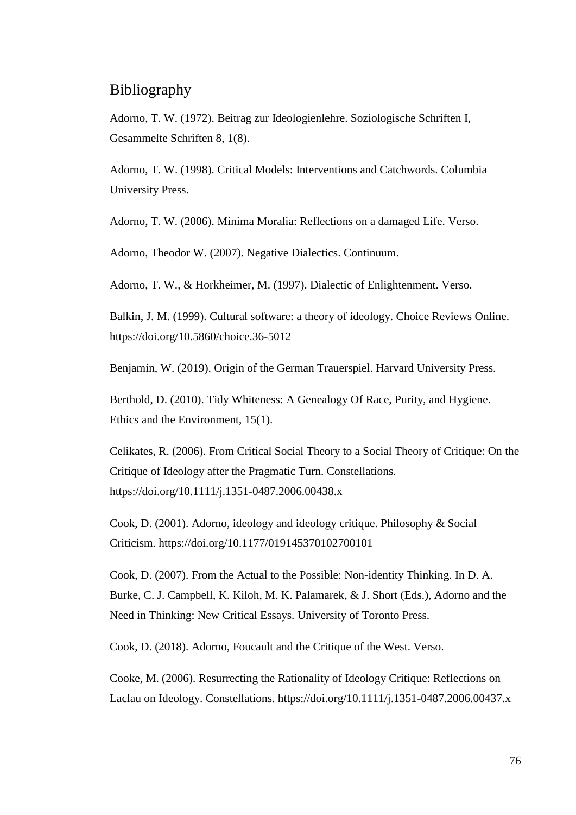## Bibliography

Adorno, T. W. (1972). Beitrag zur Ideologienlehre. Soziologische Schriften I, Gesammelte Schriften 8, 1(8).

Adorno, T. W. (1998). Critical Models: Interventions and Catchwords. Columbia University Press.

Adorno, T. W. (2006). Minima Moralia: Reflections on a damaged Life. Verso.

Adorno, Theodor W. (2007). Negative Dialectics. Continuum.

Adorno, T. W., & Horkheimer, M. (1997). Dialectic of Enlightenment. Verso.

Balkin, J. M. (1999). Cultural software: a theory of ideology. Choice Reviews Online. https://doi.org/10.5860/choice.36-5012

Benjamin, W. (2019). Origin of the German Trauerspiel. Harvard University Press.

Berthold, D. (2010). Tidy Whiteness: A Genealogy Of Race, Purity, and Hygiene. Ethics and the Environment, 15(1).

Celikates, R. (2006). From Critical Social Theory to a Social Theory of Critique: On the Critique of Ideology after the Pragmatic Turn. Constellations. https://doi.org/10.1111/j.1351-0487.2006.00438.x

Cook, D. (2001). Adorno, ideology and ideology critique. Philosophy & Social Criticism. https://doi.org/10.1177/019145370102700101

Cook, D. (2007). From the Actual to the Possible: Non-identity Thinking. In D. A. Burke, C. J. Campbell, K. Kiloh, M. K. Palamarek, & J. Short (Eds.), Adorno and the Need in Thinking: New Critical Essays. University of Toronto Press.

Cook, D. (2018). Adorno, Foucault and the Critique of the West. Verso.

Cooke, M. (2006). Resurrecting the Rationality of Ideology Critique: Reflections on Laclau on Ideology. Constellations. https://doi.org/10.1111/j.1351-0487.2006.00437.x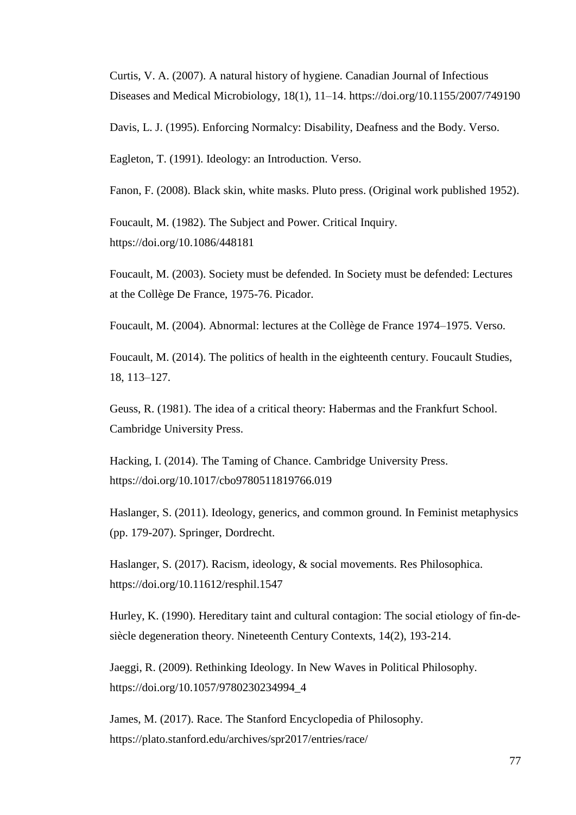Curtis, V. A. (2007). A natural history of hygiene. Canadian Journal of Infectious Diseases and Medical Microbiology, 18(1), 11–14. https://doi.org/10.1155/2007/749190

Davis, L. J. (1995). Enforcing Normalcy: Disability, Deafness and the Body. Verso.

Eagleton, T. (1991). Ideology: an Introduction. Verso.

Fanon, F. (2008). Black skin, white masks. Pluto press. (Original work published 1952).

Foucault, M. (1982). The Subject and Power. Critical Inquiry. https://doi.org/10.1086/448181

Foucault, M. (2003). Society must be defended. In Society must be defended: Lectures at the Collège De France, 1975-76. Picador.

Foucault, M. (2004). Abnormal: lectures at the Collège de France 1974–1975. Verso.

Foucault, M. (2014). The politics of health in the eighteenth century. Foucault Studies, 18, 113–127.

Geuss, R. (1981). The idea of a critical theory: Habermas and the Frankfurt School. Cambridge University Press.

Hacking, I. (2014). The Taming of Chance. Cambridge University Press. https://doi.org/10.1017/cbo9780511819766.019

Haslanger, S. (2011). Ideology, generics, and common ground. In Feminist metaphysics (pp. 179-207). Springer, Dordrecht.

Haslanger, S. (2017). Racism, ideology, & social movements. Res Philosophica. https://doi.org/10.11612/resphil.1547

Hurley, K. (1990). Hereditary taint and cultural contagion: The social etiology of fin-desiècle degeneration theory. Nineteenth Century Contexts, 14(2), 193-214.

Jaeggi, R. (2009). Rethinking Ideology. In New Waves in Political Philosophy. https://doi.org/10.1057/9780230234994\_4

James, M. (2017). Race. The Stanford Encyclopedia of Philosophy. https://plato.stanford.edu/archives/spr2017/entries/race/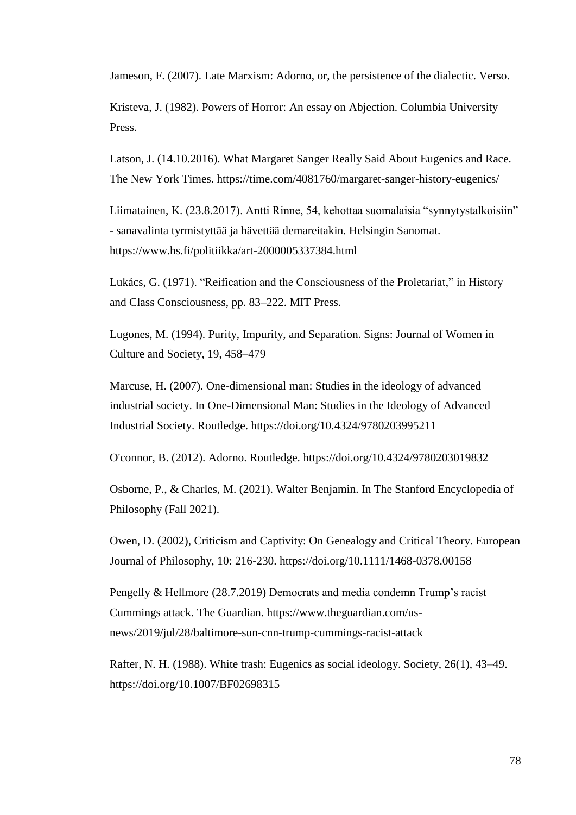Jameson, F. (2007). Late Marxism: Adorno, or, the persistence of the dialectic. Verso.

Kristeva, J. (1982). Powers of Horror: An essay on Abjection. Columbia University Press.

Latson, J. (14.10.2016). What Margaret Sanger Really Said About Eugenics and Race. The New York Times. https://time.com/4081760/margaret-sanger-history-eugenics/

Liimatainen, K. (23.8.2017). Antti Rinne, 54, kehottaa suomalaisia "synnytystalkoisiin" - sanavalinta tyrmistyttää ja hävettää demareitakin. Helsingin Sanomat. https://www.hs.fi/politiikka/art-2000005337384.html

Lukács, G. (1971). "Reification and the Consciousness of the Proletariat," in History and Class Consciousness, pp. 83–222. MIT Press.

Lugones, M. (1994). Purity, Impurity, and Separation. Signs: Journal of Women in Culture and Society, 19, 458–479

Marcuse, H. (2007). One-dimensional man: Studies in the ideology of advanced industrial society. In One-Dimensional Man: Studies in the Ideology of Advanced Industrial Society. Routledge. https://doi.org/10.4324/9780203995211

O'connor, B. (2012). Adorno. Routledge. https://doi.org/10.4324/9780203019832

Osborne, P., & Charles, M. (2021). Walter Benjamin. In The Stanford Encyclopedia of Philosophy (Fall 2021).

Owen, D. (2002), Criticism and Captivity: On Genealogy and Critical Theory. European Journal of Philosophy, 10: 216-230. https://doi.org/10.1111/1468-0378.00158

Pengelly & Hellmore (28.7.2019) Democrats and media condemn Trump's racist Cummings attack. The Guardian. https://www.theguardian.com/usnews/2019/jul/28/baltimore-sun-cnn-trump-cummings-racist-attack

Rafter, N. H. (1988). White trash: Eugenics as social ideology. Society, 26(1), 43–49. https://doi.org/10.1007/BF02698315